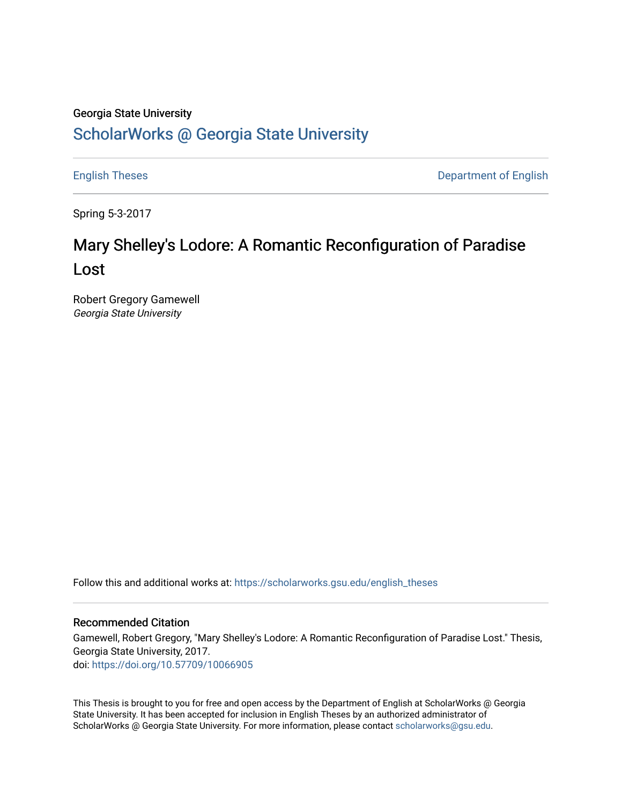### Georgia State University

# [ScholarWorks @ Georgia State University](https://scholarworks.gsu.edu/)

[English Theses](https://scholarworks.gsu.edu/english_theses) **Department of English** 

Spring 5-3-2017

# Mary Shelley's Lodore: A Romantic Reconfiguration of Paradise Lost

Robert Gregory Gamewell Georgia State University

Follow this and additional works at: [https://scholarworks.gsu.edu/english\\_theses](https://scholarworks.gsu.edu/english_theses?utm_source=scholarworks.gsu.edu%2Fenglish_theses%2F218&utm_medium=PDF&utm_campaign=PDFCoverPages)

### Recommended Citation

Gamewell, Robert Gregory, "Mary Shelley's Lodore: A Romantic Reconfiguration of Paradise Lost." Thesis, Georgia State University, 2017. doi: <https://doi.org/10.57709/10066905>

This Thesis is brought to you for free and open access by the Department of English at ScholarWorks @ Georgia State University. It has been accepted for inclusion in English Theses by an authorized administrator of ScholarWorks @ Georgia State University. For more information, please contact [scholarworks@gsu.edu](mailto:scholarworks@gsu.edu).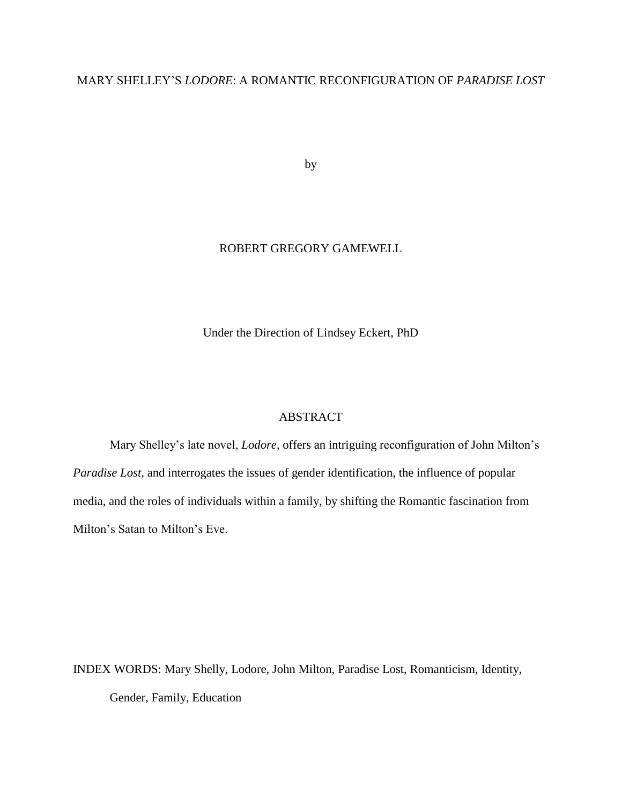### MARY SHELLEY'S *LODORE*: A ROMANTIC RECONFIGURATION OF *PARADISE LOST*

by

### ROBERT GREGORY GAMEWELL

Under the Direction of Lindsey Eckert, PhD

### ABSTRACT

Mary Shelley's late novel, *Lodore*, offers an intriguing reconfiguration of John Milton's *Paradise Lost*, and interrogates the issues of gender identification, the influence of popular media, and the roles of individuals within a family, by shifting the Romantic fascination from Milton's Satan to Milton's Eve.

INDEX WORDS: Mary Shelly, Lodore, John Milton, Paradise Lost, Romanticism, Identity, Gender, Family, Education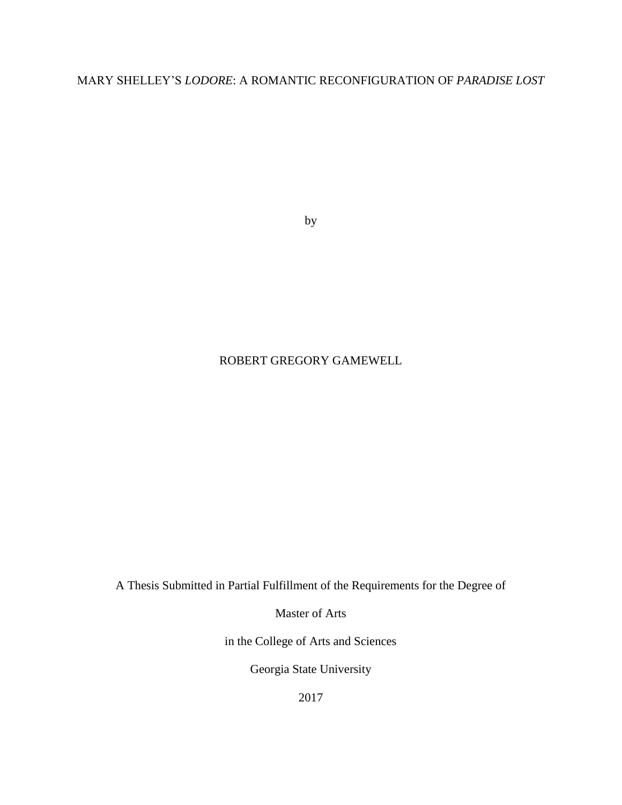MARY SHELLEY'S *LODORE*: A ROMANTIC RECONFIGURATION OF *PARADISE LOST*

by

### ROBERT GREGORY GAMEWELL

A Thesis Submitted in Partial Fulfillment of the Requirements for the Degree of

Master of Arts

in the College of Arts and Sciences

Georgia State University

2017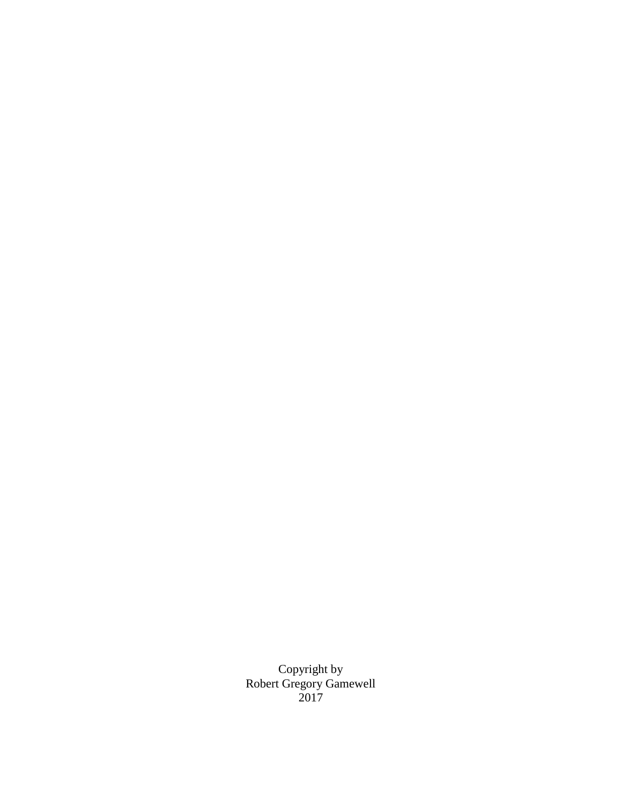Copyright by Robert Gregory Gamewell 2017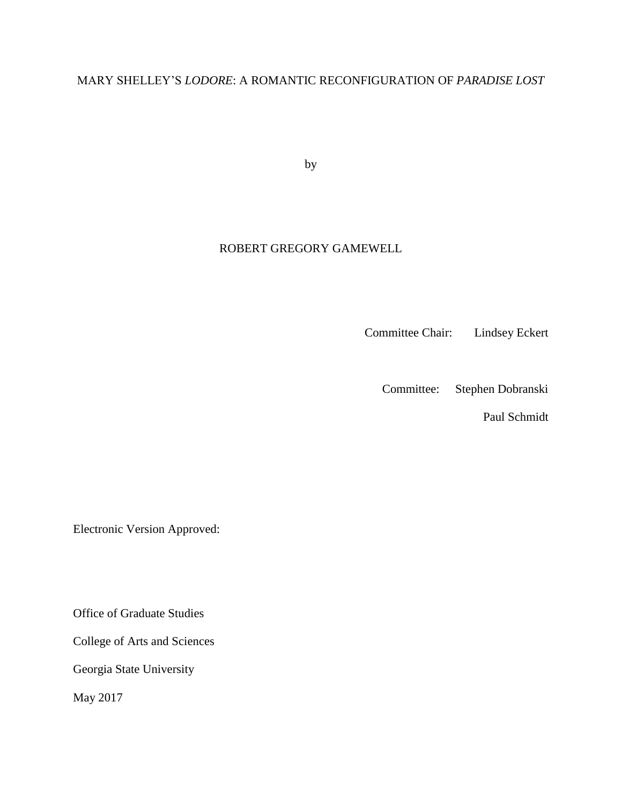## MARY SHELLEY'S *LODORE*: A ROMANTIC RECONFIGURATION OF *PARADISE LOST*

by

### ROBERT GREGORY GAMEWELL

Committee Chair: Lindsey Eckert

Committee: Stephen Dobranski

Paul Schmidt

Electronic Version Approved:

Office of Graduate Studies

College of Arts and Sciences

Georgia State University

May 2017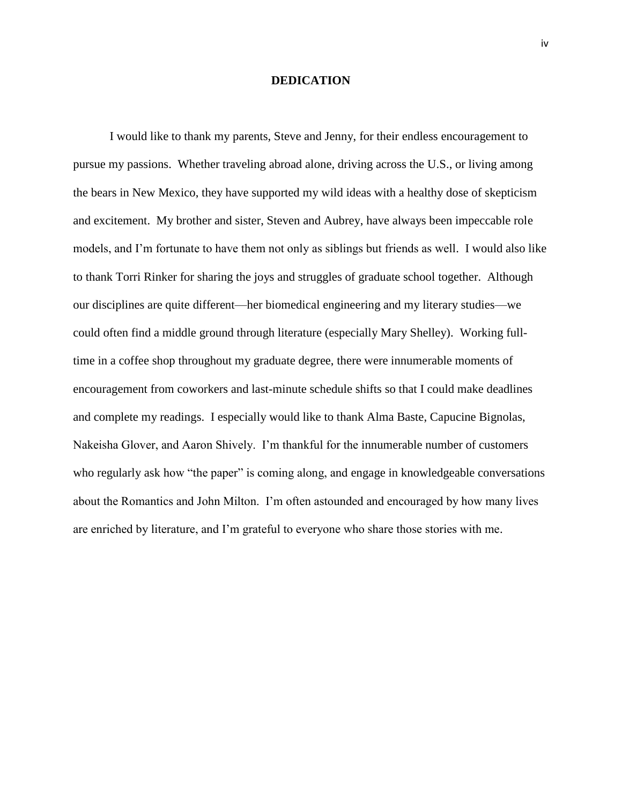#### **DEDICATION**

I would like to thank my parents, Steve and Jenny, for their endless encouragement to pursue my passions. Whether traveling abroad alone, driving across the U.S., or living among the bears in New Mexico, they have supported my wild ideas with a healthy dose of skepticism and excitement. My brother and sister, Steven and Aubrey, have always been impeccable role models, and I'm fortunate to have them not only as siblings but friends as well. I would also like to thank Torri Rinker for sharing the joys and struggles of graduate school together. Although our disciplines are quite different—her biomedical engineering and my literary studies—we could often find a middle ground through literature (especially Mary Shelley). Working fulltime in a coffee shop throughout my graduate degree, there were innumerable moments of encouragement from coworkers and last-minute schedule shifts so that I could make deadlines and complete my readings. I especially would like to thank Alma Baste, Capucine Bignolas, Nakeisha Glover, and Aaron Shively. I'm thankful for the innumerable number of customers who regularly ask how "the paper" is coming along, and engage in knowledgeable conversations about the Romantics and John Milton. I'm often astounded and encouraged by how many lives are enriched by literature, and I'm grateful to everyone who share those stories with me.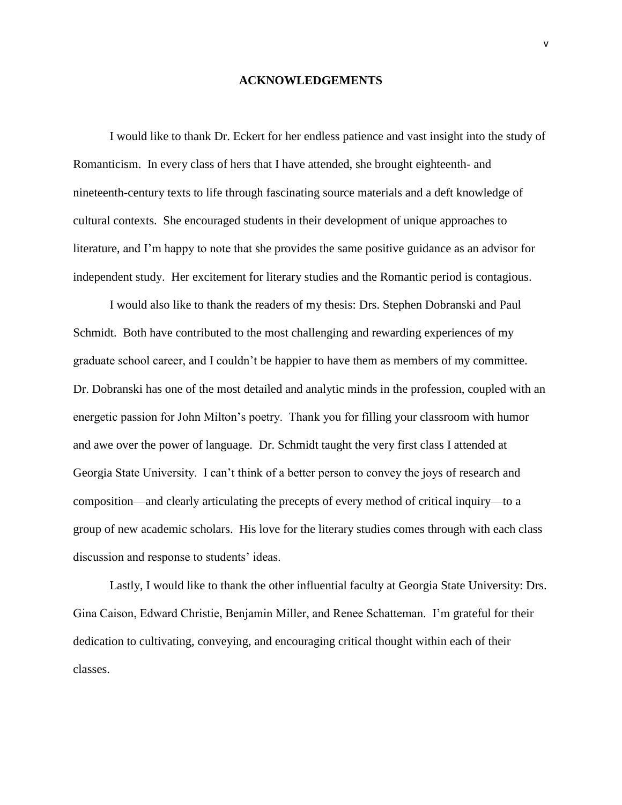#### **ACKNOWLEDGEMENTS**

<span id="page-6-0"></span>I would like to thank Dr. Eckert for her endless patience and vast insight into the study of Romanticism. In every class of hers that I have attended, she brought eighteenth- and nineteenth-century texts to life through fascinating source materials and a deft knowledge of cultural contexts. She encouraged students in their development of unique approaches to literature, and I'm happy to note that she provides the same positive guidance as an advisor for independent study. Her excitement for literary studies and the Romantic period is contagious.

I would also like to thank the readers of my thesis: Drs. Stephen Dobranski and Paul Schmidt. Both have contributed to the most challenging and rewarding experiences of my graduate school career, and I couldn't be happier to have them as members of my committee. Dr. Dobranski has one of the most detailed and analytic minds in the profession, coupled with an energetic passion for John Milton's poetry. Thank you for filling your classroom with humor and awe over the power of language. Dr. Schmidt taught the very first class I attended at Georgia State University. I can't think of a better person to convey the joys of research and composition—and clearly articulating the precepts of every method of critical inquiry—to a group of new academic scholars. His love for the literary studies comes through with each class discussion and response to students' ideas.

Lastly, I would like to thank the other influential faculty at Georgia State University: Drs. Gina Caison, Edward Christie, Benjamin Miller, and Renee Schatteman. I'm grateful for their dedication to cultivating, conveying, and encouraging critical thought within each of their classes.

v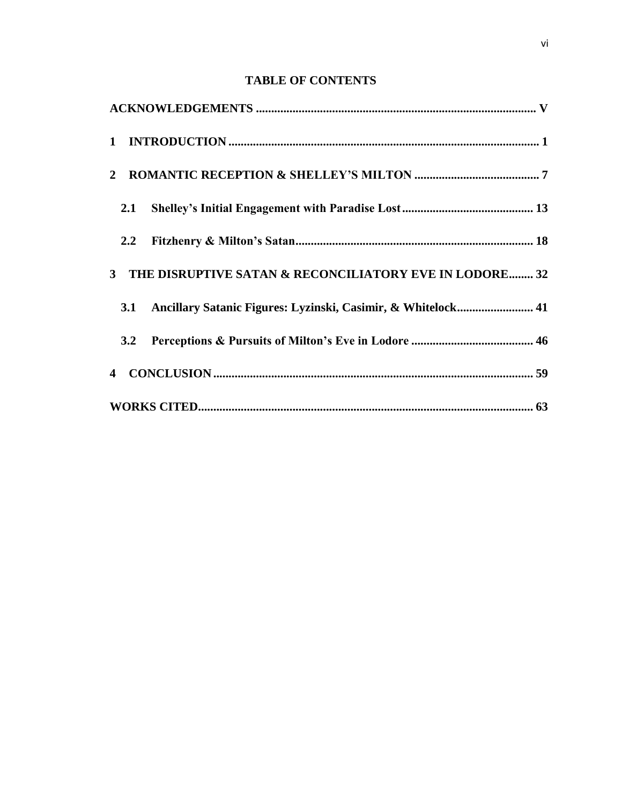### **TABLE OF CONTENTS**

| 2.1     |                                                              |  |
|---------|--------------------------------------------------------------|--|
| $2.2\,$ |                                                              |  |
|         | 3 THE DISRUPTIVE SATAN & RECONCILIATORY EVE IN LODORE 32     |  |
| 3.1     | Ancillary Satanic Figures: Lyzinski, Casimir, & Whitelock 41 |  |
| 3.2     |                                                              |  |
|         |                                                              |  |
|         |                                                              |  |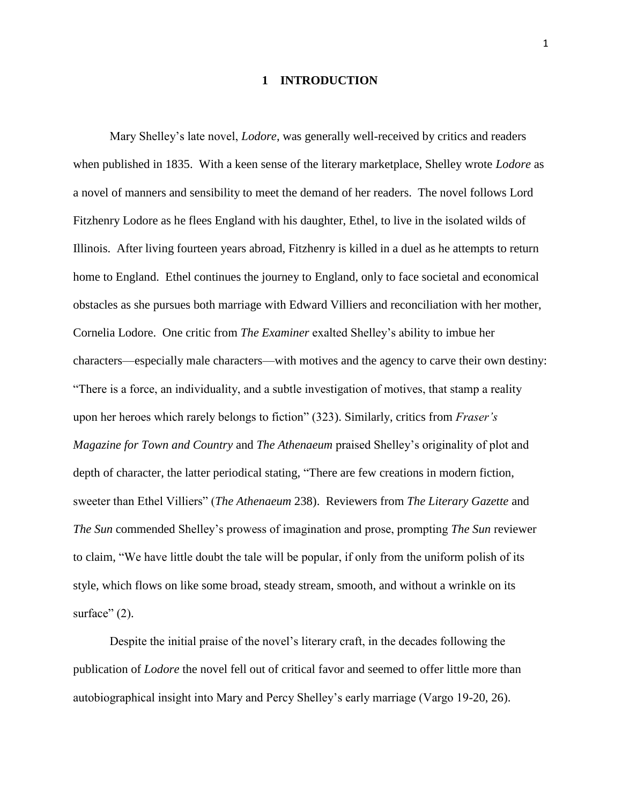### **1 INTRODUCTION**

<span id="page-8-0"></span>Mary Shelley's late novel, *Lodore*, was generally well-received by critics and readers when published in 1835. With a keen sense of the literary marketplace, Shelley wrote *Lodore* as a novel of manners and sensibility to meet the demand of her readers. The novel follows Lord Fitzhenry Lodore as he flees England with his daughter, Ethel, to live in the isolated wilds of Illinois. After living fourteen years abroad, Fitzhenry is killed in a duel as he attempts to return home to England. Ethel continues the journey to England, only to face societal and economical obstacles as she pursues both marriage with Edward Villiers and reconciliation with her mother, Cornelia Lodore. One critic from *The Examiner* exalted Shelley's ability to imbue her characters—especially male characters—with motives and the agency to carve their own destiny: "There is a force, an individuality, and a subtle investigation of motives, that stamp a reality upon her heroes which rarely belongs to fiction" (323). Similarly, critics from *Fraser's Magazine for Town and Country* and *The Athenaeum* praised Shelley's originality of plot and depth of character, the latter periodical stating, "There are few creations in modern fiction, sweeter than Ethel Villiers" (*The Athenaeum* 238). Reviewers from *The Literary Gazette* and *The Sun* commended Shelley's prowess of imagination and prose, prompting *The Sun* reviewer to claim, "We have little doubt the tale will be popular, if only from the uniform polish of its style, which flows on like some broad, steady stream, smooth, and without a wrinkle on its surface"  $(2)$ .

Despite the initial praise of the novel's literary craft, in the decades following the publication of *Lodore* the novel fell out of critical favor and seemed to offer little more than autobiographical insight into Mary and Percy Shelley's early marriage (Vargo 19-20, 26).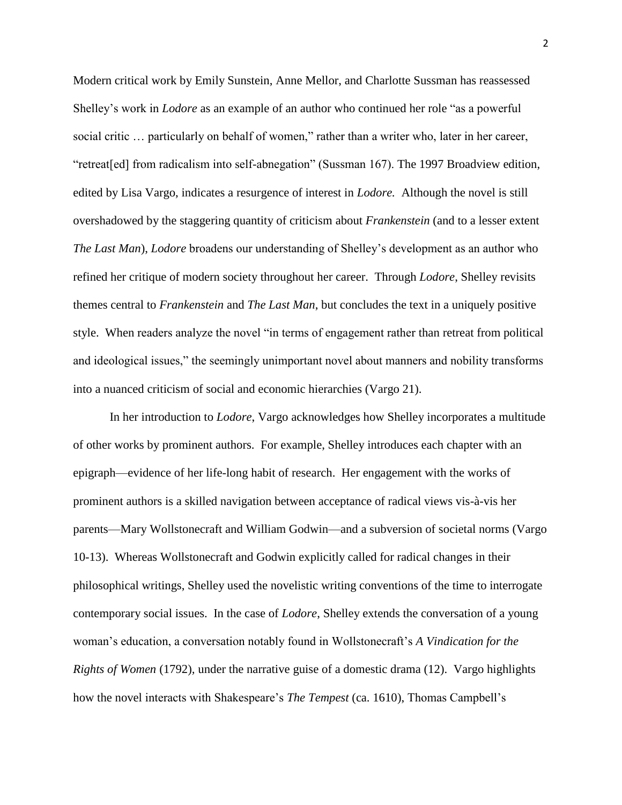Modern critical work by Emily Sunstein, Anne Mellor, and Charlotte Sussman has reassessed Shelley's work in *Lodore* as an example of an author who continued her role "as a powerful social critic … particularly on behalf of women," rather than a writer who, later in her career, "retreat[ed] from radicalism into self-abnegation" (Sussman 167). The 1997 Broadview edition, edited by Lisa Vargo, indicates a resurgence of interest in *Lodore.* Although the novel is still overshadowed by the staggering quantity of criticism about *Frankenstein* (and to a lesser extent *The Last Man*), *Lodore* broadens our understanding of Shelley's development as an author who refined her critique of modern society throughout her career. Through *Lodore*, Shelley revisits themes central to *Frankenstein* and *The Last Man*, but concludes the text in a uniquely positive style. When readers analyze the novel "in terms of engagement rather than retreat from political and ideological issues," the seemingly unimportant novel about manners and nobility transforms into a nuanced criticism of social and economic hierarchies (Vargo 21).

In her introduction to *Lodore*, Vargo acknowledges how Shelley incorporates a multitude of other works by prominent authors. For example, Shelley introduces each chapter with an epigraph—evidence of her life-long habit of research. Her engagement with the works of prominent authors is a skilled navigation between acceptance of radical views vis-à-vis her parents—Mary Wollstonecraft and William Godwin—and a subversion of societal norms (Vargo 10-13). Whereas Wollstonecraft and Godwin explicitly called for radical changes in their philosophical writings, Shelley used the novelistic writing conventions of the time to interrogate contemporary social issues. In the case of *Lodore*, Shelley extends the conversation of a young woman's education, a conversation notably found in Wollstonecraft's *A Vindication for the Rights of Women* (1792)*,* under the narrative guise of a domestic drama (12). Vargo highlights how the novel interacts with Shakespeare's *The Tempest* (ca. 1610), Thomas Campbell's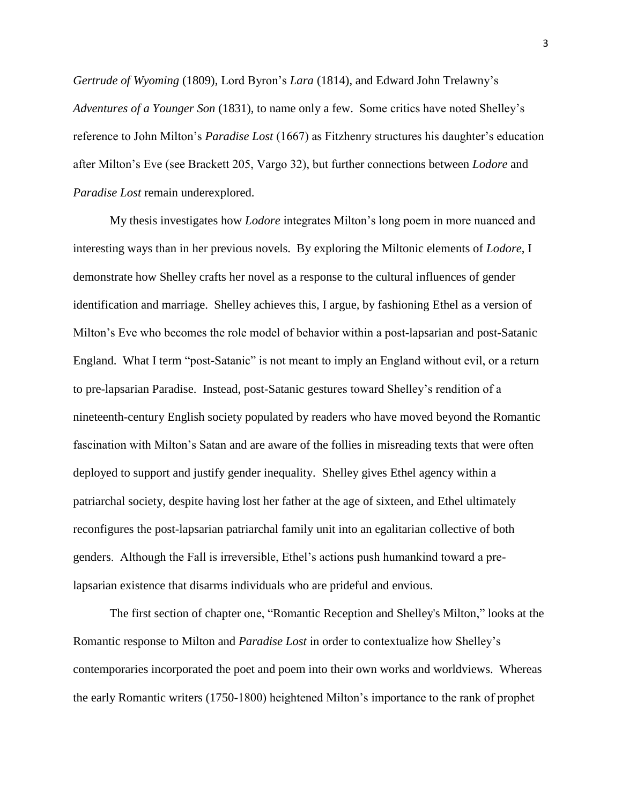*Gertrude of Wyoming* (1809), Lord Byron's *Lara* (1814), and Edward John Trelawny's *Adventures of a Younger Son* (1831), to name only a few. Some critics have noted Shelley's reference to John Milton's *Paradise Lost* (1667) as Fitzhenry structures his daughter's education after Milton's Eve (see Brackett 205, Vargo 32), but further connections between *Lodore* and *Paradise Lost* remain underexplored.

My thesis investigates how *Lodore* integrates Milton's long poem in more nuanced and interesting ways than in her previous novels. By exploring the Miltonic elements of *Lodore*, I demonstrate how Shelley crafts her novel as a response to the cultural influences of gender identification and marriage. Shelley achieves this, I argue, by fashioning Ethel as a version of Milton's Eve who becomes the role model of behavior within a post-lapsarian and post-Satanic England. What I term "post-Satanic" is not meant to imply an England without evil, or a return to pre-lapsarian Paradise. Instead, post-Satanic gestures toward Shelley's rendition of a nineteenth-century English society populated by readers who have moved beyond the Romantic fascination with Milton's Satan and are aware of the follies in misreading texts that were often deployed to support and justify gender inequality. Shelley gives Ethel agency within a patriarchal society, despite having lost her father at the age of sixteen, and Ethel ultimately reconfigures the post-lapsarian patriarchal family unit into an egalitarian collective of both genders. Although the Fall is irreversible, Ethel's actions push humankind toward a prelapsarian existence that disarms individuals who are prideful and envious.

The first section of chapter one, "Romantic Reception and Shelley's Milton," looks at the Romantic response to Milton and *Paradise Lost* in order to contextualize how Shelley's contemporaries incorporated the poet and poem into their own works and worldviews. Whereas the early Romantic writers (1750-1800) heightened Milton's importance to the rank of prophet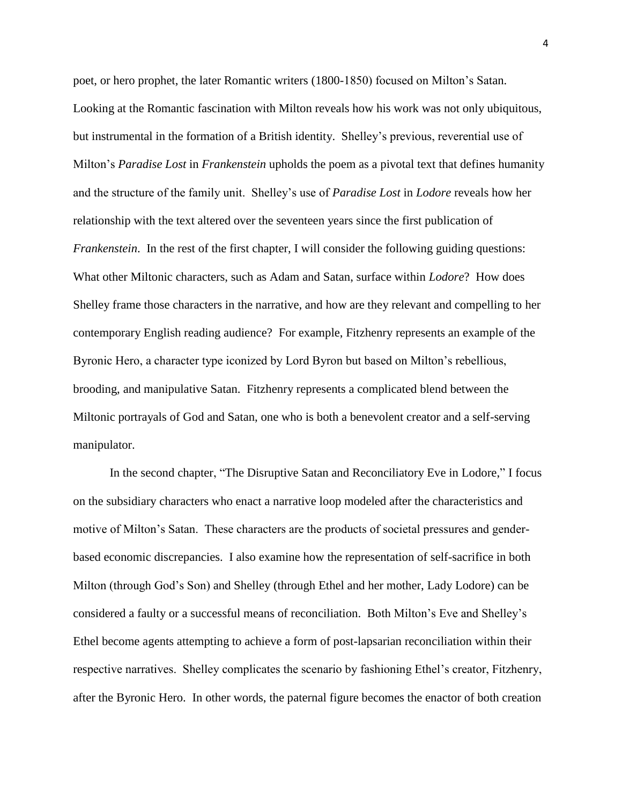poet, or hero prophet, the later Romantic writers (1800-1850) focused on Milton's Satan. Looking at the Romantic fascination with Milton reveals how his work was not only ubiquitous, but instrumental in the formation of a British identity. Shelley's previous, reverential use of Milton's *Paradise Lost* in *Frankenstein* upholds the poem as a pivotal text that defines humanity and the structure of the family unit. Shelley's use of *Paradise Lost* in *Lodore* reveals how her relationship with the text altered over the seventeen years since the first publication of *Frankenstein*. In the rest of the first chapter, I will consider the following guiding questions: What other Miltonic characters, such as Adam and Satan, surface within *Lodore*? How does Shelley frame those characters in the narrative, and how are they relevant and compelling to her contemporary English reading audience? For example, Fitzhenry represents an example of the Byronic Hero, a character type iconized by Lord Byron but based on Milton's rebellious, brooding, and manipulative Satan. Fitzhenry represents a complicated blend between the Miltonic portrayals of God and Satan, one who is both a benevolent creator and a self-serving manipulator.

In the second chapter, "The Disruptive Satan and Reconciliatory Eve in Lodore," I focus on the subsidiary characters who enact a narrative loop modeled after the characteristics and motive of Milton's Satan. These characters are the products of societal pressures and genderbased economic discrepancies. I also examine how the representation of self-sacrifice in both Milton (through God's Son) and Shelley (through Ethel and her mother, Lady Lodore) can be considered a faulty or a successful means of reconciliation. Both Milton's Eve and Shelley's Ethel become agents attempting to achieve a form of post-lapsarian reconciliation within their respective narratives. Shelley complicates the scenario by fashioning Ethel's creator, Fitzhenry, after the Byronic Hero. In other words, the paternal figure becomes the enactor of both creation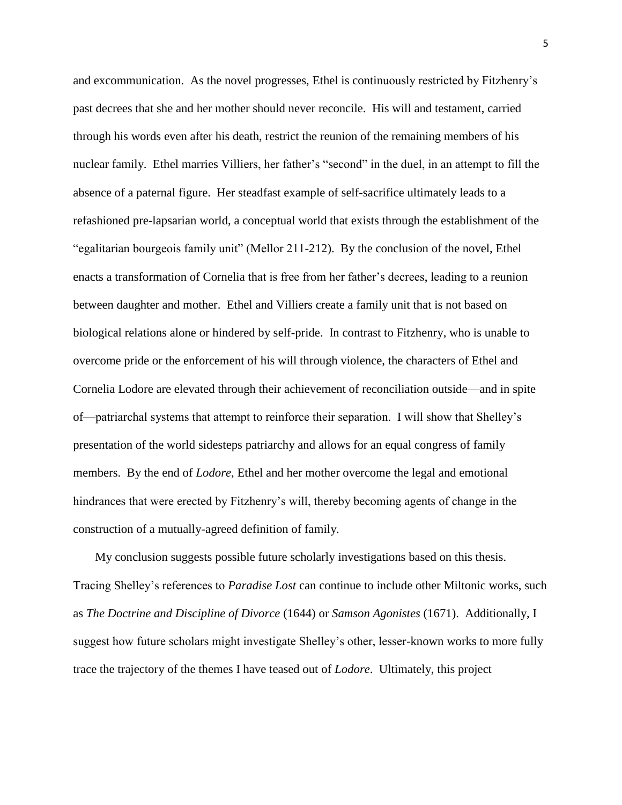and excommunication. As the novel progresses, Ethel is continuously restricted by Fitzhenry's past decrees that she and her mother should never reconcile. His will and testament, carried through his words even after his death, restrict the reunion of the remaining members of his nuclear family. Ethel marries Villiers, her father's "second" in the duel, in an attempt to fill the absence of a paternal figure. Her steadfast example of self-sacrifice ultimately leads to a refashioned pre-lapsarian world, a conceptual world that exists through the establishment of the "egalitarian bourgeois family unit" (Mellor 211-212). By the conclusion of the novel, Ethel enacts a transformation of Cornelia that is free from her father's decrees, leading to a reunion between daughter and mother. Ethel and Villiers create a family unit that is not based on biological relations alone or hindered by self-pride. In contrast to Fitzhenry, who is unable to overcome pride or the enforcement of his will through violence, the characters of Ethel and Cornelia Lodore are elevated through their achievement of reconciliation outside—and in spite of—patriarchal systems that attempt to reinforce their separation. I will show that Shelley's presentation of the world sidesteps patriarchy and allows for an equal congress of family members. By the end of *Lodore*, Ethel and her mother overcome the legal and emotional hindrances that were erected by Fitzhenry's will, thereby becoming agents of change in the construction of a mutually-agreed definition of family.

My conclusion suggests possible future scholarly investigations based on this thesis. Tracing Shelley's references to *Paradise Lost* can continue to include other Miltonic works, such as *The Doctrine and Discipline of Divorce* (1644) or *Samson Agonistes* (1671). Additionally, I suggest how future scholars might investigate Shelley's other, lesser-known works to more fully trace the trajectory of the themes I have teased out of *Lodore*. Ultimately, this project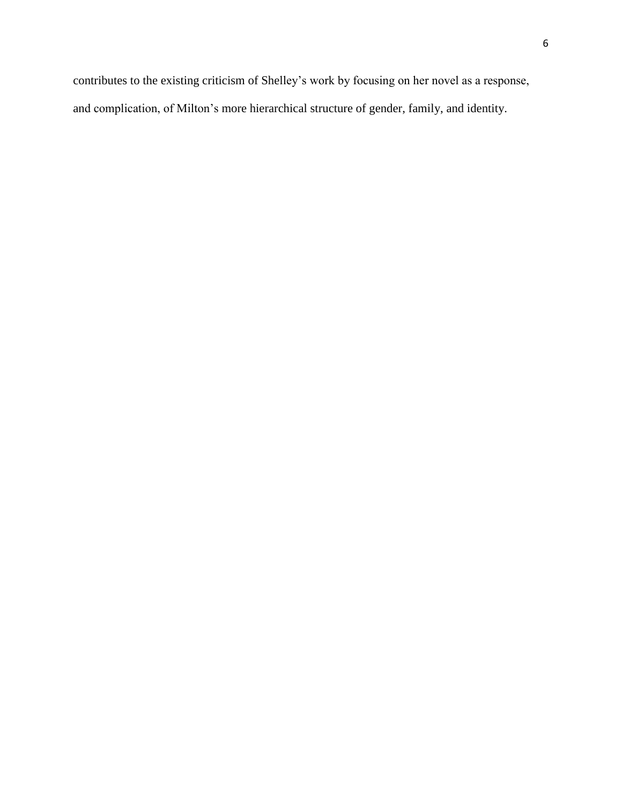contributes to the existing criticism of Shelley's work by focusing on her novel as a response, and complication, of Milton's more hierarchical structure of gender, family, and identity.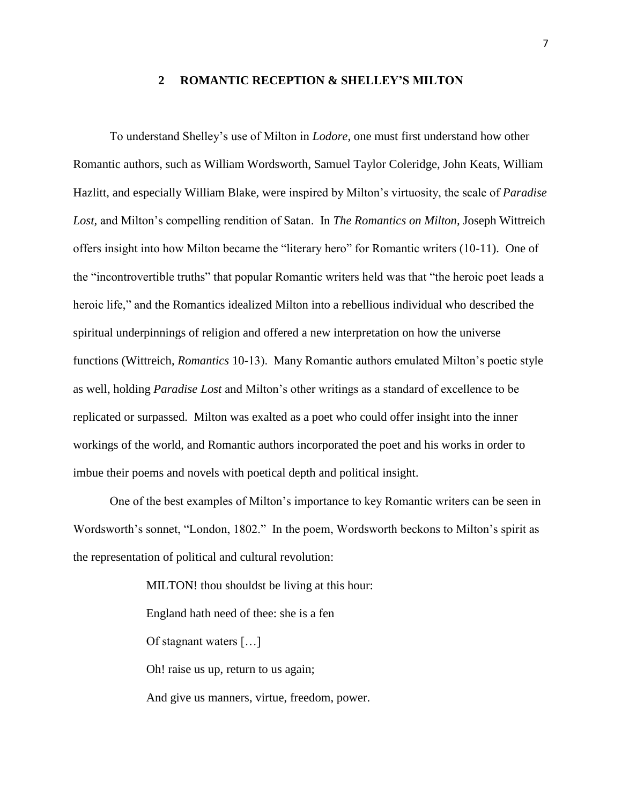#### **2 ROMANTIC RECEPTION & SHELLEY'S MILTON**

<span id="page-14-0"></span>To understand Shelley's use of Milton in *Lodore*, one must first understand how other Romantic authors, such as William Wordsworth, Samuel Taylor Coleridge, John Keats, William Hazlitt, and especially William Blake, were inspired by Milton's virtuosity, the scale of *Paradise Lost,* and Milton's compelling rendition of Satan. In *The Romantics on Milton,* Joseph Wittreich offers insight into how Milton became the "literary hero" for Romantic writers (10-11). One of the "incontrovertible truths" that popular Romantic writers held was that "the heroic poet leads a heroic life," and the Romantics idealized Milton into a rebellious individual who described the spiritual underpinnings of religion and offered a new interpretation on how the universe functions (Wittreich, *Romantics* 10-13). Many Romantic authors emulated Milton's poetic style as well, holding *Paradise Lost* and Milton's other writings as a standard of excellence to be replicated or surpassed. Milton was exalted as a poet who could offer insight into the inner workings of the world, and Romantic authors incorporated the poet and his works in order to imbue their poems and novels with poetical depth and political insight.

One of the best examples of Milton's importance to key Romantic writers can be seen in Wordsworth's sonnet, "London, 1802." In the poem, Wordsworth beckons to Milton's spirit as the representation of political and cultural revolution:

> MILTON! thou shouldst be living at this hour: England hath need of thee: she is a fen Of stagnant waters […] Oh! raise us up, return to us again; And give us manners, virtue, freedom, power.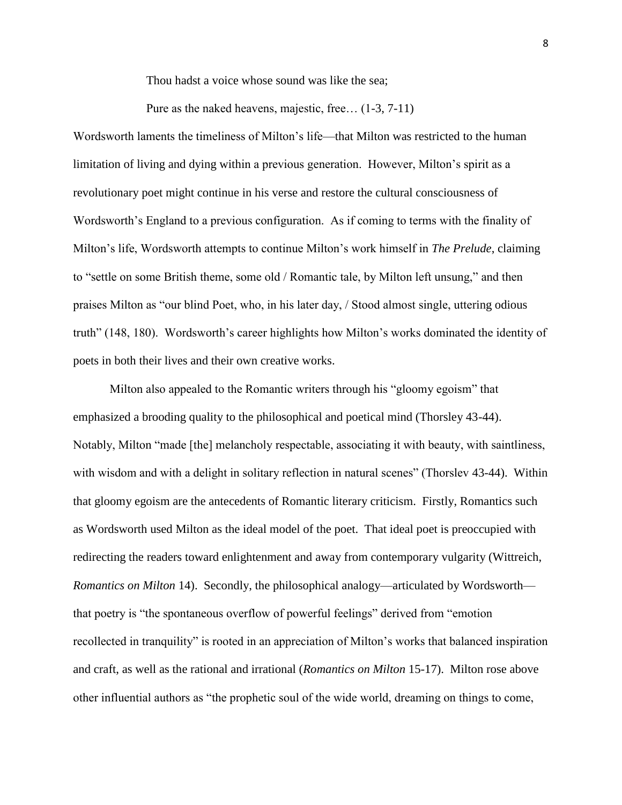Thou hadst a voice whose sound was like the sea;

Pure as the naked heavens, majestic, free… (1-3, 7-11)

Wordsworth laments the timeliness of Milton's life—that Milton was restricted to the human limitation of living and dying within a previous generation. However, Milton's spirit as a revolutionary poet might continue in his verse and restore the cultural consciousness of Wordsworth's England to a previous configuration. As if coming to terms with the finality of Milton's life, Wordsworth attempts to continue Milton's work himself in *The Prelude*, claiming to "settle on some British theme, some old / Romantic tale, by Milton left unsung," and then praises Milton as "our blind Poet, who, in his later day, / Stood almost single, uttering odious truth" (148, 180). Wordsworth's career highlights how Milton's works dominated the identity of poets in both their lives and their own creative works.

Milton also appealed to the Romantic writers through his "gloomy egoism" that emphasized a brooding quality to the philosophical and poetical mind (Thorsley 43-44). Notably, Milton "made [the] melancholy respectable, associating it with beauty, with saintliness, with wisdom and with a delight in solitary reflection in natural scenes" (Thorslev 43-44). Within that gloomy egoism are the antecedents of Romantic literary criticism. Firstly, Romantics such as Wordsworth used Milton as the ideal model of the poet. That ideal poet is preoccupied with redirecting the readers toward enlightenment and away from contemporary vulgarity (Wittreich, *Romantics on Milton* 14). Secondly, the philosophical analogy—articulated by Wordsworth that poetry is "the spontaneous overflow of powerful feelings" derived from "emotion recollected in tranquility" is rooted in an appreciation of Milton's works that balanced inspiration and craft, as well as the rational and irrational (*Romantics on Milton* 15-17). Milton rose above other influential authors as "the prophetic soul of the wide world, dreaming on things to come,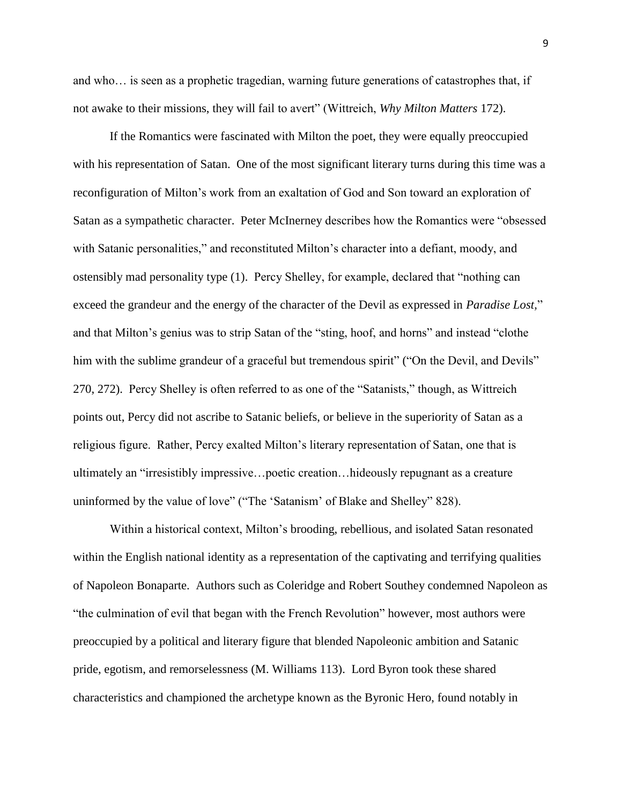and who… is seen as a prophetic tragedian, warning future generations of catastrophes that, if not awake to their missions, they will fail to avert" (Wittreich, *Why Milton Matters* 172).

If the Romantics were fascinated with Milton the poet, they were equally preoccupied with his representation of Satan. One of the most significant literary turns during this time was a reconfiguration of Milton's work from an exaltation of God and Son toward an exploration of Satan as a sympathetic character. Peter McInerney describes how the Romantics were "obsessed with Satanic personalities," and reconstituted Milton's character into a defiant, moody, and ostensibly mad personality type (1). Percy Shelley, for example, declared that "nothing can exceed the grandeur and the energy of the character of the Devil as expressed in *Paradise Lost,*" and that Milton's genius was to strip Satan of the "sting, hoof, and horns" and instead "clothe him with the sublime grandeur of a graceful but tremendous spirit" ("On the Devil, and Devils" 270, 272). Percy Shelley is often referred to as one of the "Satanists," though, as Wittreich points out, Percy did not ascribe to Satanic beliefs, or believe in the superiority of Satan as a religious figure. Rather, Percy exalted Milton's literary representation of Satan, one that is ultimately an "irresistibly impressive…poetic creation…hideously repugnant as a creature uninformed by the value of love" ("The 'Satanism' of Blake and Shelley" 828).

Within a historical context, Milton's brooding, rebellious, and isolated Satan resonated within the English national identity as a representation of the captivating and terrifying qualities of Napoleon Bonaparte. Authors such as Coleridge and Robert Southey condemned Napoleon as "the culmination of evil that began with the French Revolution" however, most authors were preoccupied by a political and literary figure that blended Napoleonic ambition and Satanic pride, egotism, and remorselessness (M. Williams 113). Lord Byron took these shared characteristics and championed the archetype known as the Byronic Hero, found notably in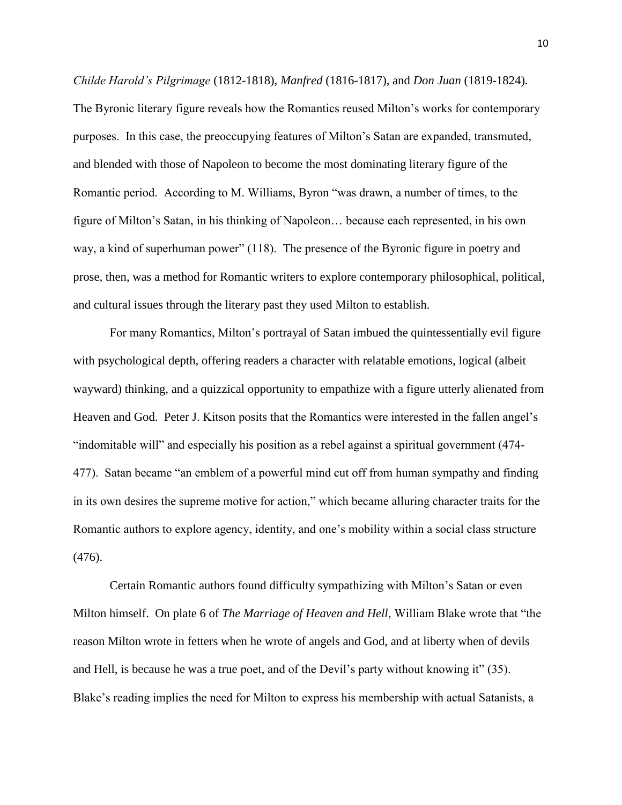*Childe Harold's Pilgrimage* (1812-1818)*, Manfred* (1816-1817), and *Don Juan* (1819-1824)*.* The Byronic literary figure reveals how the Romantics reused Milton's works for contemporary purposes. In this case, the preoccupying features of Milton's Satan are expanded, transmuted, and blended with those of Napoleon to become the most dominating literary figure of the Romantic period. According to M. Williams, Byron "was drawn, a number of times, to the figure of Milton's Satan, in his thinking of Napoleon… because each represented, in his own way, a kind of superhuman power" (118). The presence of the Byronic figure in poetry and prose, then, was a method for Romantic writers to explore contemporary philosophical, political, and cultural issues through the literary past they used Milton to establish.

For many Romantics, Milton's portrayal of Satan imbued the quintessentially evil figure with psychological depth, offering readers a character with relatable emotions, logical (albeit wayward) thinking, and a quizzical opportunity to empathize with a figure utterly alienated from Heaven and God. Peter J. Kitson posits that the Romantics were interested in the fallen angel's "indomitable will" and especially his position as a rebel against a spiritual government (474- 477). Satan became "an emblem of a powerful mind cut off from human sympathy and finding in its own desires the supreme motive for action," which became alluring character traits for the Romantic authors to explore agency, identity, and one's mobility within a social class structure (476).

Certain Romantic authors found difficulty sympathizing with Milton's Satan or even Milton himself. On plate 6 of *The Marriage of Heaven and Hell*, William Blake wrote that "the reason Milton wrote in fetters when he wrote of angels and God, and at liberty when of devils and Hell, is because he was a true poet, and of the Devil's party without knowing it" (35). Blake's reading implies the need for Milton to express his membership with actual Satanists, a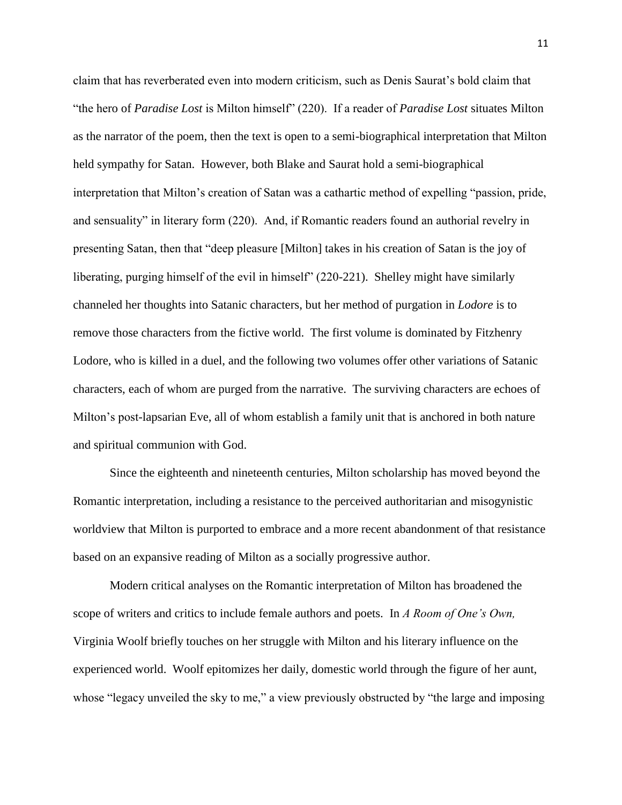claim that has reverberated even into modern criticism, such as Denis Saurat's bold claim that "the hero of *Paradise Lost* is Milton himself" (220). If a reader of *Paradise Lost* situates Milton as the narrator of the poem, then the text is open to a semi-biographical interpretation that Milton held sympathy for Satan. However, both Blake and Saurat hold a semi-biographical interpretation that Milton's creation of Satan was a cathartic method of expelling "passion, pride, and sensuality" in literary form (220). And, if Romantic readers found an authorial revelry in presenting Satan, then that "deep pleasure [Milton] takes in his creation of Satan is the joy of liberating, purging himself of the evil in himself" (220-221). Shelley might have similarly channeled her thoughts into Satanic characters, but her method of purgation in *Lodore* is to remove those characters from the fictive world. The first volume is dominated by Fitzhenry Lodore, who is killed in a duel, and the following two volumes offer other variations of Satanic characters, each of whom are purged from the narrative. The surviving characters are echoes of Milton's post-lapsarian Eve, all of whom establish a family unit that is anchored in both nature and spiritual communion with God.

Since the eighteenth and nineteenth centuries, Milton scholarship has moved beyond the Romantic interpretation, including a resistance to the perceived authoritarian and misogynistic worldview that Milton is purported to embrace and a more recent abandonment of that resistance based on an expansive reading of Milton as a socially progressive author.

Modern critical analyses on the Romantic interpretation of Milton has broadened the scope of writers and critics to include female authors and poets. In *A Room of One's Own,* Virginia Woolf briefly touches on her struggle with Milton and his literary influence on the experienced world. Woolf epitomizes her daily, domestic world through the figure of her aunt, whose "legacy unveiled the sky to me," a view previously obstructed by "the large and imposing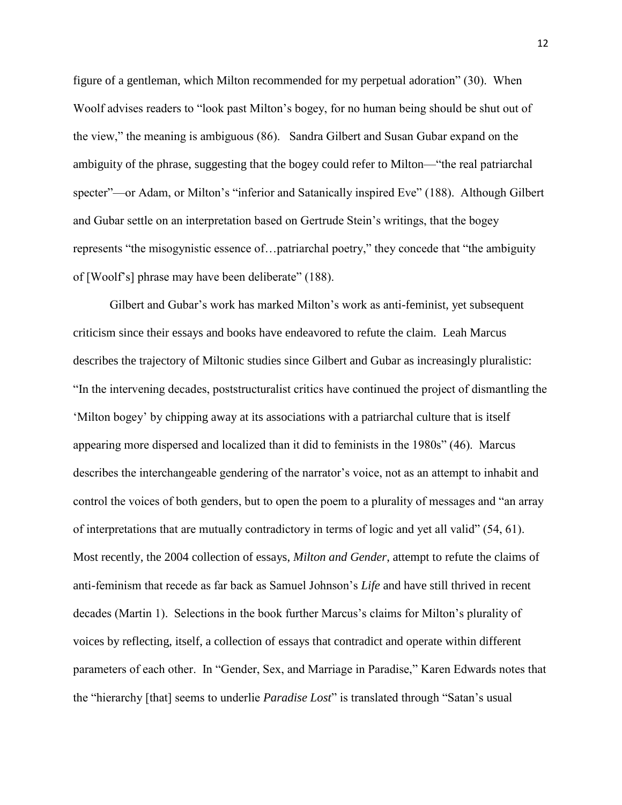figure of a gentleman, which Milton recommended for my perpetual adoration" (30). When Woolf advises readers to "look past Milton's bogey, for no human being should be shut out of the view," the meaning is ambiguous (86). Sandra Gilbert and Susan Gubar expand on the ambiguity of the phrase, suggesting that the bogey could refer to Milton—"the real patriarchal specter"—or Adam, or Milton's "inferior and Satanically inspired Eve" (188). Although Gilbert and Gubar settle on an interpretation based on Gertrude Stein's writings, that the bogey represents "the misogynistic essence of…patriarchal poetry," they concede that "the ambiguity of [Woolf's] phrase may have been deliberate" (188).

Gilbert and Gubar's work has marked Milton's work as anti-feminist, yet subsequent criticism since their essays and books have endeavored to refute the claim. Leah Marcus describes the trajectory of Miltonic studies since Gilbert and Gubar as increasingly pluralistic: "In the intervening decades, poststructuralist critics have continued the project of dismantling the 'Milton bogey' by chipping away at its associations with a patriarchal culture that is itself appearing more dispersed and localized than it did to feminists in the 1980s" (46). Marcus describes the interchangeable gendering of the narrator's voice, not as an attempt to inhabit and control the voices of both genders, but to open the poem to a plurality of messages and "an array of interpretations that are mutually contradictory in terms of logic and yet all valid" (54, 61). Most recently, the 2004 collection of essays, *Milton and Gender*, attempt to refute the claims of anti-feminism that recede as far back as Samuel Johnson's *Life* and have still thrived in recent decades (Martin 1). Selections in the book further Marcus's claims for Milton's plurality of voices by reflecting, itself, a collection of essays that contradict and operate within different parameters of each other. In "Gender, Sex, and Marriage in Paradise," Karen Edwards notes that the "hierarchy [that] seems to underlie *Paradise Lost*" is translated through "Satan's usual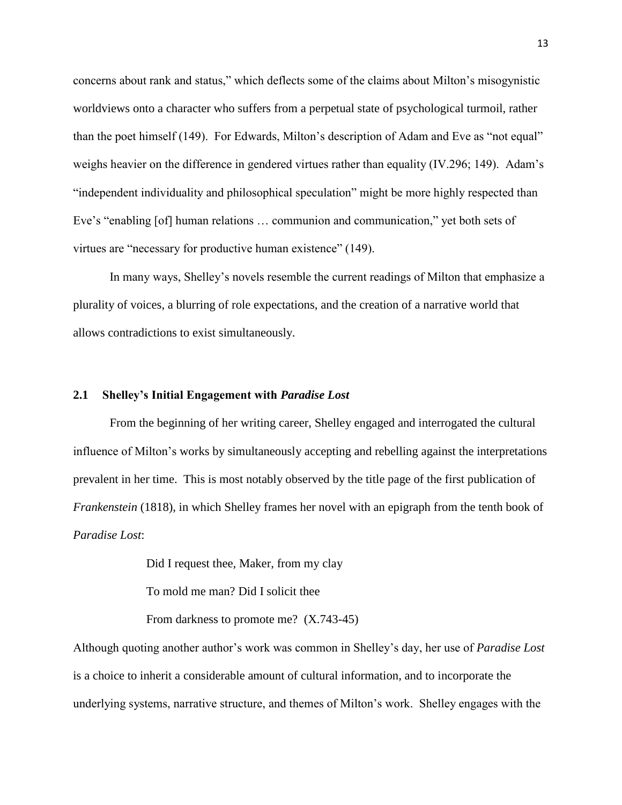concerns about rank and status," which deflects some of the claims about Milton's misogynistic worldviews onto a character who suffers from a perpetual state of psychological turmoil, rather than the poet himself (149). For Edwards, Milton's description of Adam and Eve as "not equal" weighs heavier on the difference in gendered virtues rather than equality (IV.296; 149). Adam's "independent individuality and philosophical speculation" might be more highly respected than Eve's "enabling [of] human relations … communion and communication," yet both sets of virtues are "necessary for productive human existence" (149).

In many ways, Shelley's novels resemble the current readings of Milton that emphasize a plurality of voices, a blurring of role expectations, and the creation of a narrative world that allows contradictions to exist simultaneously.

### <span id="page-20-0"></span>**2.1 Shelley's Initial Engagement with** *Paradise Lost*

From the beginning of her writing career, Shelley engaged and interrogated the cultural influence of Milton's works by simultaneously accepting and rebelling against the interpretations prevalent in her time. This is most notably observed by the title page of the first publication of *Frankenstein* (1818), in which Shelley frames her novel with an epigraph from the tenth book of *Paradise Lost*:

Did I request thee, Maker, from my clay

To mold me man? Did I solicit thee

From darkness to promote me? (X.743-45)

Although quoting another author's work was common in Shelley's day, her use of *Paradise Lost* is a choice to inherit a considerable amount of cultural information, and to incorporate the underlying systems, narrative structure, and themes of Milton's work. Shelley engages with the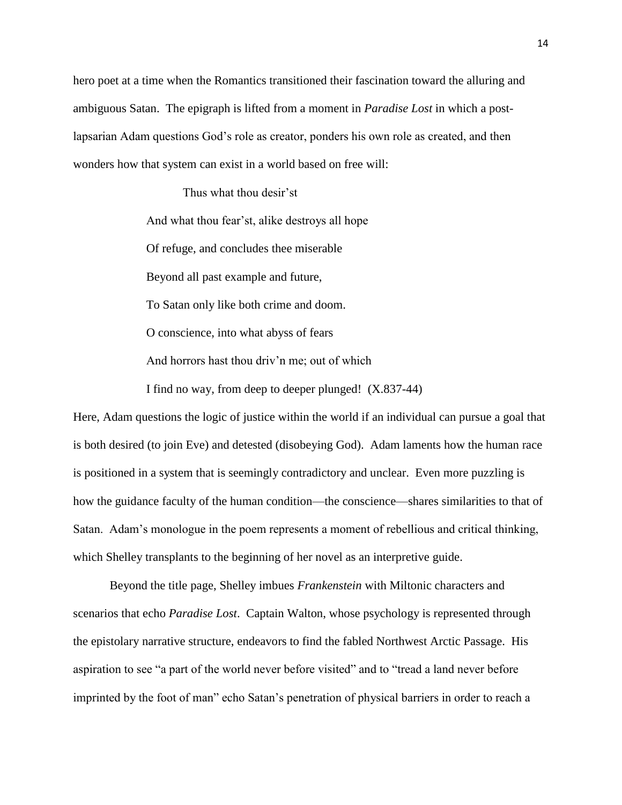hero poet at a time when the Romantics transitioned their fascination toward the alluring and ambiguous Satan. The epigraph is lifted from a moment in *Paradise Lost* in which a postlapsarian Adam questions God's role as creator, ponders his own role as created, and then wonders how that system can exist in a world based on free will:

> Thus what thou desir'st And what thou fear'st, alike destroys all hope Of refuge, and concludes thee miserable Beyond all past example and future, To Satan only like both crime and doom. O conscience, into what abyss of fears And horrors hast thou driv'n me; out of which I find no way, from deep to deeper plunged! (X.837-44)

Here, Adam questions the logic of justice within the world if an individual can pursue a goal that is both desired (to join Eve) and detested (disobeying God). Adam laments how the human race is positioned in a system that is seemingly contradictory and unclear. Even more puzzling is how the guidance faculty of the human condition—the conscience—shares similarities to that of Satan. Adam's monologue in the poem represents a moment of rebellious and critical thinking, which Shelley transplants to the beginning of her novel as an interpretive guide.

Beyond the title page, Shelley imbues *Frankenstein* with Miltonic characters and scenarios that echo *Paradise Lost*. Captain Walton, whose psychology is represented through the epistolary narrative structure, endeavors to find the fabled Northwest Arctic Passage. His aspiration to see "a part of the world never before visited" and to "tread a land never before imprinted by the foot of man" echo Satan's penetration of physical barriers in order to reach a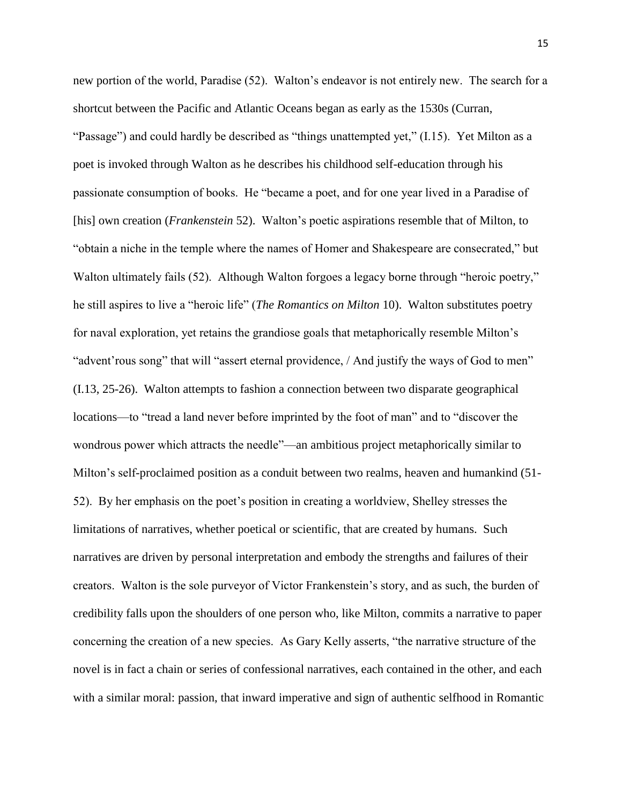new portion of the world, Paradise (52). Walton's endeavor is not entirely new. The search for a shortcut between the Pacific and Atlantic Oceans began as early as the 1530s (Curran, "Passage") and could hardly be described as "things unattempted yet," (I.15). Yet Milton as a poet is invoked through Walton as he describes his childhood self-education through his passionate consumption of books. He "became a poet, and for one year lived in a Paradise of [his] own creation (*Frankenstein* 52). Walton's poetic aspirations resemble that of Milton, to "obtain a niche in the temple where the names of Homer and Shakespeare are consecrated," but Walton ultimately fails (52). Although Walton forgoes a legacy borne through "heroic poetry," he still aspires to live a "heroic life" (*The Romantics on Milton* 10). Walton substitutes poetry for naval exploration, yet retains the grandiose goals that metaphorically resemble Milton's "advent'rous song" that will "assert eternal providence, / And justify the ways of God to men" (I.13, 25-26). Walton attempts to fashion a connection between two disparate geographical locations—to "tread a land never before imprinted by the foot of man" and to "discover the wondrous power which attracts the needle"—an ambitious project metaphorically similar to Milton's self-proclaimed position as a conduit between two realms, heaven and humankind (51- 52). By her emphasis on the poet's position in creating a worldview, Shelley stresses the limitations of narratives, whether poetical or scientific, that are created by humans. Such narratives are driven by personal interpretation and embody the strengths and failures of their creators. Walton is the sole purveyor of Victor Frankenstein's story, and as such, the burden of credibility falls upon the shoulders of one person who, like Milton, commits a narrative to paper concerning the creation of a new species. As Gary Kelly asserts, "the narrative structure of the novel is in fact a chain or series of confessional narratives, each contained in the other, and each with a similar moral: passion, that inward imperative and sign of authentic selfhood in Romantic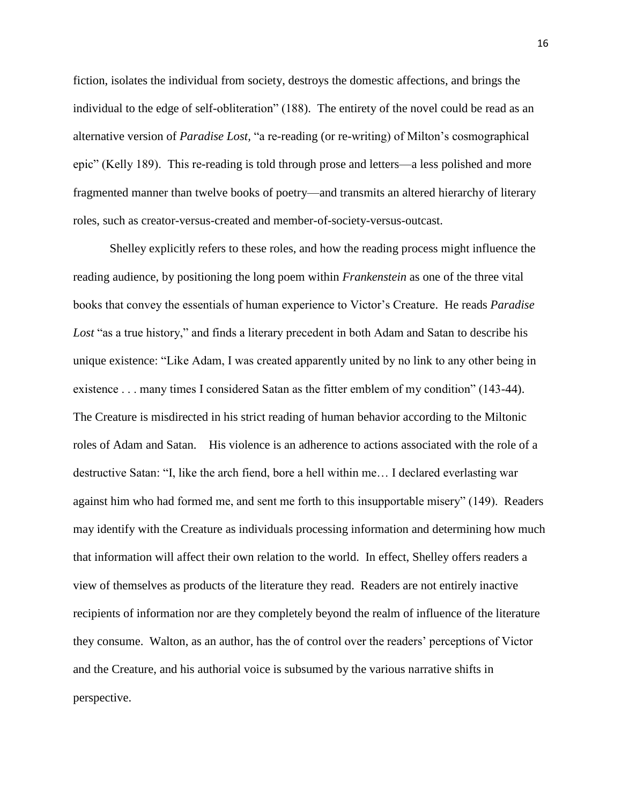fiction, isolates the individual from society, destroys the domestic affections, and brings the individual to the edge of self-obliteration" (188). The entirety of the novel could be read as an alternative version of *Paradise Lost,* "a re-reading (or re-writing) of Milton's cosmographical epic" (Kelly 189). This re-reading is told through prose and letters—a less polished and more fragmented manner than twelve books of poetry—and transmits an altered hierarchy of literary roles, such as creator-versus-created and member-of-society-versus-outcast.

Shelley explicitly refers to these roles, and how the reading process might influence the reading audience, by positioning the long poem within *Frankenstein* as one of the three vital books that convey the essentials of human experience to Victor's Creature. He reads *Paradise Lost* "as a true history," and finds a literary precedent in both Adam and Satan to describe his unique existence: "Like Adam, I was created apparently united by no link to any other being in existence . . . many times I considered Satan as the fitter emblem of my condition" (143-44). The Creature is misdirected in his strict reading of human behavior according to the Miltonic roles of Adam and Satan. His violence is an adherence to actions associated with the role of a destructive Satan: "I, like the arch fiend, bore a hell within me… I declared everlasting war against him who had formed me, and sent me forth to this insupportable misery" (149). Readers may identify with the Creature as individuals processing information and determining how much that information will affect their own relation to the world. In effect, Shelley offers readers a view of themselves as products of the literature they read. Readers are not entirely inactive recipients of information nor are they completely beyond the realm of influence of the literature they consume. Walton, as an author, has the of control over the readers' perceptions of Victor and the Creature, and his authorial voice is subsumed by the various narrative shifts in perspective.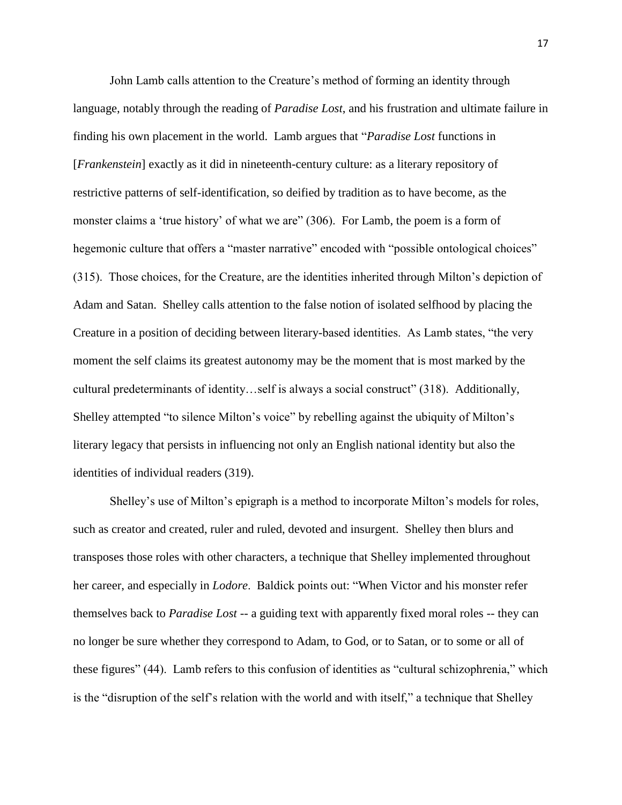John Lamb calls attention to the Creature's method of forming an identity through language, notably through the reading of *Paradise Lost*, and his frustration and ultimate failure in finding his own placement in the world. Lamb argues that "*Paradise Lost* functions in [*Frankenstein*] exactly as it did in nineteenth-century culture: as a literary repository of restrictive patterns of self-identification, so deified by tradition as to have become, as the monster claims a 'true history' of what we are" (306). For Lamb, the poem is a form of hegemonic culture that offers a "master narrative" encoded with "possible ontological choices" (315). Those choices, for the Creature, are the identities inherited through Milton's depiction of Adam and Satan. Shelley calls attention to the false notion of isolated selfhood by placing the Creature in a position of deciding between literary-based identities. As Lamb states, "the very moment the self claims its greatest autonomy may be the moment that is most marked by the cultural predeterminants of identity…self is always a social construct" (318). Additionally, Shelley attempted "to silence Milton's voice" by rebelling against the ubiquity of Milton's literary legacy that persists in influencing not only an English national identity but also the identities of individual readers (319).

Shelley's use of Milton's epigraph is a method to incorporate Milton's models for roles, such as creator and created, ruler and ruled, devoted and insurgent. Shelley then blurs and transposes those roles with other characters, a technique that Shelley implemented throughout her career, and especially in *Lodore*. Baldick points out: "When Victor and his monster refer themselves back to *Paradise Lost* -- a guiding text with apparently fixed moral roles -- they can no longer be sure whether they correspond to Adam, to God, or to Satan, or to some or all of these figures" (44). Lamb refers to this confusion of identities as "cultural schizophrenia," which is the "disruption of the self's relation with the world and with itself," a technique that Shelley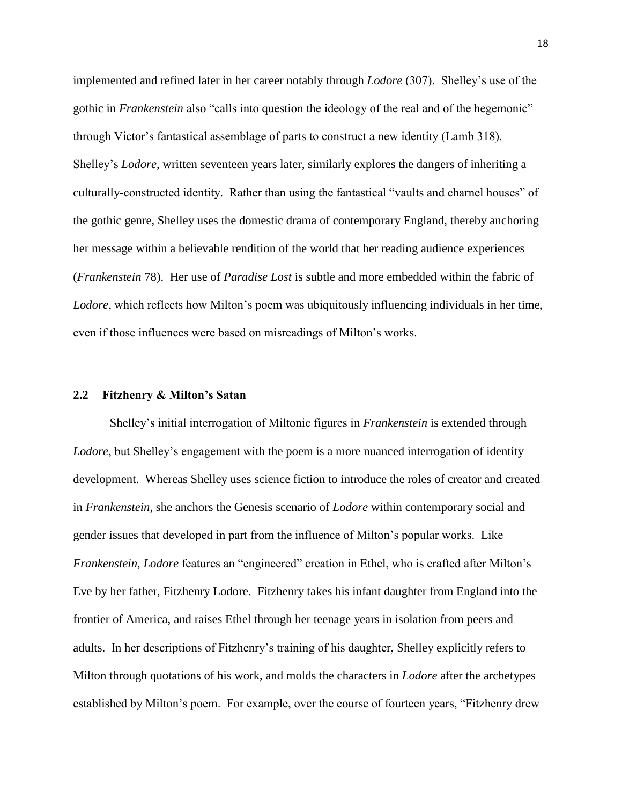implemented and refined later in her career notably through *Lodore* (307). Shelley's use of the gothic in *Frankenstein* also "calls into question the ideology of the real and of the hegemonic" through Victor's fantastical assemblage of parts to construct a new identity (Lamb 318). Shelley's *Lodore*, written seventeen years later, similarly explores the dangers of inheriting a culturally-constructed identity. Rather than using the fantastical "vaults and charnel houses" of the gothic genre, Shelley uses the domestic drama of contemporary England, thereby anchoring her message within a believable rendition of the world that her reading audience experiences (*Frankenstein* 78). Her use of *Paradise Lost* is subtle and more embedded within the fabric of *Lodore*, which reflects how Milton's poem was ubiquitously influencing individuals in her time, even if those influences were based on misreadings of Milton's works.

#### <span id="page-25-0"></span>**2.2 Fitzhenry & Milton's Satan**

Shelley's initial interrogation of Miltonic figures in *Frankenstein* is extended through *Lodore*, but Shelley's engagement with the poem is a more nuanced interrogation of identity development. Whereas Shelley uses science fiction to introduce the roles of creator and created in *Frankenstein*, she anchors the Genesis scenario of *Lodore* within contemporary social and gender issues that developed in part from the influence of Milton's popular works. Like *Frankenstein*, *Lodore* features an "engineered" creation in Ethel, who is crafted after Milton's Eve by her father, Fitzhenry Lodore. Fitzhenry takes his infant daughter from England into the frontier of America, and raises Ethel through her teenage years in isolation from peers and adults. In her descriptions of Fitzhenry's training of his daughter, Shelley explicitly refers to Milton through quotations of his work, and molds the characters in *Lodore* after the archetypes established by Milton's poem. For example, over the course of fourteen years, "Fitzhenry drew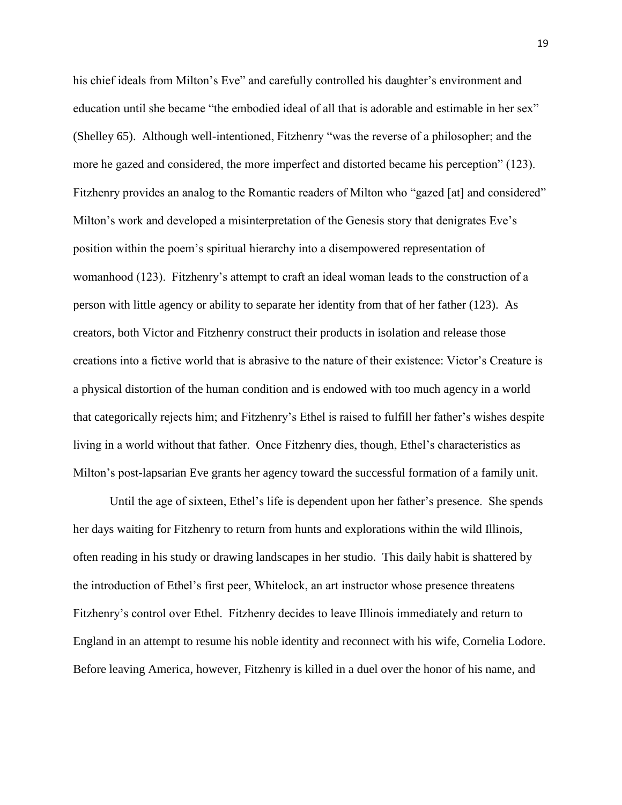his chief ideals from Milton's Eve" and carefully controlled his daughter's environment and education until she became "the embodied ideal of all that is adorable and estimable in her sex" (Shelley 65). Although well-intentioned, Fitzhenry "was the reverse of a philosopher; and the more he gazed and considered, the more imperfect and distorted became his perception" (123). Fitzhenry provides an analog to the Romantic readers of Milton who "gazed [at] and considered" Milton's work and developed a misinterpretation of the Genesis story that denigrates Eve's position within the poem's spiritual hierarchy into a disempowered representation of womanhood (123). Fitzhenry's attempt to craft an ideal woman leads to the construction of a person with little agency or ability to separate her identity from that of her father (123). As creators, both Victor and Fitzhenry construct their products in isolation and release those creations into a fictive world that is abrasive to the nature of their existence: Victor's Creature is a physical distortion of the human condition and is endowed with too much agency in a world that categorically rejects him; and Fitzhenry's Ethel is raised to fulfill her father's wishes despite living in a world without that father. Once Fitzhenry dies, though, Ethel's characteristics as Milton's post-lapsarian Eve grants her agency toward the successful formation of a family unit.

Until the age of sixteen, Ethel's life is dependent upon her father's presence. She spends her days waiting for Fitzhenry to return from hunts and explorations within the wild Illinois, often reading in his study or drawing landscapes in her studio. This daily habit is shattered by the introduction of Ethel's first peer, Whitelock, an art instructor whose presence threatens Fitzhenry's control over Ethel. Fitzhenry decides to leave Illinois immediately and return to England in an attempt to resume his noble identity and reconnect with his wife, Cornelia Lodore. Before leaving America, however, Fitzhenry is killed in a duel over the honor of his name, and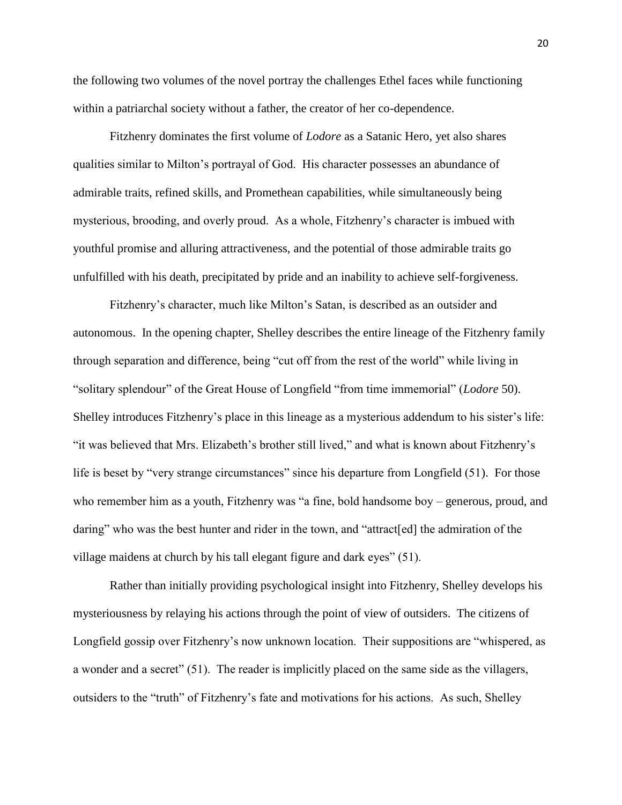the following two volumes of the novel portray the challenges Ethel faces while functioning within a patriarchal society without a father, the creator of her co-dependence.

Fitzhenry dominates the first volume of *Lodore* as a Satanic Hero, yet also shares qualities similar to Milton's portrayal of God. His character possesses an abundance of admirable traits, refined skills, and Promethean capabilities, while simultaneously being mysterious, brooding, and overly proud. As a whole, Fitzhenry's character is imbued with youthful promise and alluring attractiveness, and the potential of those admirable traits go unfulfilled with his death, precipitated by pride and an inability to achieve self-forgiveness.

Fitzhenry's character, much like Milton's Satan, is described as an outsider and autonomous. In the opening chapter, Shelley describes the entire lineage of the Fitzhenry family through separation and difference, being "cut off from the rest of the world" while living in "solitary splendour" of the Great House of Longfield "from time immemorial" (*Lodore* 50). Shelley introduces Fitzhenry's place in this lineage as a mysterious addendum to his sister's life: "it was believed that Mrs. Elizabeth's brother still lived," and what is known about Fitzhenry's life is beset by "very strange circumstances" since his departure from Longfield (51). For those who remember him as a youth, Fitzhenry was "a fine, bold handsome boy – generous, proud, and daring" who was the best hunter and rider in the town, and "attract [ed] the admiration of the village maidens at church by his tall elegant figure and dark eyes" (51).

Rather than initially providing psychological insight into Fitzhenry, Shelley develops his mysteriousness by relaying his actions through the point of view of outsiders. The citizens of Longfield gossip over Fitzhenry's now unknown location. Their suppositions are "whispered, as a wonder and a secret" (51). The reader is implicitly placed on the same side as the villagers, outsiders to the "truth" of Fitzhenry's fate and motivations for his actions. As such, Shelley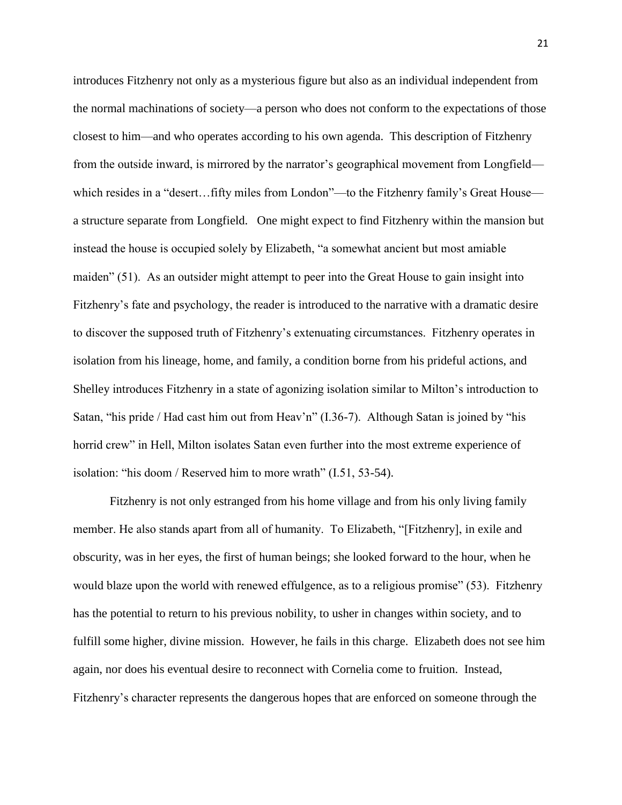introduces Fitzhenry not only as a mysterious figure but also as an individual independent from the normal machinations of society—a person who does not conform to the expectations of those closest to him—and who operates according to his own agenda. This description of Fitzhenry from the outside inward, is mirrored by the narrator's geographical movement from Longfield which resides in a "desert...fifty miles from London"—to the Fitzhenry family's Great House a structure separate from Longfield. One might expect to find Fitzhenry within the mansion but instead the house is occupied solely by Elizabeth, "a somewhat ancient but most amiable maiden" (51). As an outsider might attempt to peer into the Great House to gain insight into Fitzhenry's fate and psychology, the reader is introduced to the narrative with a dramatic desire to discover the supposed truth of Fitzhenry's extenuating circumstances. Fitzhenry operates in isolation from his lineage, home, and family, a condition borne from his prideful actions, and Shelley introduces Fitzhenry in a state of agonizing isolation similar to Milton's introduction to Satan, "his pride / Had cast him out from Heav'n" (I.36-7). Although Satan is joined by "his horrid crew" in Hell, Milton isolates Satan even further into the most extreme experience of isolation: "his doom / Reserved him to more wrath" (I.51, 53-54).

Fitzhenry is not only estranged from his home village and from his only living family member. He also stands apart from all of humanity. To Elizabeth, "[Fitzhenry], in exile and obscurity, was in her eyes, the first of human beings; she looked forward to the hour, when he would blaze upon the world with renewed effulgence, as to a religious promise" (53). Fitzhenry has the potential to return to his previous nobility, to usher in changes within society, and to fulfill some higher, divine mission. However, he fails in this charge. Elizabeth does not see him again, nor does his eventual desire to reconnect with Cornelia come to fruition. Instead, Fitzhenry's character represents the dangerous hopes that are enforced on someone through the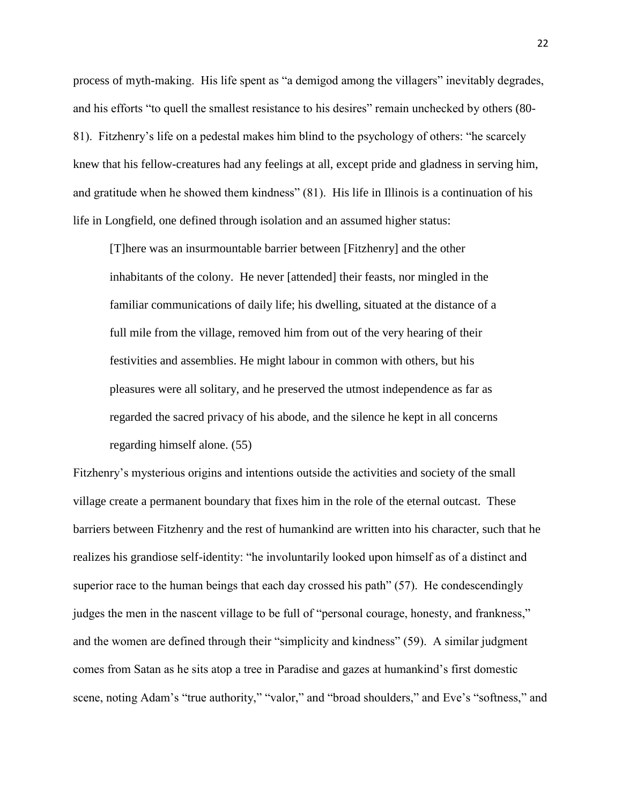process of myth-making. His life spent as "a demigod among the villagers" inevitably degrades, and his efforts "to quell the smallest resistance to his desires" remain unchecked by others (80- 81). Fitzhenry's life on a pedestal makes him blind to the psychology of others: "he scarcely knew that his fellow-creatures had any feelings at all, except pride and gladness in serving him, and gratitude when he showed them kindness" (81). His life in Illinois is a continuation of his life in Longfield, one defined through isolation and an assumed higher status:

[T]here was an insurmountable barrier between [Fitzhenry] and the other inhabitants of the colony. He never [attended] their feasts, nor mingled in the familiar communications of daily life; his dwelling, situated at the distance of a full mile from the village, removed him from out of the very hearing of their festivities and assemblies. He might labour in common with others, but his pleasures were all solitary, and he preserved the utmost independence as far as regarded the sacred privacy of his abode, and the silence he kept in all concerns regarding himself alone. (55)

Fitzhenry's mysterious origins and intentions outside the activities and society of the small village create a permanent boundary that fixes him in the role of the eternal outcast. These barriers between Fitzhenry and the rest of humankind are written into his character, such that he realizes his grandiose self-identity: "he involuntarily looked upon himself as of a distinct and superior race to the human beings that each day crossed his path" (57). He condescendingly judges the men in the nascent village to be full of "personal courage, honesty, and frankness," and the women are defined through their "simplicity and kindness" (59). A similar judgment comes from Satan as he sits atop a tree in Paradise and gazes at humankind's first domestic scene, noting Adam's "true authority," "valor," and "broad shoulders," and Eve's "softness," and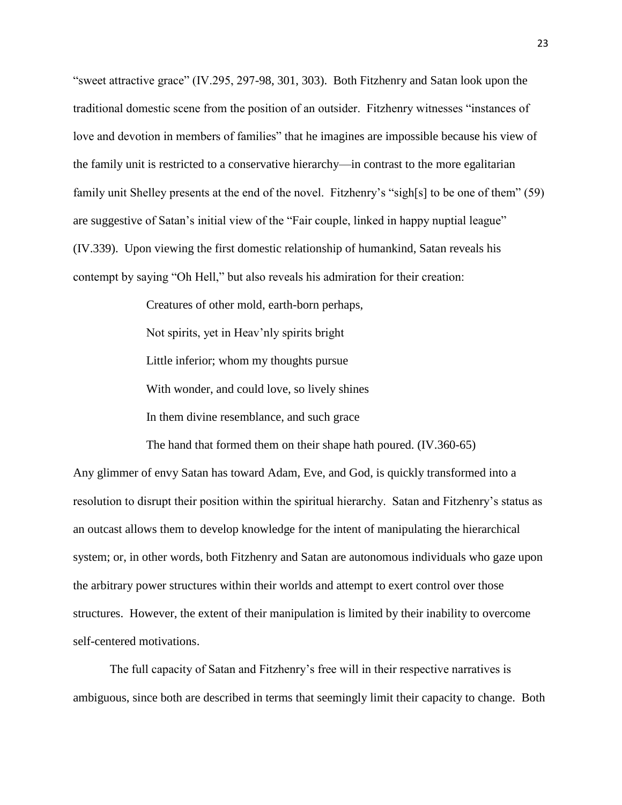"sweet attractive grace" (IV.295, 297-98, 301, 303). Both Fitzhenry and Satan look upon the traditional domestic scene from the position of an outsider. Fitzhenry witnesses "instances of love and devotion in members of families" that he imagines are impossible because his view of the family unit is restricted to a conservative hierarchy—in contrast to the more egalitarian family unit Shelley presents at the end of the novel. Fitzhenry's "sigh[s] to be one of them" (59) are suggestive of Satan's initial view of the "Fair couple, linked in happy nuptial league" (IV.339). Upon viewing the first domestic relationship of humankind, Satan reveals his contempt by saying "Oh Hell," but also reveals his admiration for their creation:

> Creatures of other mold, earth-born perhaps, Not spirits, yet in Heav'nly spirits bright Little inferior; whom my thoughts pursue With wonder, and could love, so lively shines In them divine resemblance, and such grace

The hand that formed them on their shape hath poured. (IV.360-65) Any glimmer of envy Satan has toward Adam, Eve, and God, is quickly transformed into a resolution to disrupt their position within the spiritual hierarchy. Satan and Fitzhenry's status as an outcast allows them to develop knowledge for the intent of manipulating the hierarchical system; or, in other words, both Fitzhenry and Satan are autonomous individuals who gaze upon the arbitrary power structures within their worlds and attempt to exert control over those structures. However, the extent of their manipulation is limited by their inability to overcome self-centered motivations.

The full capacity of Satan and Fitzhenry's free will in their respective narratives is ambiguous, since both are described in terms that seemingly limit their capacity to change. Both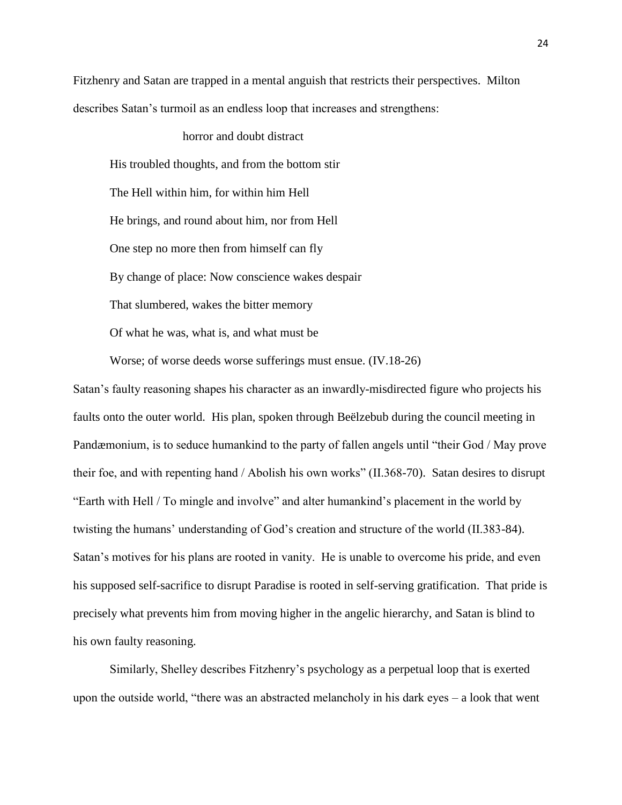Fitzhenry and Satan are trapped in a mental anguish that restricts their perspectives. Milton describes Satan's turmoil as an endless loop that increases and strengthens:

horror and doubt distract

His troubled thoughts, and from the bottom stir The Hell within him, for within him Hell He brings, and round about him, nor from Hell One step no more then from himself can fly By change of place: Now conscience wakes despair That slumbered, wakes the bitter memory Of what he was, what is, and what must be

Worse; of worse deeds worse sufferings must ensue. (IV.18-26)

Satan's faulty reasoning shapes his character as an inwardly-misdirected figure who projects his faults onto the outer world. His plan, spoken through Beëlzebub during the council meeting in Pandæmonium, is to seduce humankind to the party of fallen angels until "their God / May prove their foe, and with repenting hand / Abolish his own works" (II.368-70). Satan desires to disrupt "Earth with Hell / To mingle and involve" and alter humankind's placement in the world by twisting the humans' understanding of God's creation and structure of the world (II.383-84). Satan's motives for his plans are rooted in vanity. He is unable to overcome his pride, and even his supposed self-sacrifice to disrupt Paradise is rooted in self-serving gratification. That pride is precisely what prevents him from moving higher in the angelic hierarchy, and Satan is blind to his own faulty reasoning.

Similarly, Shelley describes Fitzhenry's psychology as a perpetual loop that is exerted upon the outside world, "there was an abstracted melancholy in his dark eyes – a look that went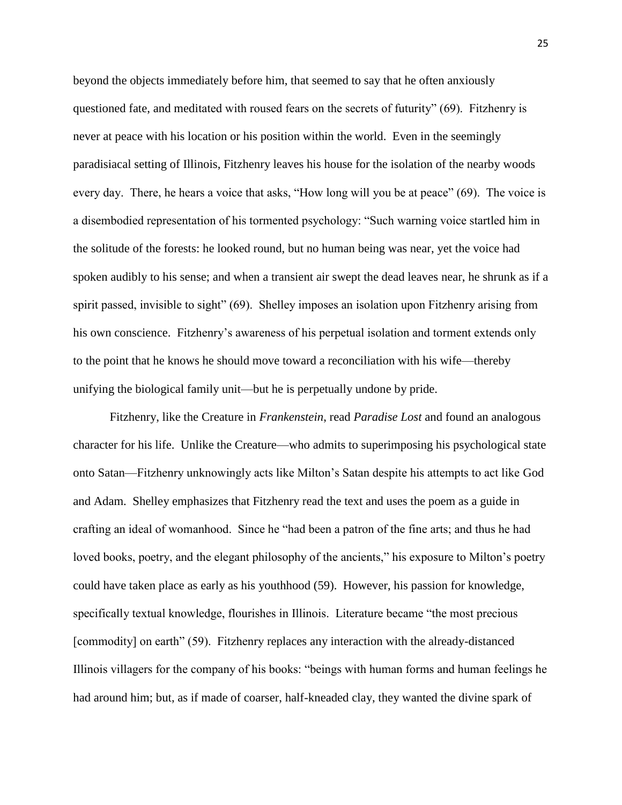beyond the objects immediately before him, that seemed to say that he often anxiously questioned fate, and meditated with roused fears on the secrets of futurity" (69). Fitzhenry is never at peace with his location or his position within the world. Even in the seemingly paradisiacal setting of Illinois, Fitzhenry leaves his house for the isolation of the nearby woods every day. There, he hears a voice that asks, "How long will you be at peace" (69). The voice is a disembodied representation of his tormented psychology: "Such warning voice startled him in the solitude of the forests: he looked round, but no human being was near, yet the voice had spoken audibly to his sense; and when a transient air swept the dead leaves near, he shrunk as if a spirit passed, invisible to sight" (69). Shelley imposes an isolation upon Fitzhenry arising from his own conscience. Fitzhenry's awareness of his perpetual isolation and torment extends only to the point that he knows he should move toward a reconciliation with his wife—thereby unifying the biological family unit—but he is perpetually undone by pride.

Fitzhenry, like the Creature in *Frankenstein*, read *Paradise Lost* and found an analogous character for his life. Unlike the Creature—who admits to superimposing his psychological state onto Satan—Fitzhenry unknowingly acts like Milton's Satan despite his attempts to act like God and Adam. Shelley emphasizes that Fitzhenry read the text and uses the poem as a guide in crafting an ideal of womanhood. Since he "had been a patron of the fine arts; and thus he had loved books, poetry, and the elegant philosophy of the ancients," his exposure to Milton's poetry could have taken place as early as his youthhood (59). However, his passion for knowledge, specifically textual knowledge, flourishes in Illinois. Literature became "the most precious [commodity] on earth" (59). Fitzhenry replaces any interaction with the already-distanced Illinois villagers for the company of his books: "beings with human forms and human feelings he had around him; but, as if made of coarser, half-kneaded clay, they wanted the divine spark of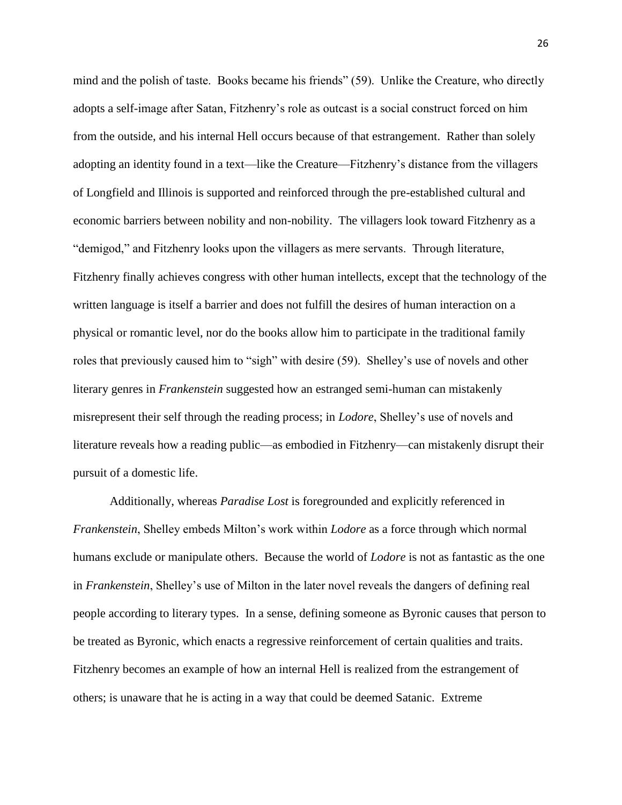mind and the polish of taste. Books became his friends" (59). Unlike the Creature, who directly adopts a self-image after Satan, Fitzhenry's role as outcast is a social construct forced on him from the outside, and his internal Hell occurs because of that estrangement. Rather than solely adopting an identity found in a text—like the Creature—Fitzhenry's distance from the villagers of Longfield and Illinois is supported and reinforced through the pre-established cultural and economic barriers between nobility and non-nobility. The villagers look toward Fitzhenry as a "demigod," and Fitzhenry looks upon the villagers as mere servants. Through literature, Fitzhenry finally achieves congress with other human intellects, except that the technology of the written language is itself a barrier and does not fulfill the desires of human interaction on a physical or romantic level, nor do the books allow him to participate in the traditional family roles that previously caused him to "sigh" with desire (59). Shelley's use of novels and other literary genres in *Frankenstein* suggested how an estranged semi-human can mistakenly misrepresent their self through the reading process; in *Lodore*, Shelley's use of novels and literature reveals how a reading public—as embodied in Fitzhenry—can mistakenly disrupt their pursuit of a domestic life.

Additionally, whereas *Paradise Lost* is foregrounded and explicitly referenced in *Frankenstein*, Shelley embeds Milton's work within *Lodore* as a force through which normal humans exclude or manipulate others. Because the world of *Lodore* is not as fantastic as the one in *Frankenstein*, Shelley's use of Milton in the later novel reveals the dangers of defining real people according to literary types. In a sense, defining someone as Byronic causes that person to be treated as Byronic, which enacts a regressive reinforcement of certain qualities and traits. Fitzhenry becomes an example of how an internal Hell is realized from the estrangement of others; is unaware that he is acting in a way that could be deemed Satanic. Extreme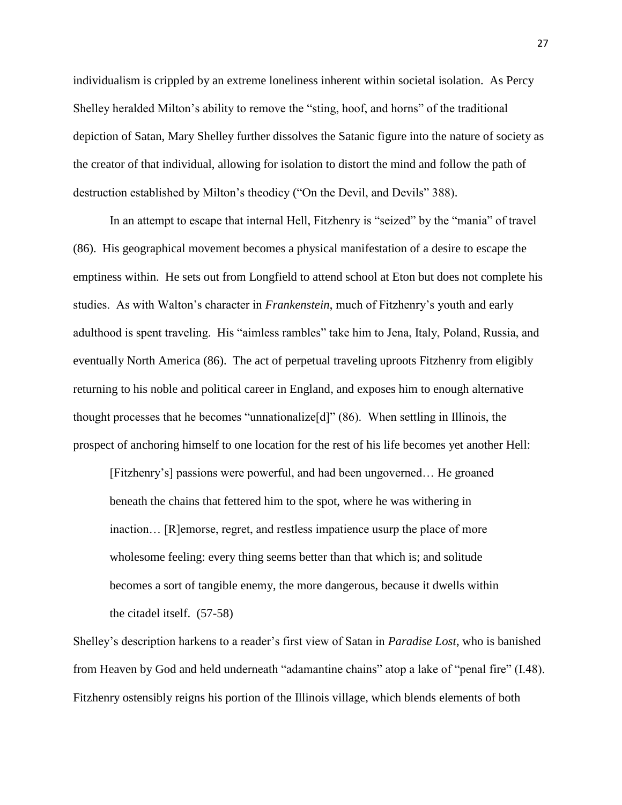individualism is crippled by an extreme loneliness inherent within societal isolation. As Percy Shelley heralded Milton's ability to remove the "sting, hoof, and horns" of the traditional depiction of Satan, Mary Shelley further dissolves the Satanic figure into the nature of society as the creator of that individual, allowing for isolation to distort the mind and follow the path of destruction established by Milton's theodicy ("On the Devil, and Devils" 388).

In an attempt to escape that internal Hell, Fitzhenry is "seized" by the "mania" of travel (86). His geographical movement becomes a physical manifestation of a desire to escape the emptiness within. He sets out from Longfield to attend school at Eton but does not complete his studies. As with Walton's character in *Frankenstein*, much of Fitzhenry's youth and early adulthood is spent traveling. His "aimless rambles" take him to Jena, Italy, Poland, Russia, and eventually North America (86). The act of perpetual traveling uproots Fitzhenry from eligibly returning to his noble and political career in England, and exposes him to enough alternative thought processes that he becomes "unnationalize[d]" (86). When settling in Illinois, the prospect of anchoring himself to one location for the rest of his life becomes yet another Hell:

[Fitzhenry's] passions were powerful, and had been ungoverned… He groaned beneath the chains that fettered him to the spot, where he was withering in inaction… [R]emorse, regret, and restless impatience usurp the place of more wholesome feeling: every thing seems better than that which is; and solitude becomes a sort of tangible enemy, the more dangerous, because it dwells within the citadel itself. (57-58)

Shelley's description harkens to a reader's first view of Satan in *Paradise Lost*, who is banished from Heaven by God and held underneath "adamantine chains" atop a lake of "penal fire" (I.48). Fitzhenry ostensibly reigns his portion of the Illinois village, which blends elements of both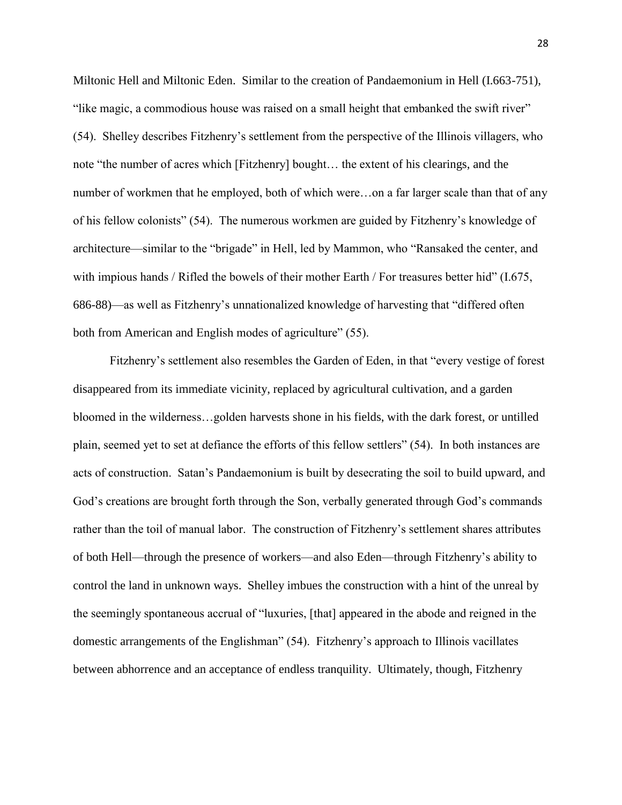Miltonic Hell and Miltonic Eden. Similar to the creation of Pandaemonium in Hell (I.663-751), "like magic, a commodious house was raised on a small height that embanked the swift river" (54). Shelley describes Fitzhenry's settlement from the perspective of the Illinois villagers, who note "the number of acres which [Fitzhenry] bought… the extent of his clearings, and the number of workmen that he employed, both of which were...on a far larger scale than that of any of his fellow colonists" (54). The numerous workmen are guided by Fitzhenry's knowledge of architecture—similar to the "brigade" in Hell, led by Mammon, who "Ransaked the center, and with impious hands / Rifled the bowels of their mother Earth / For treasures better hid" (I.675, 686-88)—as well as Fitzhenry's unnationalized knowledge of harvesting that "differed often both from American and English modes of agriculture" (55).

Fitzhenry's settlement also resembles the Garden of Eden, in that "every vestige of forest disappeared from its immediate vicinity, replaced by agricultural cultivation, and a garden bloomed in the wilderness…golden harvests shone in his fields, with the dark forest, or untilled plain, seemed yet to set at defiance the efforts of this fellow settlers" (54). In both instances are acts of construction. Satan's Pandaemonium is built by desecrating the soil to build upward, and God's creations are brought forth through the Son, verbally generated through God's commands rather than the toil of manual labor. The construction of Fitzhenry's settlement shares attributes of both Hell—through the presence of workers—and also Eden—through Fitzhenry's ability to control the land in unknown ways. Shelley imbues the construction with a hint of the unreal by the seemingly spontaneous accrual of "luxuries, [that] appeared in the abode and reigned in the domestic arrangements of the Englishman" (54). Fitzhenry's approach to Illinois vacillates between abhorrence and an acceptance of endless tranquility. Ultimately, though, Fitzhenry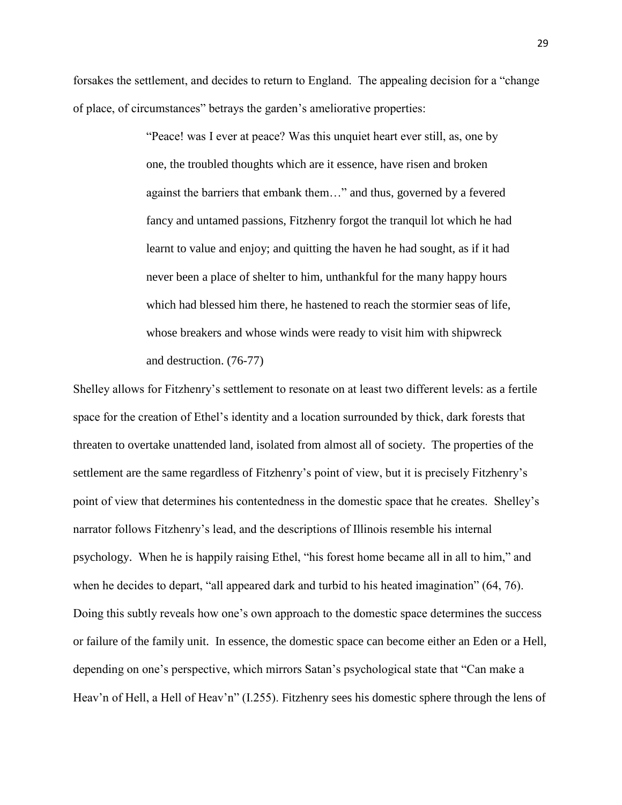forsakes the settlement, and decides to return to England. The appealing decision for a "change of place, of circumstances" betrays the garden's ameliorative properties:

> "Peace! was I ever at peace? Was this unquiet heart ever still, as, one by one, the troubled thoughts which are it essence, have risen and broken against the barriers that embank them…" and thus, governed by a fevered fancy and untamed passions, Fitzhenry forgot the tranquil lot which he had learnt to value and enjoy; and quitting the haven he had sought, as if it had never been a place of shelter to him, unthankful for the many happy hours which had blessed him there, he hastened to reach the stormier seas of life, whose breakers and whose winds were ready to visit him with shipwreck and destruction. (76-77)

Shelley allows for Fitzhenry's settlement to resonate on at least two different levels: as a fertile space for the creation of Ethel's identity and a location surrounded by thick, dark forests that threaten to overtake unattended land, isolated from almost all of society. The properties of the settlement are the same regardless of Fitzhenry's point of view, but it is precisely Fitzhenry's point of view that determines his contentedness in the domestic space that he creates. Shelley's narrator follows Fitzhenry's lead, and the descriptions of Illinois resemble his internal psychology. When he is happily raising Ethel, "his forest home became all in all to him," and when he decides to depart, "all appeared dark and turbid to his heated imagination" (64, 76). Doing this subtly reveals how one's own approach to the domestic space determines the success or failure of the family unit. In essence, the domestic space can become either an Eden or a Hell, depending on one's perspective, which mirrors Satan's psychological state that "Can make a Heav'n of Hell, a Hell of Heav'n" (I.255). Fitzhenry sees his domestic sphere through the lens of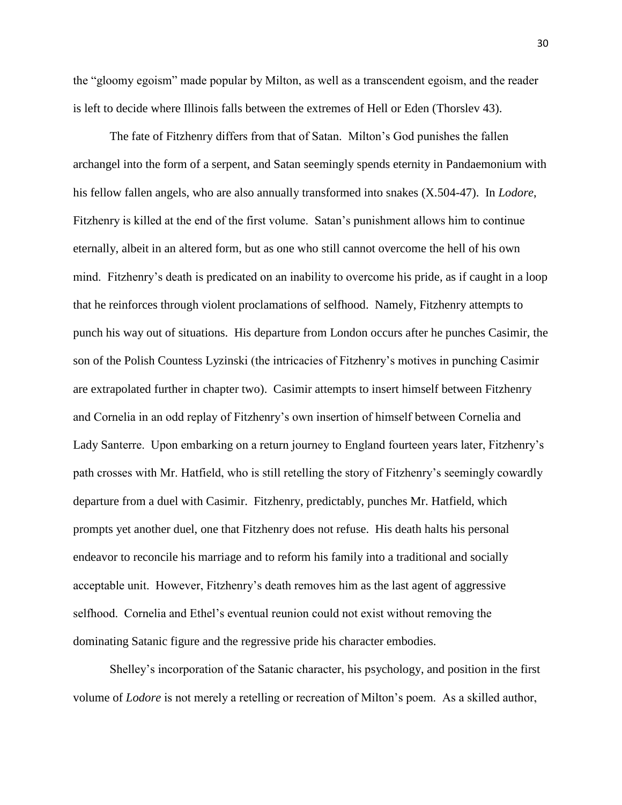the "gloomy egoism" made popular by Milton, as well as a transcendent egoism, and the reader is left to decide where Illinois falls between the extremes of Hell or Eden (Thorslev 43).

The fate of Fitzhenry differs from that of Satan. Milton's God punishes the fallen archangel into the form of a serpent, and Satan seemingly spends eternity in Pandaemonium with his fellow fallen angels, who are also annually transformed into snakes (X.504-47). In *Lodore*, Fitzhenry is killed at the end of the first volume. Satan's punishment allows him to continue eternally, albeit in an altered form, but as one who still cannot overcome the hell of his own mind. Fitzhenry's death is predicated on an inability to overcome his pride, as if caught in a loop that he reinforces through violent proclamations of selfhood. Namely, Fitzhenry attempts to punch his way out of situations. His departure from London occurs after he punches Casimir, the son of the Polish Countess Lyzinski (the intricacies of Fitzhenry's motives in punching Casimir are extrapolated further in chapter two). Casimir attempts to insert himself between Fitzhenry and Cornelia in an odd replay of Fitzhenry's own insertion of himself between Cornelia and Lady Santerre. Upon embarking on a return journey to England fourteen years later, Fitzhenry's path crosses with Mr. Hatfield, who is still retelling the story of Fitzhenry's seemingly cowardly departure from a duel with Casimir. Fitzhenry, predictably, punches Mr. Hatfield, which prompts yet another duel, one that Fitzhenry does not refuse. His death halts his personal endeavor to reconcile his marriage and to reform his family into a traditional and socially acceptable unit. However, Fitzhenry's death removes him as the last agent of aggressive selfhood. Cornelia and Ethel's eventual reunion could not exist without removing the dominating Satanic figure and the regressive pride his character embodies.

Shelley's incorporation of the Satanic character, his psychology, and position in the first volume of *Lodore* is not merely a retelling or recreation of Milton's poem. As a skilled author,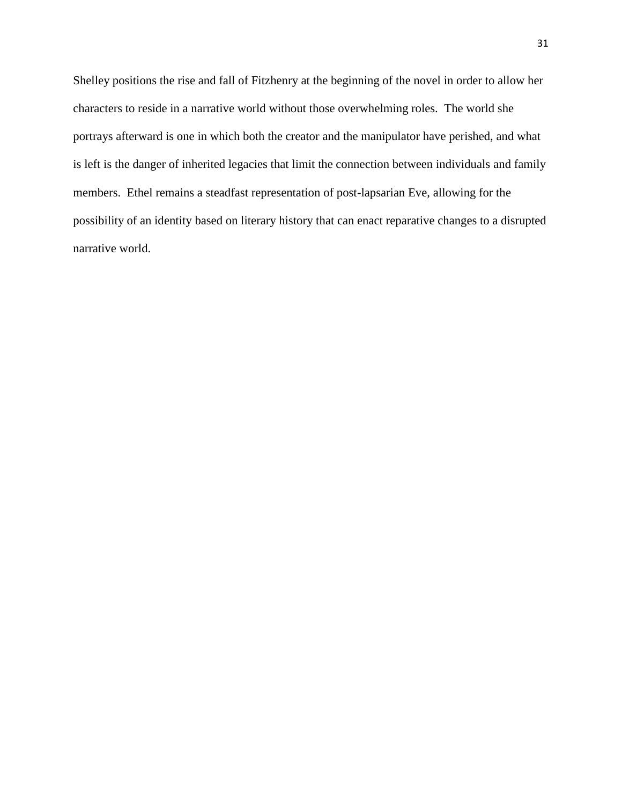Shelley positions the rise and fall of Fitzhenry at the beginning of the novel in order to allow her characters to reside in a narrative world without those overwhelming roles. The world she portrays afterward is one in which both the creator and the manipulator have perished, and what is left is the danger of inherited legacies that limit the connection between individuals and family members. Ethel remains a steadfast representation of post-lapsarian Eve, allowing for the possibility of an identity based on literary history that can enact reparative changes to a disrupted narrative world.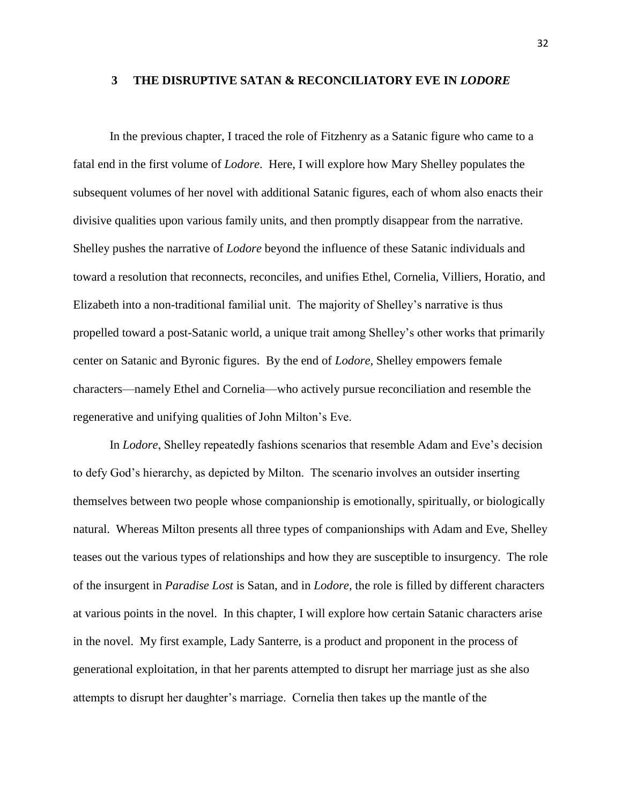#### **3 THE DISRUPTIVE SATAN & RECONCILIATORY EVE IN** *LODORE*

In the previous chapter, I traced the role of Fitzhenry as a Satanic figure who came to a fatal end in the first volume of *Lodore*. Here, I will explore how Mary Shelley populates the subsequent volumes of her novel with additional Satanic figures, each of whom also enacts their divisive qualities upon various family units, and then promptly disappear from the narrative. Shelley pushes the narrative of *Lodore* beyond the influence of these Satanic individuals and toward a resolution that reconnects, reconciles, and unifies Ethel, Cornelia, Villiers, Horatio, and Elizabeth into a non-traditional familial unit. The majority of Shelley's narrative is thus propelled toward a post-Satanic world, a unique trait among Shelley's other works that primarily center on Satanic and Byronic figures. By the end of *Lodore*, Shelley empowers female characters—namely Ethel and Cornelia—who actively pursue reconciliation and resemble the regenerative and unifying qualities of John Milton's Eve.

In *Lodore*, Shelley repeatedly fashions scenarios that resemble Adam and Eve's decision to defy God's hierarchy, as depicted by Milton. The scenario involves an outsider inserting themselves between two people whose companionship is emotionally, spiritually, or biologically natural. Whereas Milton presents all three types of companionships with Adam and Eve, Shelley teases out the various types of relationships and how they are susceptible to insurgency. The role of the insurgent in *Paradise Lost* is Satan, and in *Lodore*, the role is filled by different characters at various points in the novel. In this chapter, I will explore how certain Satanic characters arise in the novel. My first example, Lady Santerre, is a product and proponent in the process of generational exploitation, in that her parents attempted to disrupt her marriage just as she also attempts to disrupt her daughter's marriage. Cornelia then takes up the mantle of the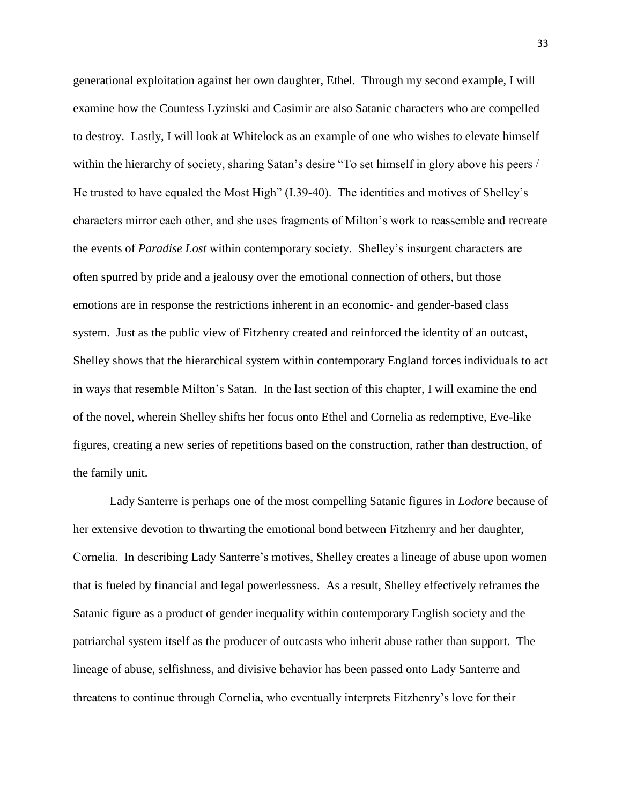generational exploitation against her own daughter, Ethel. Through my second example, I will examine how the Countess Lyzinski and Casimir are also Satanic characters who are compelled to destroy. Lastly, I will look at Whitelock as an example of one who wishes to elevate himself within the hierarchy of society, sharing Satan's desire "To set himself in glory above his peers / He trusted to have equaled the Most High" (I.39-40). The identities and motives of Shelley's characters mirror each other, and she uses fragments of Milton's work to reassemble and recreate the events of *Paradise Lost* within contemporary society. Shelley's insurgent characters are often spurred by pride and a jealousy over the emotional connection of others, but those emotions are in response the restrictions inherent in an economic- and gender-based class system. Just as the public view of Fitzhenry created and reinforced the identity of an outcast, Shelley shows that the hierarchical system within contemporary England forces individuals to act in ways that resemble Milton's Satan. In the last section of this chapter, I will examine the end of the novel, wherein Shelley shifts her focus onto Ethel and Cornelia as redemptive, Eve-like figures, creating a new series of repetitions based on the construction, rather than destruction, of the family unit.

Lady Santerre is perhaps one of the most compelling Satanic figures in *Lodore* because of her extensive devotion to thwarting the emotional bond between Fitzhenry and her daughter, Cornelia. In describing Lady Santerre's motives, Shelley creates a lineage of abuse upon women that is fueled by financial and legal powerlessness. As a result, Shelley effectively reframes the Satanic figure as a product of gender inequality within contemporary English society and the patriarchal system itself as the producer of outcasts who inherit abuse rather than support. The lineage of abuse, selfishness, and divisive behavior has been passed onto Lady Santerre and threatens to continue through Cornelia, who eventually interprets Fitzhenry's love for their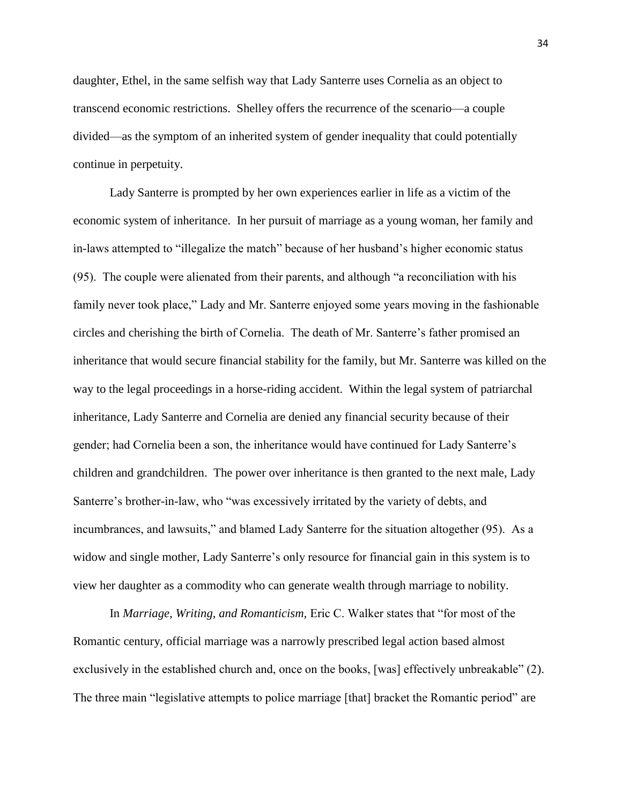daughter, Ethel, in the same selfish way that Lady Santerre uses Cornelia as an object to transcend economic restrictions. Shelley offers the recurrence of the scenario—a couple divided—as the symptom of an inherited system of gender inequality that could potentially continue in perpetuity.

Lady Santerre is prompted by her own experiences earlier in life as a victim of the economic system of inheritance. In her pursuit of marriage as a young woman, her family and in-laws attempted to "illegalize the match" because of her husband's higher economic status (95). The couple were alienated from their parents, and although "a reconciliation with his family never took place," Lady and Mr. Santerre enjoyed some years moving in the fashionable circles and cherishing the birth of Cornelia. The death of Mr. Santerre's father promised an inheritance that would secure financial stability for the family, but Mr. Santerre was killed on the way to the legal proceedings in a horse-riding accident. Within the legal system of patriarchal inheritance, Lady Santerre and Cornelia are denied any financial security because of their gender; had Cornelia been a son, the inheritance would have continued for Lady Santerre's children and grandchildren. The power over inheritance is then granted to the next male, Lady Santerre's brother-in-law, who "was excessively irritated by the variety of debts, and incumbrances, and lawsuits," and blamed Lady Santerre for the situation altogether (95). As a widow and single mother, Lady Santerre's only resource for financial gain in this system is to view her daughter as a commodity who can generate wealth through marriage to nobility.

In *Marriage, Writing, and Romanticism,* Eric C. Walker states that "for most of the Romantic century, official marriage was a narrowly prescribed legal action based almost exclusively in the established church and, once on the books, [was] effectively unbreakable" (2). The three main "legislative attempts to police marriage [that] bracket the Romantic period" are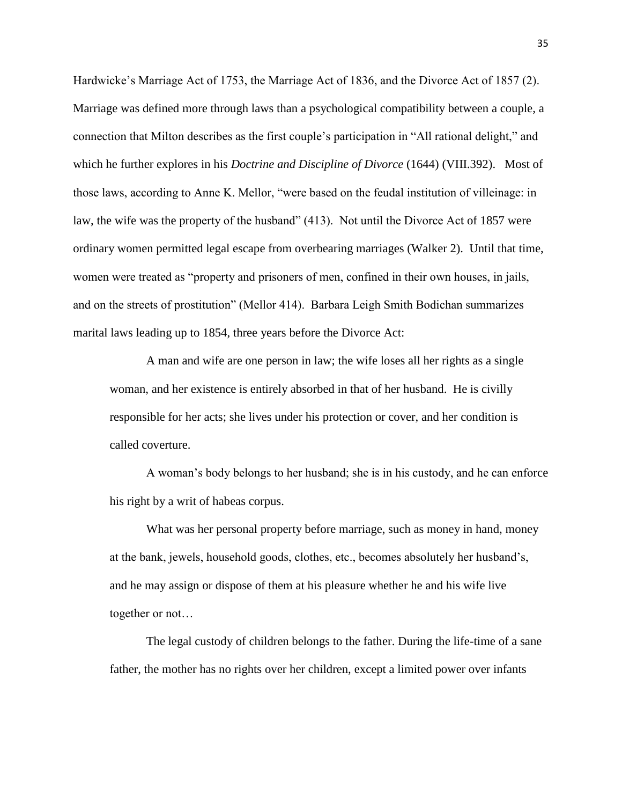Hardwicke's Marriage Act of 1753, the Marriage Act of 1836, and the Divorce Act of 1857 (2). Marriage was defined more through laws than a psychological compatibility between a couple, a connection that Milton describes as the first couple's participation in "All rational delight," and which he further explores in his *Doctrine and Discipline of Divorce* (1644) (VIII.392). Most of those laws, according to Anne K. Mellor, "were based on the feudal institution of villeinage: in law, the wife was the property of the husband" (413). Not until the Divorce Act of 1857 were ordinary women permitted legal escape from overbearing marriages (Walker 2). Until that time, women were treated as "property and prisoners of men, confined in their own houses, in jails, and on the streets of prostitution" (Mellor 414). Barbara Leigh Smith Bodichan summarizes marital laws leading up to 1854, three years before the Divorce Act:

A man and wife are one person in law; the wife loses all her rights as a single woman, and her existence is entirely absorbed in that of her husband. He is civilly responsible for her acts; she lives under his protection or cover, and her condition is called coverture.

A woman's body belongs to her husband; she is in his custody, and he can enforce his right by a writ of habeas corpus.

What was her personal property before marriage, such as money in hand, money at the bank, jewels, household goods, clothes, etc., becomes absolutely her husband's, and he may assign or dispose of them at his pleasure whether he and his wife live together or not…

The legal custody of children belongs to the father. During the life-time of a sane father, the mother has no rights over her children, except a limited power over infants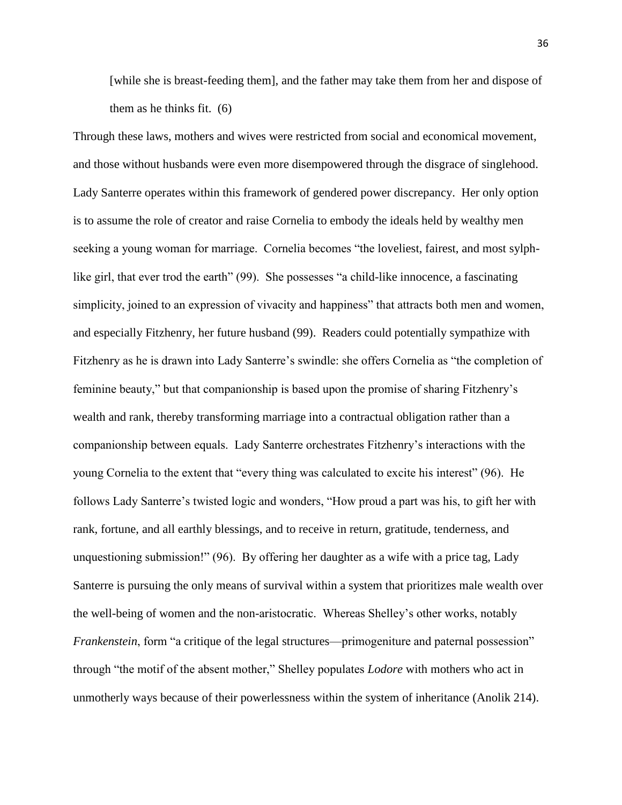[while she is breast-feeding them], and the father may take them from her and dispose of them as he thinks fit. (6)

Through these laws, mothers and wives were restricted from social and economical movement, and those without husbands were even more disempowered through the disgrace of singlehood. Lady Santerre operates within this framework of gendered power discrepancy. Her only option is to assume the role of creator and raise Cornelia to embody the ideals held by wealthy men seeking a young woman for marriage. Cornelia becomes "the loveliest, fairest, and most sylphlike girl, that ever trod the earth" (99). She possesses "a child-like innocence, a fascinating simplicity, joined to an expression of vivacity and happiness" that attracts both men and women, and especially Fitzhenry, her future husband (99). Readers could potentially sympathize with Fitzhenry as he is drawn into Lady Santerre's swindle: she offers Cornelia as "the completion of feminine beauty," but that companionship is based upon the promise of sharing Fitzhenry's wealth and rank, thereby transforming marriage into a contractual obligation rather than a companionship between equals. Lady Santerre orchestrates Fitzhenry's interactions with the young Cornelia to the extent that "every thing was calculated to excite his interest" (96). He follows Lady Santerre's twisted logic and wonders, "How proud a part was his, to gift her with rank, fortune, and all earthly blessings, and to receive in return, gratitude, tenderness, and unquestioning submission!" (96). By offering her daughter as a wife with a price tag, Lady Santerre is pursuing the only means of survival within a system that prioritizes male wealth over the well-being of women and the non-aristocratic. Whereas Shelley's other works, notably *Frankenstein*, form "a critique of the legal structures—primogeniture and paternal possession" through "the motif of the absent mother," Shelley populates *Lodore* with mothers who act in unmotherly ways because of their powerlessness within the system of inheritance (Anolik 214).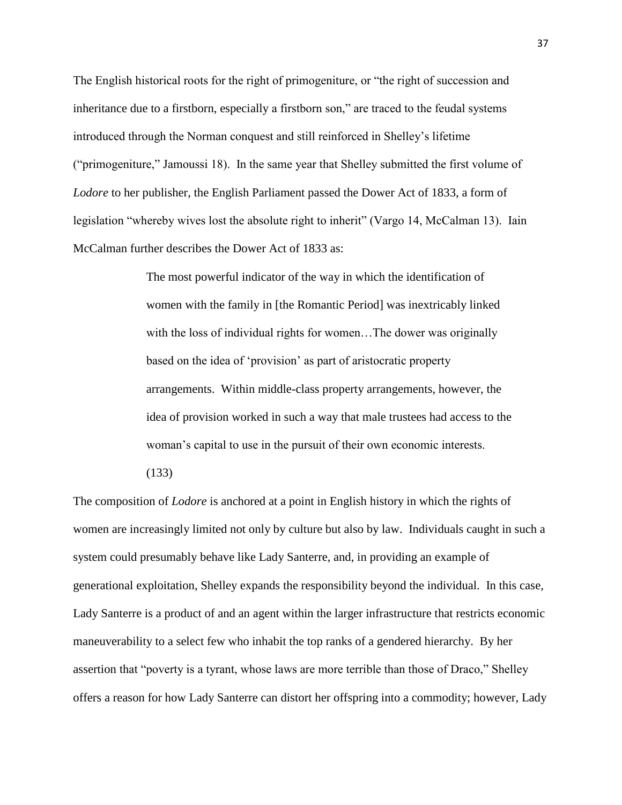The English historical roots for the right of primogeniture, or "the right of succession and inheritance due to a firstborn, especially a firstborn son," are traced to the feudal systems introduced through the Norman conquest and still reinforced in Shelley's lifetime ("primogeniture," Jamoussi 18). In the same year that Shelley submitted the first volume of *Lodore* to her publisher, the English Parliament passed the Dower Act of 1833, a form of legislation "whereby wives lost the absolute right to inherit" (Vargo 14, McCalman 13). Iain McCalman further describes the Dower Act of 1833 as:

> The most powerful indicator of the way in which the identification of women with the family in [the Romantic Period] was inextricably linked with the loss of individual rights for women...The dower was originally based on the idea of 'provision' as part of aristocratic property arrangements. Within middle-class property arrangements, however, the idea of provision worked in such a way that male trustees had access to the woman's capital to use in the pursuit of their own economic interests.

(133)

The composition of *Lodore* is anchored at a point in English history in which the rights of women are increasingly limited not only by culture but also by law. Individuals caught in such a system could presumably behave like Lady Santerre, and, in providing an example of generational exploitation, Shelley expands the responsibility beyond the individual. In this case, Lady Santerre is a product of and an agent within the larger infrastructure that restricts economic maneuverability to a select few who inhabit the top ranks of a gendered hierarchy. By her assertion that "poverty is a tyrant, whose laws are more terrible than those of Draco," Shelley offers a reason for how Lady Santerre can distort her offspring into a commodity; however, Lady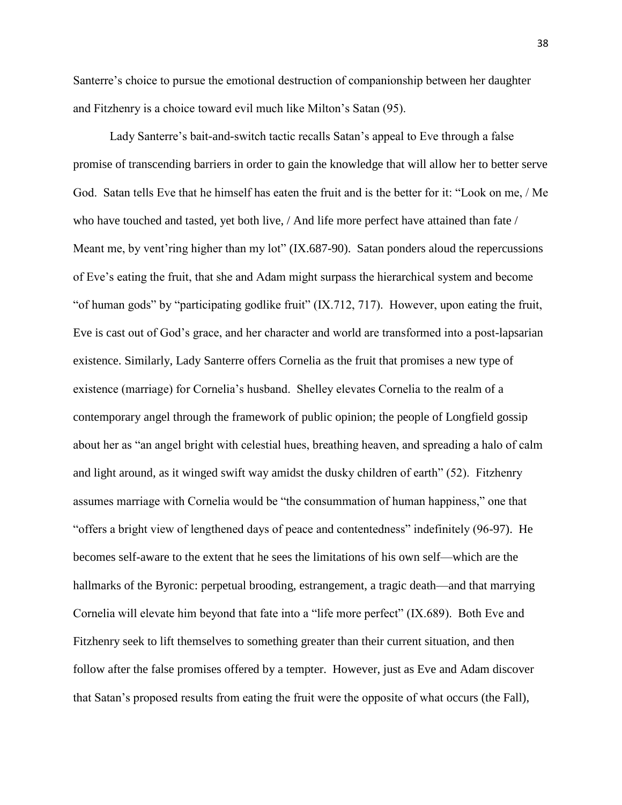Santerre's choice to pursue the emotional destruction of companionship between her daughter and Fitzhenry is a choice toward evil much like Milton's Satan (95).

Lady Santerre's bait-and-switch tactic recalls Satan's appeal to Eve through a false promise of transcending barriers in order to gain the knowledge that will allow her to better serve God. Satan tells Eve that he himself has eaten the fruit and is the better for it: "Look on me, / Me who have touched and tasted, yet both live, / And life more perfect have attained than fate / Meant me, by vent'ring higher than my lot" (IX.687-90). Satan ponders aloud the repercussions of Eve's eating the fruit, that she and Adam might surpass the hierarchical system and become "of human gods" by "participating godlike fruit" (IX.712, 717). However, upon eating the fruit, Eve is cast out of God's grace, and her character and world are transformed into a post-lapsarian existence. Similarly, Lady Santerre offers Cornelia as the fruit that promises a new type of existence (marriage) for Cornelia's husband. Shelley elevates Cornelia to the realm of a contemporary angel through the framework of public opinion; the people of Longfield gossip about her as "an angel bright with celestial hues, breathing heaven, and spreading a halo of calm and light around, as it winged swift way amidst the dusky children of earth" (52). Fitzhenry assumes marriage with Cornelia would be "the consummation of human happiness," one that "offers a bright view of lengthened days of peace and contentedness" indefinitely (96-97). He becomes self-aware to the extent that he sees the limitations of his own self—which are the hallmarks of the Byronic: perpetual brooding, estrangement, a tragic death—and that marrying Cornelia will elevate him beyond that fate into a "life more perfect" (IX.689). Both Eve and Fitzhenry seek to lift themselves to something greater than their current situation, and then follow after the false promises offered by a tempter. However, just as Eve and Adam discover that Satan's proposed results from eating the fruit were the opposite of what occurs (the Fall),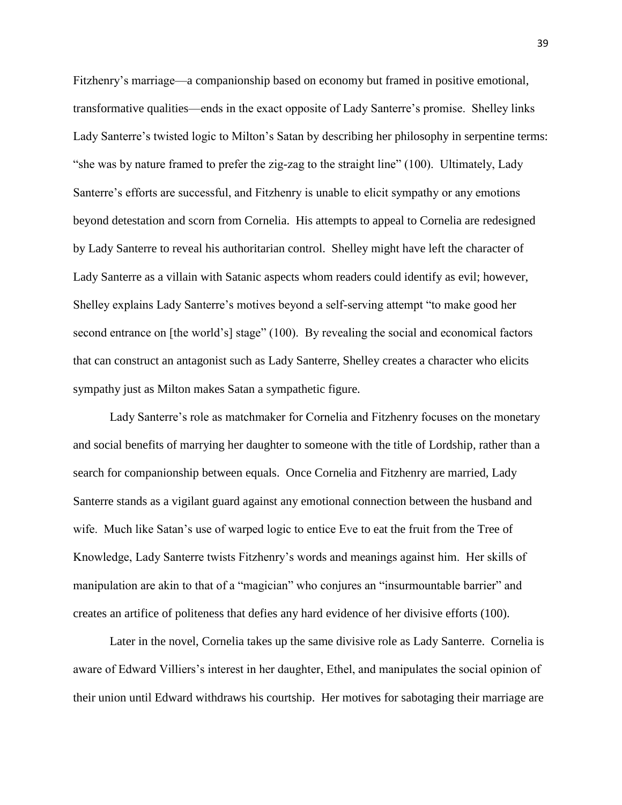Fitzhenry's marriage—a companionship based on economy but framed in positive emotional, transformative qualities—ends in the exact opposite of Lady Santerre's promise. Shelley links Lady Santerre's twisted logic to Milton's Satan by describing her philosophy in serpentine terms: "she was by nature framed to prefer the zig-zag to the straight line" (100). Ultimately, Lady Santerre's efforts are successful, and Fitzhenry is unable to elicit sympathy or any emotions beyond detestation and scorn from Cornelia. His attempts to appeal to Cornelia are redesigned by Lady Santerre to reveal his authoritarian control. Shelley might have left the character of Lady Santerre as a villain with Satanic aspects whom readers could identify as evil; however, Shelley explains Lady Santerre's motives beyond a self-serving attempt "to make good her second entrance on [the world's] stage" (100). By revealing the social and economical factors that can construct an antagonist such as Lady Santerre, Shelley creates a character who elicits sympathy just as Milton makes Satan a sympathetic figure.

Lady Santerre's role as matchmaker for Cornelia and Fitzhenry focuses on the monetary and social benefits of marrying her daughter to someone with the title of Lordship, rather than a search for companionship between equals. Once Cornelia and Fitzhenry are married, Lady Santerre stands as a vigilant guard against any emotional connection between the husband and wife. Much like Satan's use of warped logic to entice Eve to eat the fruit from the Tree of Knowledge, Lady Santerre twists Fitzhenry's words and meanings against him. Her skills of manipulation are akin to that of a "magician" who conjures an "insurmountable barrier" and creates an artifice of politeness that defies any hard evidence of her divisive efforts (100).

Later in the novel, Cornelia takes up the same divisive role as Lady Santerre. Cornelia is aware of Edward Villiers's interest in her daughter, Ethel, and manipulates the social opinion of their union until Edward withdraws his courtship. Her motives for sabotaging their marriage are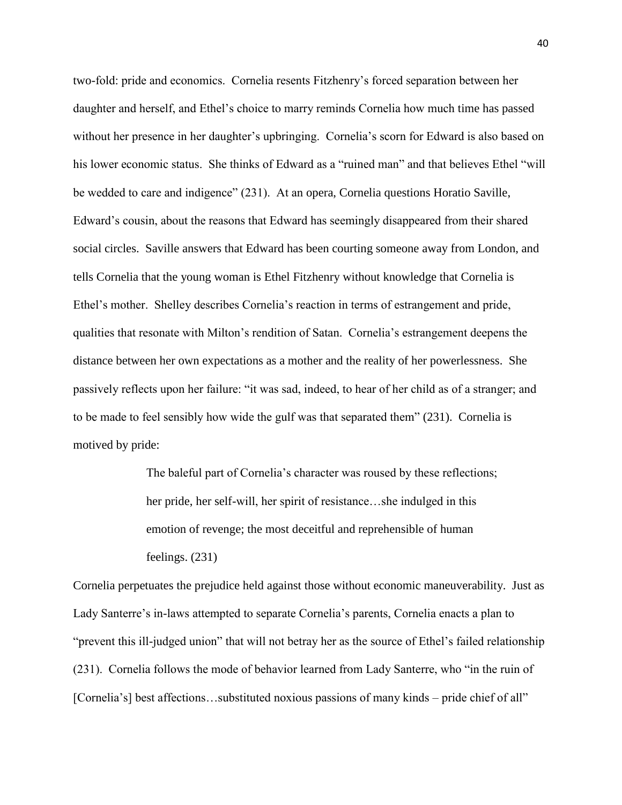two-fold: pride and economics. Cornelia resents Fitzhenry's forced separation between her daughter and herself, and Ethel's choice to marry reminds Cornelia how much time has passed without her presence in her daughter's upbringing. Cornelia's scorn for Edward is also based on his lower economic status. She thinks of Edward as a "ruined man" and that believes Ethel "will be wedded to care and indigence" (231). At an opera, Cornelia questions Horatio Saville, Edward's cousin, about the reasons that Edward has seemingly disappeared from their shared social circles. Saville answers that Edward has been courting someone away from London, and tells Cornelia that the young woman is Ethel Fitzhenry without knowledge that Cornelia is Ethel's mother. Shelley describes Cornelia's reaction in terms of estrangement and pride, qualities that resonate with Milton's rendition of Satan. Cornelia's estrangement deepens the distance between her own expectations as a mother and the reality of her powerlessness. She passively reflects upon her failure: "it was sad, indeed, to hear of her child as of a stranger; and to be made to feel sensibly how wide the gulf was that separated them" (231). Cornelia is motived by pride:

> The baleful part of Cornelia's character was roused by these reflections; her pride, her self-will, her spirit of resistance…she indulged in this emotion of revenge; the most deceitful and reprehensible of human feelings. (231)

Cornelia perpetuates the prejudice held against those without economic maneuverability. Just as Lady Santerre's in-laws attempted to separate Cornelia's parents, Cornelia enacts a plan to "prevent this ill-judged union" that will not betray her as the source of Ethel's failed relationship (231). Cornelia follows the mode of behavior learned from Lady Santerre, who "in the ruin of [Cornelia's] best affections...substituted noxious passions of many kinds – pride chief of all"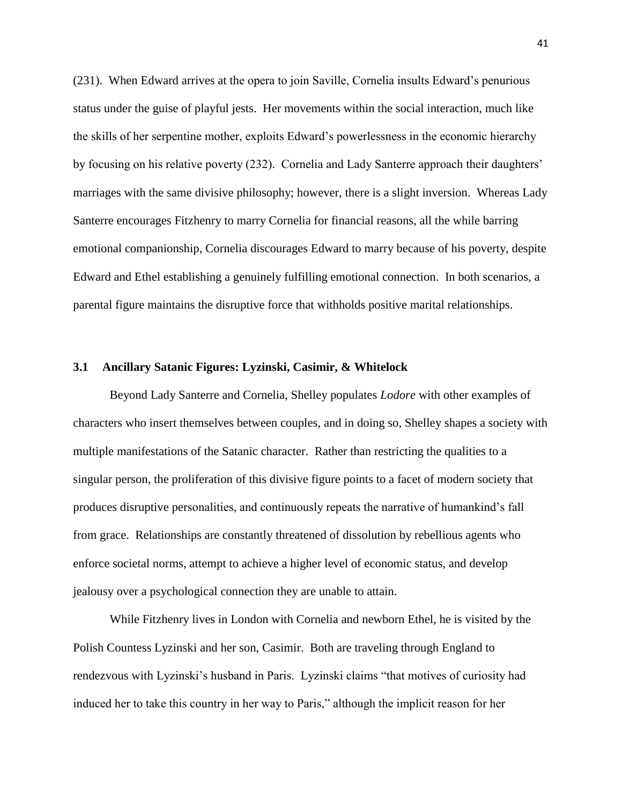(231). When Edward arrives at the opera to join Saville, Cornelia insults Edward's penurious status under the guise of playful jests. Her movements within the social interaction, much like the skills of her serpentine mother, exploits Edward's powerlessness in the economic hierarchy by focusing on his relative poverty (232). Cornelia and Lady Santerre approach their daughters' marriages with the same divisive philosophy; however, there is a slight inversion. Whereas Lady Santerre encourages Fitzhenry to marry Cornelia for financial reasons, all the while barring emotional companionship, Cornelia discourages Edward to marry because of his poverty, despite Edward and Ethel establishing a genuinely fulfilling emotional connection. In both scenarios, a parental figure maintains the disruptive force that withholds positive marital relationships.

# **3.1 Ancillary Satanic Figures: Lyzinski, Casimir, & Whitelock**

Beyond Lady Santerre and Cornelia, Shelley populates *Lodore* with other examples of characters who insert themselves between couples, and in doing so, Shelley shapes a society with multiple manifestations of the Satanic character. Rather than restricting the qualities to a singular person, the proliferation of this divisive figure points to a facet of modern society that produces disruptive personalities, and continuously repeats the narrative of humankind's fall from grace. Relationships are constantly threatened of dissolution by rebellious agents who enforce societal norms, attempt to achieve a higher level of economic status, and develop jealousy over a psychological connection they are unable to attain.

While Fitzhenry lives in London with Cornelia and newborn Ethel, he is visited by the Polish Countess Lyzinski and her son, Casimir. Both are traveling through England to rendezvous with Lyzinski's husband in Paris. Lyzinski claims "that motives of curiosity had induced her to take this country in her way to Paris," although the implicit reason for her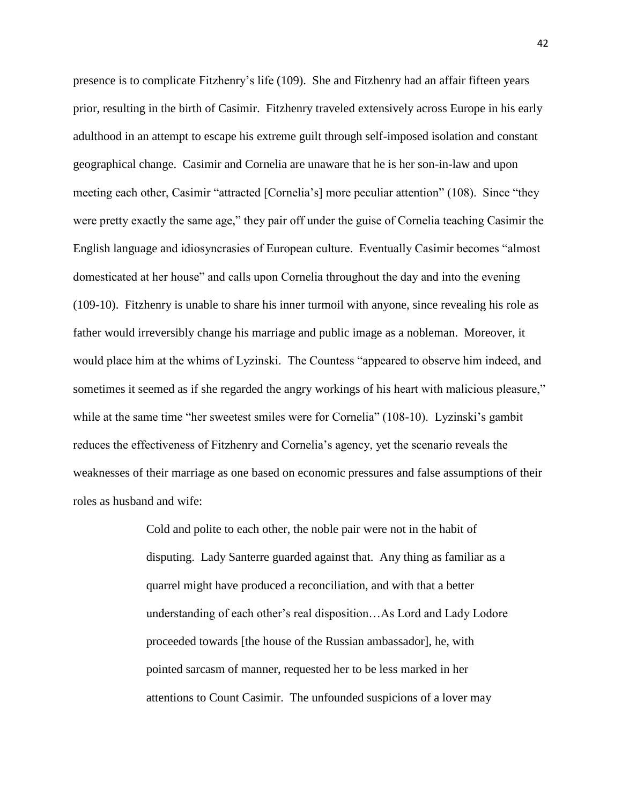presence is to complicate Fitzhenry's life (109). She and Fitzhenry had an affair fifteen years prior, resulting in the birth of Casimir. Fitzhenry traveled extensively across Europe in his early adulthood in an attempt to escape his extreme guilt through self-imposed isolation and constant geographical change. Casimir and Cornelia are unaware that he is her son-in-law and upon meeting each other, Casimir "attracted [Cornelia's] more peculiar attention" (108). Since "they were pretty exactly the same age," they pair off under the guise of Cornelia teaching Casimir the English language and idiosyncrasies of European culture. Eventually Casimir becomes "almost domesticated at her house" and calls upon Cornelia throughout the day and into the evening (109-10). Fitzhenry is unable to share his inner turmoil with anyone, since revealing his role as father would irreversibly change his marriage and public image as a nobleman. Moreover, it would place him at the whims of Lyzinski. The Countess "appeared to observe him indeed, and sometimes it seemed as if she regarded the angry workings of his heart with malicious pleasure," while at the same time "her sweetest smiles were for Cornelia" (108-10). Lyzinski's gambit reduces the effectiveness of Fitzhenry and Cornelia's agency, yet the scenario reveals the weaknesses of their marriage as one based on economic pressures and false assumptions of their roles as husband and wife:

> Cold and polite to each other, the noble pair were not in the habit of disputing. Lady Santerre guarded against that. Any thing as familiar as a quarrel might have produced a reconciliation, and with that a better understanding of each other's real disposition…As Lord and Lady Lodore proceeded towards [the house of the Russian ambassador], he, with pointed sarcasm of manner, requested her to be less marked in her attentions to Count Casimir. The unfounded suspicions of a lover may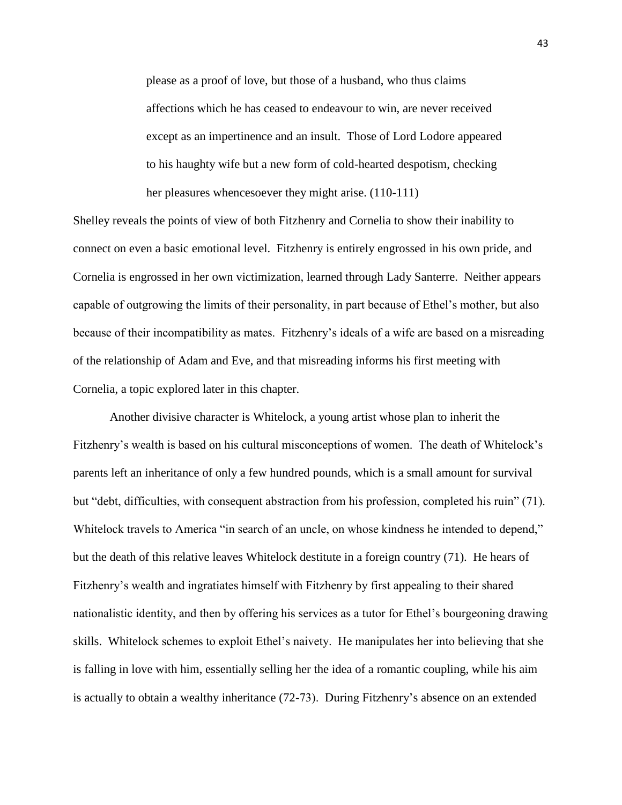please as a proof of love, but those of a husband, who thus claims affections which he has ceased to endeavour to win, are never received except as an impertinence and an insult. Those of Lord Lodore appeared to his haughty wife but a new form of cold-hearted despotism, checking her pleasures whencesoever they might arise.  $(110-111)$ 

Shelley reveals the points of view of both Fitzhenry and Cornelia to show their inability to connect on even a basic emotional level. Fitzhenry is entirely engrossed in his own pride, and Cornelia is engrossed in her own victimization, learned through Lady Santerre. Neither appears capable of outgrowing the limits of their personality, in part because of Ethel's mother, but also because of their incompatibility as mates. Fitzhenry's ideals of a wife are based on a misreading of the relationship of Adam and Eve, and that misreading informs his first meeting with Cornelia, a topic explored later in this chapter.

Another divisive character is Whitelock, a young artist whose plan to inherit the Fitzhenry's wealth is based on his cultural misconceptions of women. The death of Whitelock's parents left an inheritance of only a few hundred pounds, which is a small amount for survival but "debt, difficulties, with consequent abstraction from his profession, completed his ruin" (71). Whitelock travels to America "in search of an uncle, on whose kindness he intended to depend," but the death of this relative leaves Whitelock destitute in a foreign country (71). He hears of Fitzhenry's wealth and ingratiates himself with Fitzhenry by first appealing to their shared nationalistic identity, and then by offering his services as a tutor for Ethel's bourgeoning drawing skills. Whitelock schemes to exploit Ethel's naivety. He manipulates her into believing that she is falling in love with him, essentially selling her the idea of a romantic coupling, while his aim is actually to obtain a wealthy inheritance (72-73). During Fitzhenry's absence on an extended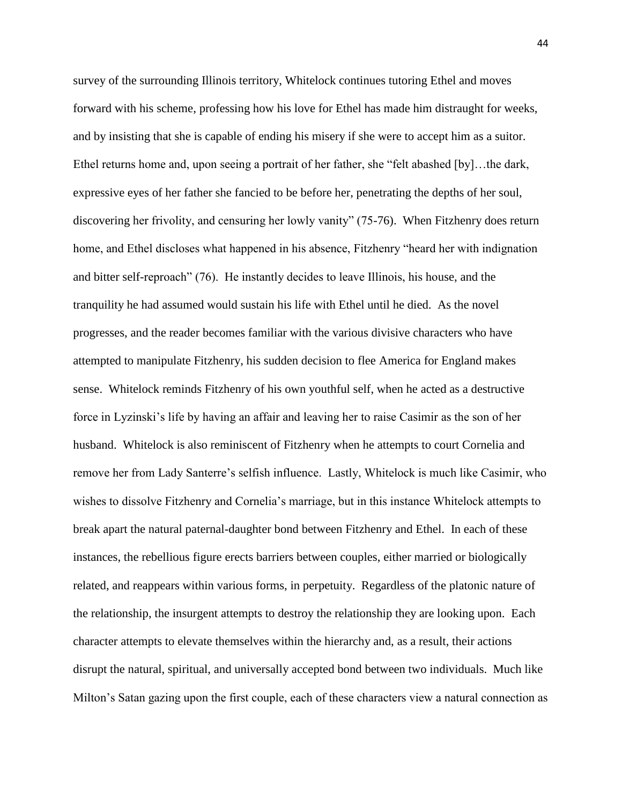survey of the surrounding Illinois territory, Whitelock continues tutoring Ethel and moves forward with his scheme, professing how his love for Ethel has made him distraught for weeks, and by insisting that she is capable of ending his misery if she were to accept him as a suitor. Ethel returns home and, upon seeing a portrait of her father, she "felt abashed [by]…the dark, expressive eyes of her father she fancied to be before her, penetrating the depths of her soul, discovering her frivolity, and censuring her lowly vanity" (75-76). When Fitzhenry does return home, and Ethel discloses what happened in his absence, Fitzhenry "heard her with indignation and bitter self-reproach" (76). He instantly decides to leave Illinois, his house, and the tranquility he had assumed would sustain his life with Ethel until he died. As the novel progresses, and the reader becomes familiar with the various divisive characters who have attempted to manipulate Fitzhenry, his sudden decision to flee America for England makes sense. Whitelock reminds Fitzhenry of his own youthful self, when he acted as a destructive force in Lyzinski's life by having an affair and leaving her to raise Casimir as the son of her husband. Whitelock is also reminiscent of Fitzhenry when he attempts to court Cornelia and remove her from Lady Santerre's selfish influence. Lastly, Whitelock is much like Casimir, who wishes to dissolve Fitzhenry and Cornelia's marriage, but in this instance Whitelock attempts to break apart the natural paternal-daughter bond between Fitzhenry and Ethel. In each of these instances, the rebellious figure erects barriers between couples, either married or biologically related, and reappears within various forms, in perpetuity. Regardless of the platonic nature of the relationship, the insurgent attempts to destroy the relationship they are looking upon. Each character attempts to elevate themselves within the hierarchy and, as a result, their actions disrupt the natural, spiritual, and universally accepted bond between two individuals. Much like Milton's Satan gazing upon the first couple, each of these characters view a natural connection as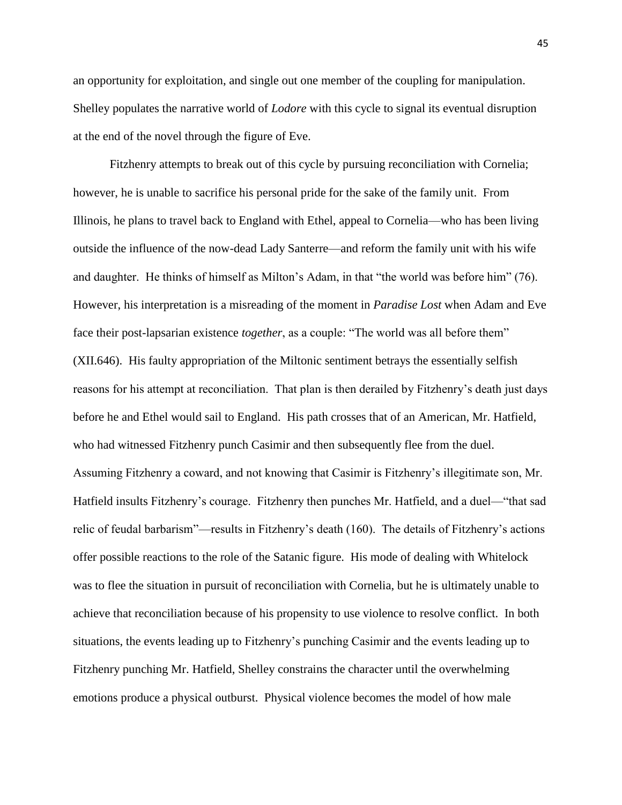an opportunity for exploitation, and single out one member of the coupling for manipulation. Shelley populates the narrative world of *Lodore* with this cycle to signal its eventual disruption at the end of the novel through the figure of Eve.

Fitzhenry attempts to break out of this cycle by pursuing reconciliation with Cornelia; however, he is unable to sacrifice his personal pride for the sake of the family unit. From Illinois, he plans to travel back to England with Ethel, appeal to Cornelia—who has been living outside the influence of the now-dead Lady Santerre—and reform the family unit with his wife and daughter. He thinks of himself as Milton's Adam, in that "the world was before him" (76). However, his interpretation is a misreading of the moment in *Paradise Lost* when Adam and Eve face their post-lapsarian existence *together*, as a couple: "The world was all before them" (XII.646). His faulty appropriation of the Miltonic sentiment betrays the essentially selfish reasons for his attempt at reconciliation. That plan is then derailed by Fitzhenry's death just days before he and Ethel would sail to England. His path crosses that of an American, Mr. Hatfield, who had witnessed Fitzhenry punch Casimir and then subsequently flee from the duel. Assuming Fitzhenry a coward, and not knowing that Casimir is Fitzhenry's illegitimate son, Mr. Hatfield insults Fitzhenry's courage. Fitzhenry then punches Mr. Hatfield, and a duel—"that sad relic of feudal barbarism"—results in Fitzhenry's death (160). The details of Fitzhenry's actions offer possible reactions to the role of the Satanic figure. His mode of dealing with Whitelock was to flee the situation in pursuit of reconciliation with Cornelia, but he is ultimately unable to achieve that reconciliation because of his propensity to use violence to resolve conflict. In both situations, the events leading up to Fitzhenry's punching Casimir and the events leading up to Fitzhenry punching Mr. Hatfield, Shelley constrains the character until the overwhelming emotions produce a physical outburst. Physical violence becomes the model of how male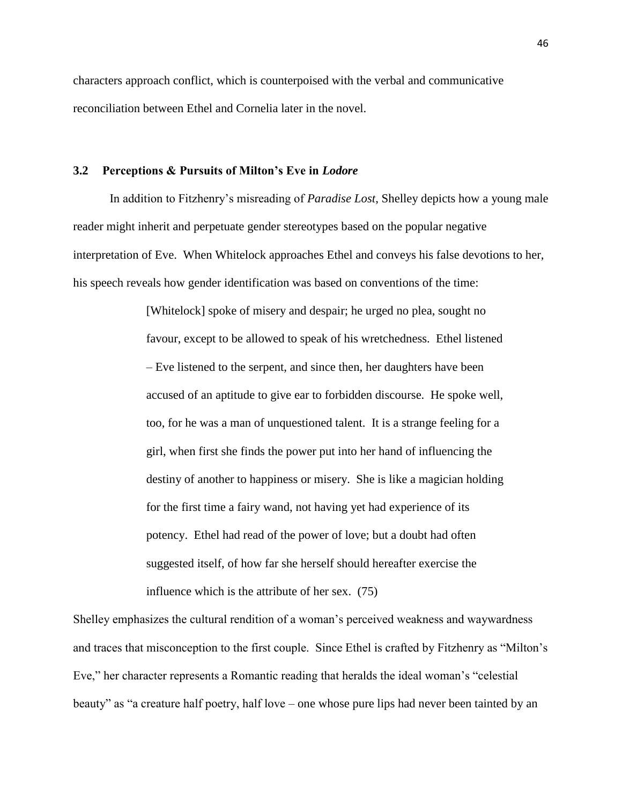characters approach conflict, which is counterpoised with the verbal and communicative reconciliation between Ethel and Cornelia later in the novel.

## **3.2 Perceptions & Pursuits of Milton's Eve in** *Lodore*

In addition to Fitzhenry's misreading of *Paradise Lost*, Shelley depicts how a young male reader might inherit and perpetuate gender stereotypes based on the popular negative interpretation of Eve. When Whitelock approaches Ethel and conveys his false devotions to her, his speech reveals how gender identification was based on conventions of the time:

> [Whitelock] spoke of misery and despair; he urged no plea, sought no favour, except to be allowed to speak of his wretchedness. Ethel listened – Eve listened to the serpent, and since then, her daughters have been accused of an aptitude to give ear to forbidden discourse. He spoke well, too, for he was a man of unquestioned talent. It is a strange feeling for a girl, when first she finds the power put into her hand of influencing the destiny of another to happiness or misery. She is like a magician holding for the first time a fairy wand, not having yet had experience of its potency. Ethel had read of the power of love; but a doubt had often suggested itself, of how far she herself should hereafter exercise the influence which is the attribute of her sex. (75)

Shelley emphasizes the cultural rendition of a woman's perceived weakness and waywardness and traces that misconception to the first couple. Since Ethel is crafted by Fitzhenry as "Milton's Eve," her character represents a Romantic reading that heralds the ideal woman's "celestial beauty" as "a creature half poetry, half love – one whose pure lips had never been tainted by an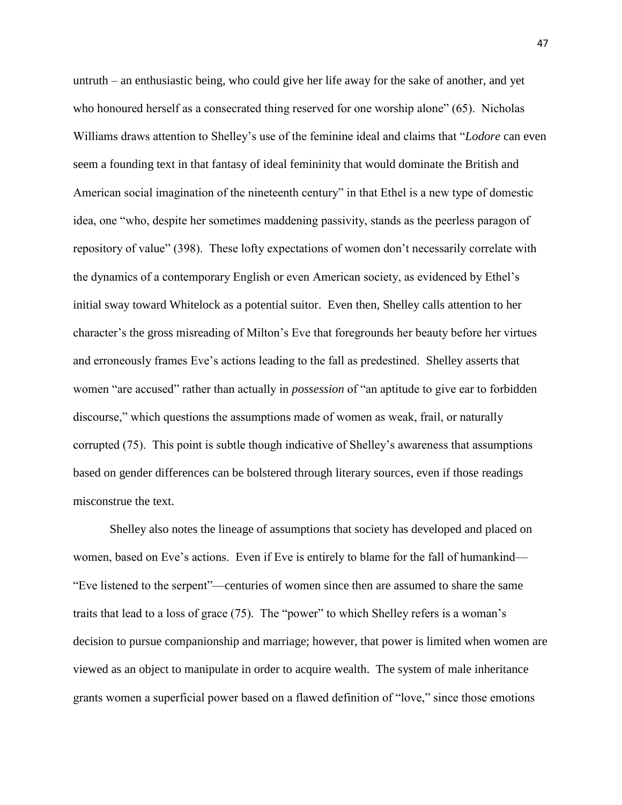untruth – an enthusiastic being, who could give her life away for the sake of another, and yet who honoured herself as a consecrated thing reserved for one worship alone" (65). Nicholas Williams draws attention to Shelley's use of the feminine ideal and claims that "*Lodore* can even seem a founding text in that fantasy of ideal femininity that would dominate the British and American social imagination of the nineteenth century" in that Ethel is a new type of domestic idea, one "who, despite her sometimes maddening passivity, stands as the peerless paragon of repository of value" (398). These lofty expectations of women don't necessarily correlate with the dynamics of a contemporary English or even American society, as evidenced by Ethel's initial sway toward Whitelock as a potential suitor. Even then, Shelley calls attention to her character's the gross misreading of Milton's Eve that foregrounds her beauty before her virtues and erroneously frames Eve's actions leading to the fall as predestined. Shelley asserts that women "are accused" rather than actually in *possession* of "an aptitude to give ear to forbidden discourse," which questions the assumptions made of women as weak, frail, or naturally corrupted (75). This point is subtle though indicative of Shelley's awareness that assumptions based on gender differences can be bolstered through literary sources, even if those readings misconstrue the text.

Shelley also notes the lineage of assumptions that society has developed and placed on women, based on Eve's actions. Even if Eve is entirely to blame for the fall of humankind— "Eve listened to the serpent"—centuries of women since then are assumed to share the same traits that lead to a loss of grace (75). The "power" to which Shelley refers is a woman's decision to pursue companionship and marriage; however, that power is limited when women are viewed as an object to manipulate in order to acquire wealth. The system of male inheritance grants women a superficial power based on a flawed definition of "love," since those emotions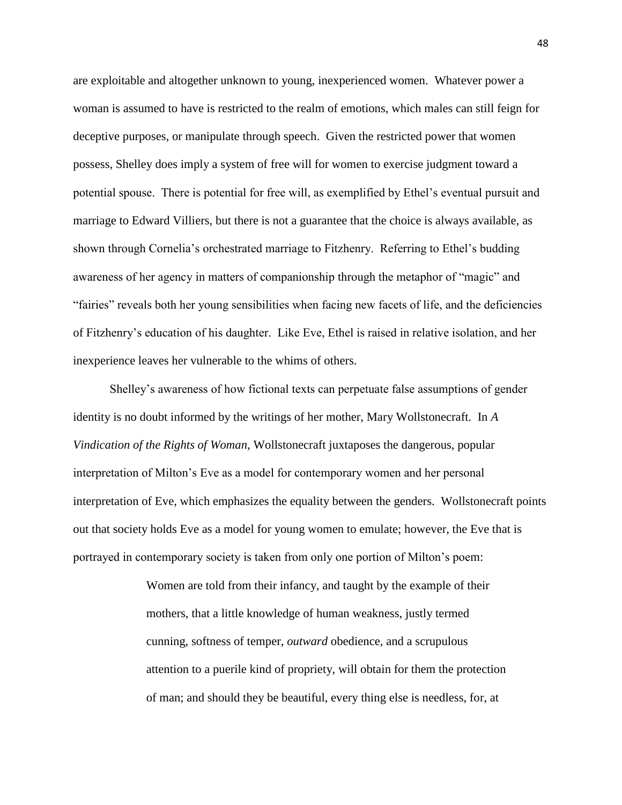are exploitable and altogether unknown to young, inexperienced women. Whatever power a woman is assumed to have is restricted to the realm of emotions, which males can still feign for deceptive purposes, or manipulate through speech. Given the restricted power that women possess, Shelley does imply a system of free will for women to exercise judgment toward a potential spouse. There is potential for free will, as exemplified by Ethel's eventual pursuit and marriage to Edward Villiers, but there is not a guarantee that the choice is always available, as shown through Cornelia's orchestrated marriage to Fitzhenry. Referring to Ethel's budding awareness of her agency in matters of companionship through the metaphor of "magic" and "fairies" reveals both her young sensibilities when facing new facets of life, and the deficiencies of Fitzhenry's education of his daughter. Like Eve, Ethel is raised in relative isolation, and her inexperience leaves her vulnerable to the whims of others.

Shelley's awareness of how fictional texts can perpetuate false assumptions of gender identity is no doubt informed by the writings of her mother, Mary Wollstonecraft. In *A Vindication of the Rights of Woman*, Wollstonecraft juxtaposes the dangerous, popular interpretation of Milton's Eve as a model for contemporary women and her personal interpretation of Eve, which emphasizes the equality between the genders. Wollstonecraft points out that society holds Eve as a model for young women to emulate; however, the Eve that is portrayed in contemporary society is taken from only one portion of Milton's poem:

> Women are told from their infancy, and taught by the example of their mothers, that a little knowledge of human weakness, justly termed cunning, softness of temper, *outward* obedience, and a scrupulous attention to a puerile kind of propriety, will obtain for them the protection of man; and should they be beautiful, every thing else is needless, for, at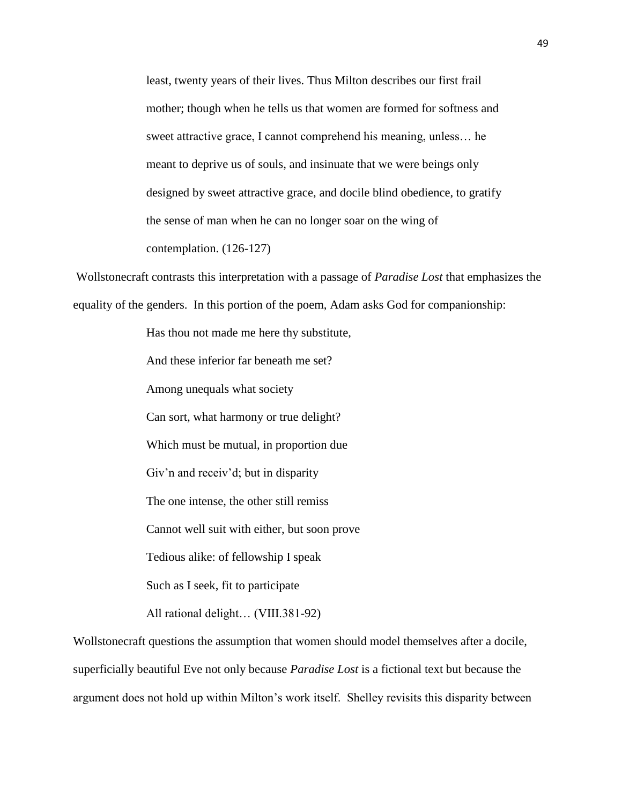least, twenty years of their lives. Thus Milton describes our first frail mother; though when he tells us that women are formed for softness and sweet attractive grace, I cannot comprehend his meaning, unless… he meant to deprive us of souls, and insinuate that we were beings only designed by sweet attractive grace, and docile blind obedience, to gratify the sense of man when he can no longer soar on the wing of contemplation. (126-127)

Wollstonecraft contrasts this interpretation with a passage of *Paradise Lost* that emphasizes the equality of the genders. In this portion of the poem, Adam asks God for companionship:

> Has thou not made me here thy substitute, And these inferior far beneath me set? Among unequals what society Can sort, what harmony or true delight? Which must be mutual, in proportion due Giv'n and receiv'd; but in disparity The one intense, the other still remiss Cannot well suit with either, but soon prove Tedious alike: of fellowship I speak Such as I seek, fit to participate All rational delight… (VIII.381-92)

Wollstonecraft questions the assumption that women should model themselves after a docile, superficially beautiful Eve not only because *Paradise Lost* is a fictional text but because the argument does not hold up within Milton's work itself. Shelley revisits this disparity between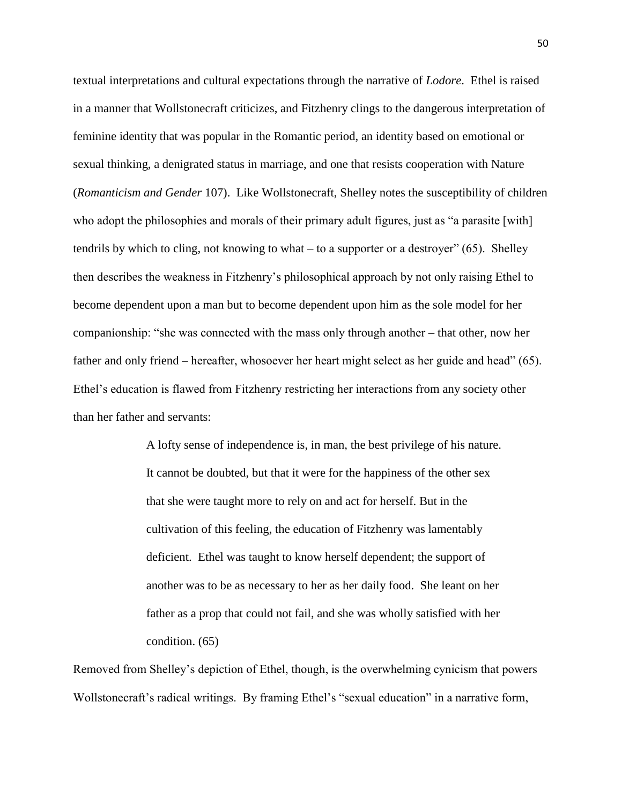textual interpretations and cultural expectations through the narrative of *Lodore*. Ethel is raised in a manner that Wollstonecraft criticizes, and Fitzhenry clings to the dangerous interpretation of feminine identity that was popular in the Romantic period, an identity based on emotional or sexual thinking, a denigrated status in marriage, and one that resists cooperation with Nature (*Romanticism and Gender* 107). Like Wollstonecraft, Shelley notes the susceptibility of children who adopt the philosophies and morals of their primary adult figures, just as "a parasite [with] tendrils by which to cling, not knowing to what – to a supporter or a destroyer" (65). Shelley then describes the weakness in Fitzhenry's philosophical approach by not only raising Ethel to become dependent upon a man but to become dependent upon him as the sole model for her companionship: "she was connected with the mass only through another – that other, now her father and only friend – hereafter, whosoever her heart might select as her guide and head" (65). Ethel's education is flawed from Fitzhenry restricting her interactions from any society other than her father and servants:

> A lofty sense of independence is, in man, the best privilege of his nature. It cannot be doubted, but that it were for the happiness of the other sex that she were taught more to rely on and act for herself. But in the cultivation of this feeling, the education of Fitzhenry was lamentably deficient. Ethel was taught to know herself dependent; the support of another was to be as necessary to her as her daily food. She leant on her father as a prop that could not fail, and she was wholly satisfied with her condition. (65)

Removed from Shelley's depiction of Ethel, though, is the overwhelming cynicism that powers Wollstonecraft's radical writings. By framing Ethel's "sexual education" in a narrative form,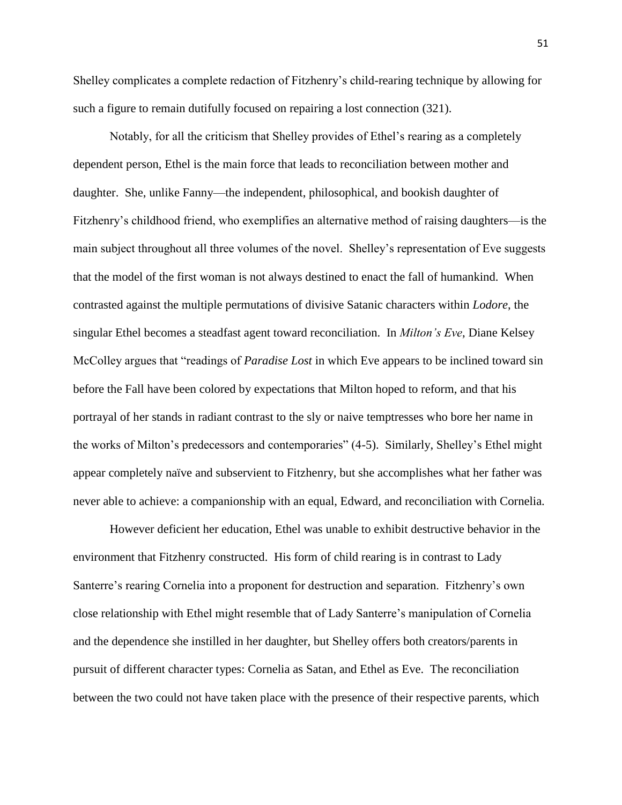Shelley complicates a complete redaction of Fitzhenry's child-rearing technique by allowing for such a figure to remain dutifully focused on repairing a lost connection (321).

Notably, for all the criticism that Shelley provides of Ethel's rearing as a completely dependent person, Ethel is the main force that leads to reconciliation between mother and daughter. She, unlike Fanny—the independent, philosophical, and bookish daughter of Fitzhenry's childhood friend, who exemplifies an alternative method of raising daughters—is the main subject throughout all three volumes of the novel. Shelley's representation of Eve suggests that the model of the first woman is not always destined to enact the fall of humankind. When contrasted against the multiple permutations of divisive Satanic characters within *Lodore*, the singular Ethel becomes a steadfast agent toward reconciliation. In *Milton's Eve*, Diane Kelsey McColley argues that "readings of *Paradise Lost* in which Eve appears to be inclined toward sin before the Fall have been colored by expectations that Milton hoped to reform, and that his portrayal of her stands in radiant contrast to the sly or naive temptresses who bore her name in the works of Milton's predecessors and contemporaries" (4-5). Similarly, Shelley's Ethel might appear completely naïve and subservient to Fitzhenry, but she accomplishes what her father was never able to achieve: a companionship with an equal, Edward, and reconciliation with Cornelia.

However deficient her education, Ethel was unable to exhibit destructive behavior in the environment that Fitzhenry constructed. His form of child rearing is in contrast to Lady Santerre's rearing Cornelia into a proponent for destruction and separation. Fitzhenry's own close relationship with Ethel might resemble that of Lady Santerre's manipulation of Cornelia and the dependence she instilled in her daughter, but Shelley offers both creators/parents in pursuit of different character types: Cornelia as Satan, and Ethel as Eve. The reconciliation between the two could not have taken place with the presence of their respective parents, which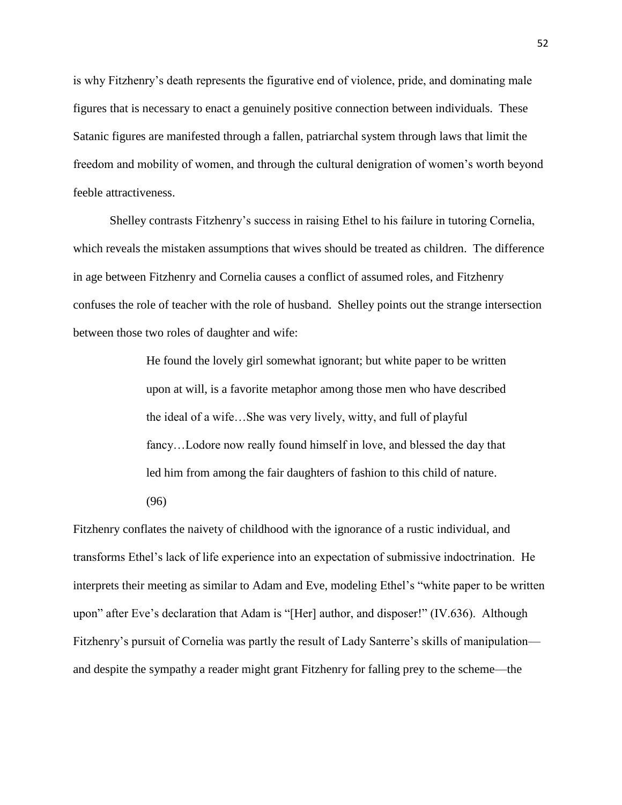is why Fitzhenry's death represents the figurative end of violence, pride, and dominating male figures that is necessary to enact a genuinely positive connection between individuals. These Satanic figures are manifested through a fallen, patriarchal system through laws that limit the freedom and mobility of women, and through the cultural denigration of women's worth beyond feeble attractiveness.

Shelley contrasts Fitzhenry's success in raising Ethel to his failure in tutoring Cornelia, which reveals the mistaken assumptions that wives should be treated as children. The difference in age between Fitzhenry and Cornelia causes a conflict of assumed roles, and Fitzhenry confuses the role of teacher with the role of husband. Shelley points out the strange intersection between those two roles of daughter and wife:

> He found the lovely girl somewhat ignorant; but white paper to be written upon at will, is a favorite metaphor among those men who have described the ideal of a wife…She was very lively, witty, and full of playful fancy…Lodore now really found himself in love, and blessed the day that led him from among the fair daughters of fashion to this child of nature.

(96)

Fitzhenry conflates the naivety of childhood with the ignorance of a rustic individual, and transforms Ethel's lack of life experience into an expectation of submissive indoctrination. He interprets their meeting as similar to Adam and Eve, modeling Ethel's "white paper to be written upon" after Eve's declaration that Adam is "[Her] author, and disposer!" (IV.636). Although Fitzhenry's pursuit of Cornelia was partly the result of Lady Santerre's skills of manipulation and despite the sympathy a reader might grant Fitzhenry for falling prey to the scheme—the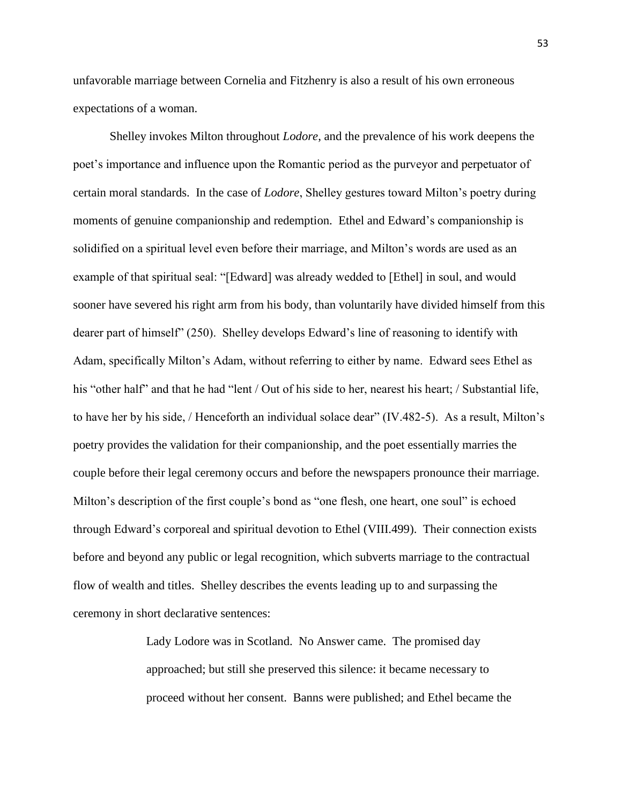unfavorable marriage between Cornelia and Fitzhenry is also a result of his own erroneous expectations of a woman.

Shelley invokes Milton throughout *Lodore*, and the prevalence of his work deepens the poet's importance and influence upon the Romantic period as the purveyor and perpetuator of certain moral standards. In the case of *Lodore*, Shelley gestures toward Milton's poetry during moments of genuine companionship and redemption. Ethel and Edward's companionship is solidified on a spiritual level even before their marriage, and Milton's words are used as an example of that spiritual seal: "[Edward] was already wedded to [Ethel] in soul, and would sooner have severed his right arm from his body, than voluntarily have divided himself from this dearer part of himself" (250). Shelley develops Edward's line of reasoning to identify with Adam, specifically Milton's Adam, without referring to either by name. Edward sees Ethel as his "other half" and that he had "lent / Out of his side to her, nearest his heart; / Substantial life, to have her by his side, / Henceforth an individual solace dear" (IV.482-5). As a result, Milton's poetry provides the validation for their companionship, and the poet essentially marries the couple before their legal ceremony occurs and before the newspapers pronounce their marriage. Milton's description of the first couple's bond as "one flesh, one heart, one soul" is echoed through Edward's corporeal and spiritual devotion to Ethel (VIII.499). Their connection exists before and beyond any public or legal recognition, which subverts marriage to the contractual flow of wealth and titles. Shelley describes the events leading up to and surpassing the ceremony in short declarative sentences:

> Lady Lodore was in Scotland. No Answer came. The promised day approached; but still she preserved this silence: it became necessary to proceed without her consent. Banns were published; and Ethel became the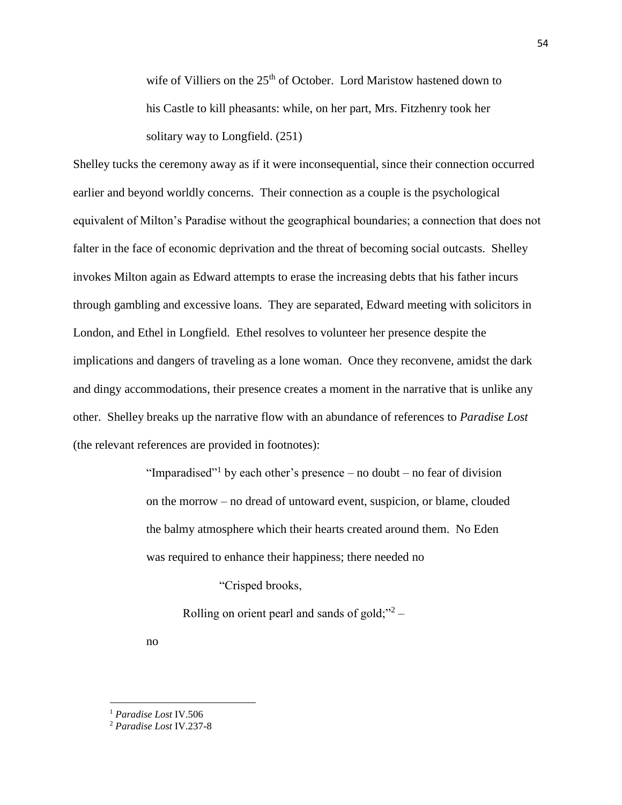wife of Villiers on the  $25<sup>th</sup>$  of October. Lord Maristow hastened down to his Castle to kill pheasants: while, on her part, Mrs. Fitzhenry took her solitary way to Longfield. (251)

Shelley tucks the ceremony away as if it were inconsequential, since their connection occurred earlier and beyond worldly concerns. Their connection as a couple is the psychological equivalent of Milton's Paradise without the geographical boundaries; a connection that does not falter in the face of economic deprivation and the threat of becoming social outcasts. Shelley invokes Milton again as Edward attempts to erase the increasing debts that his father incurs through gambling and excessive loans. They are separated, Edward meeting with solicitors in London, and Ethel in Longfield. Ethel resolves to volunteer her presence despite the implications and dangers of traveling as a lone woman. Once they reconvene, amidst the dark and dingy accommodations, their presence creates a moment in the narrative that is unlike any other. Shelley breaks up the narrative flow with an abundance of references to *Paradise Lost* (the relevant references are provided in footnotes):

> "Imparadised"<sup>1</sup> by each other's presence – no doubt – no fear of division on the morrow – no dread of untoward event, suspicion, or blame, clouded the balmy atmosphere which their hearts created around them. No Eden was required to enhance their happiness; there needed no

> > "Crisped brooks,

Rolling on orient pearl and sands of gold;"<sup>2</sup> –

no

 $\overline{a}$ 

<sup>1</sup> *Paradise Lost* IV.506

<sup>2</sup> *Paradise Lost* IV.237-8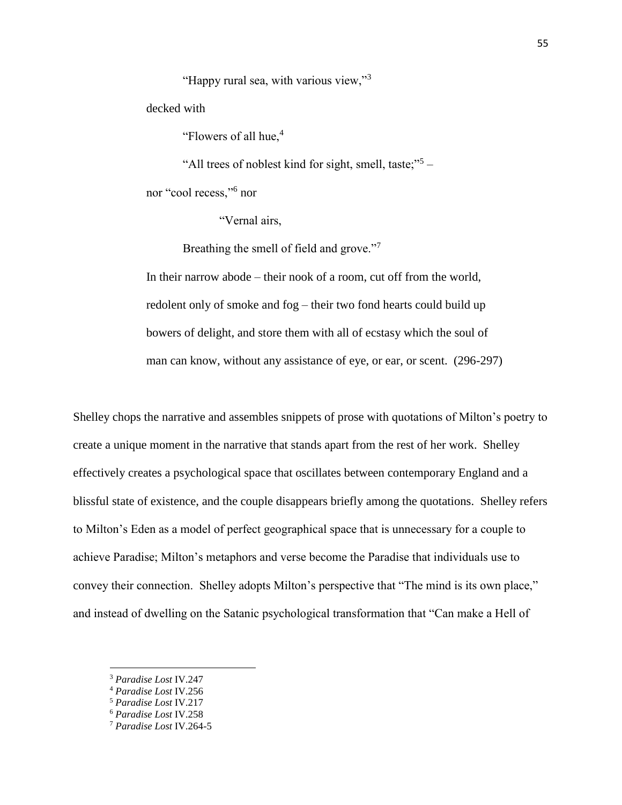"Happy rural sea, with various view,"<sup>3</sup>

decked with

"Flowers of all hue,<sup>4</sup>

"All trees of noblest kind for sight, smell, taste;"<sup>5</sup> -

nor "cool recess,"<sup>6</sup> nor

"Vernal airs,

Breathing the smell of field and grove."<sup>7</sup>

In their narrow abode – their nook of a room, cut off from the world, redolent only of smoke and fog – their two fond hearts could build up bowers of delight, and store them with all of ecstasy which the soul of man can know, without any assistance of eye, or ear, or scent. (296-297)

Shelley chops the narrative and assembles snippets of prose with quotations of Milton's poetry to create a unique moment in the narrative that stands apart from the rest of her work. Shelley effectively creates a psychological space that oscillates between contemporary England and a blissful state of existence, and the couple disappears briefly among the quotations. Shelley refers to Milton's Eden as a model of perfect geographical space that is unnecessary for a couple to achieve Paradise; Milton's metaphors and verse become the Paradise that individuals use to convey their connection. Shelley adopts Milton's perspective that "The mind is its own place," and instead of dwelling on the Satanic psychological transformation that "Can make a Hell of

 $\overline{a}$ 

<sup>3</sup> *Paradise Lost* IV.247

<sup>4</sup> *Paradise Lost* IV.256

<sup>5</sup> *Paradise Lost* IV.217

<sup>6</sup> *Paradise Lost* IV.258

<sup>7</sup> *Paradise Lost* IV.264-5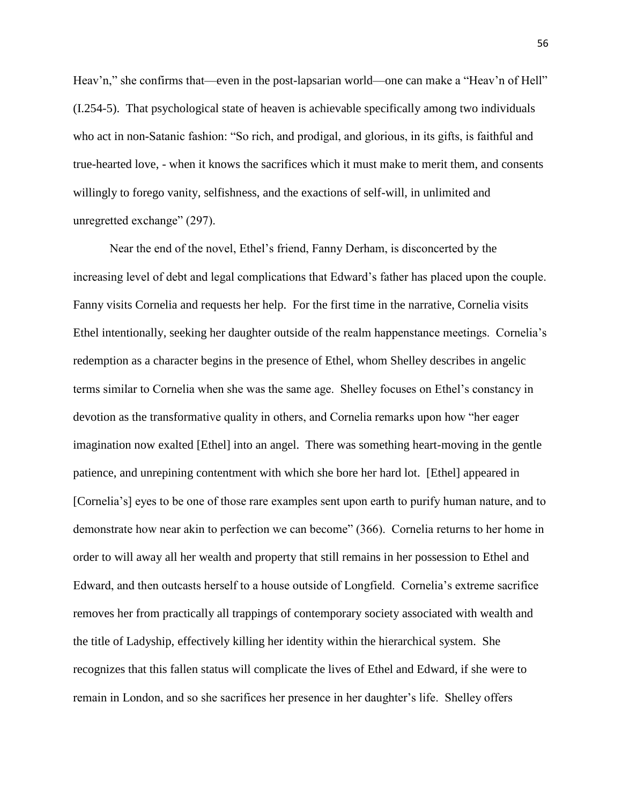Heav'n," she confirms that—even in the post-lapsarian world—one can make a "Heav'n of Hell" (I.254-5). That psychological state of heaven is achievable specifically among two individuals who act in non-Satanic fashion: "So rich, and prodigal, and glorious, in its gifts, is faithful and true-hearted love, - when it knows the sacrifices which it must make to merit them, and consents willingly to forego vanity, selfishness, and the exactions of self-will, in unlimited and unregretted exchange" (297).

Near the end of the novel, Ethel's friend, Fanny Derham, is disconcerted by the increasing level of debt and legal complications that Edward's father has placed upon the couple. Fanny visits Cornelia and requests her help. For the first time in the narrative, Cornelia visits Ethel intentionally, seeking her daughter outside of the realm happenstance meetings. Cornelia's redemption as a character begins in the presence of Ethel, whom Shelley describes in angelic terms similar to Cornelia when she was the same age. Shelley focuses on Ethel's constancy in devotion as the transformative quality in others, and Cornelia remarks upon how "her eager imagination now exalted [Ethel] into an angel. There was something heart-moving in the gentle patience, and unrepining contentment with which she bore her hard lot. [Ethel] appeared in [Cornelia's] eyes to be one of those rare examples sent upon earth to purify human nature, and to demonstrate how near akin to perfection we can become" (366). Cornelia returns to her home in order to will away all her wealth and property that still remains in her possession to Ethel and Edward, and then outcasts herself to a house outside of Longfield. Cornelia's extreme sacrifice removes her from practically all trappings of contemporary society associated with wealth and the title of Ladyship, effectively killing her identity within the hierarchical system. She recognizes that this fallen status will complicate the lives of Ethel and Edward, if she were to remain in London, and so she sacrifices her presence in her daughter's life. Shelley offers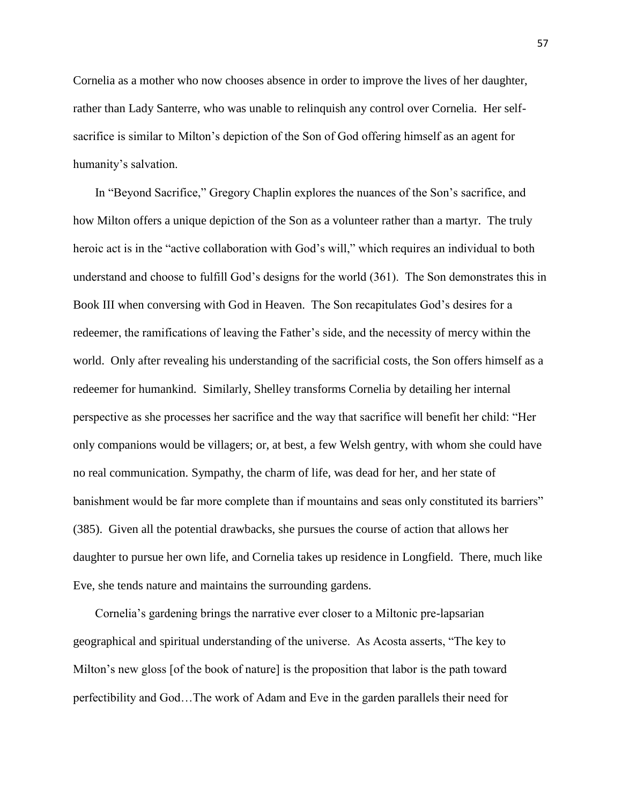Cornelia as a mother who now chooses absence in order to improve the lives of her daughter, rather than Lady Santerre, who was unable to relinquish any control over Cornelia. Her selfsacrifice is similar to Milton's depiction of the Son of God offering himself as an agent for humanity's salvation.

In "Beyond Sacrifice," Gregory Chaplin explores the nuances of the Son's sacrifice, and how Milton offers a unique depiction of the Son as a volunteer rather than a martyr. The truly heroic act is in the "active collaboration with God's will," which requires an individual to both understand and choose to fulfill God's designs for the world (361). The Son demonstrates this in Book III when conversing with God in Heaven. The Son recapitulates God's desires for a redeemer, the ramifications of leaving the Father's side, and the necessity of mercy within the world. Only after revealing his understanding of the sacrificial costs, the Son offers himself as a redeemer for humankind. Similarly, Shelley transforms Cornelia by detailing her internal perspective as she processes her sacrifice and the way that sacrifice will benefit her child: "Her only companions would be villagers; or, at best, a few Welsh gentry, with whom she could have no real communication. Sympathy, the charm of life, was dead for her, and her state of banishment would be far more complete than if mountains and seas only constituted its barriers" (385). Given all the potential drawbacks, she pursues the course of action that allows her daughter to pursue her own life, and Cornelia takes up residence in Longfield. There, much like Eve, she tends nature and maintains the surrounding gardens.

Cornelia's gardening brings the narrative ever closer to a Miltonic pre-lapsarian geographical and spiritual understanding of the universe. As Acosta asserts, "The key to Milton's new gloss [of the book of nature] is the proposition that labor is the path toward perfectibility and God…The work of Adam and Eve in the garden parallels their need for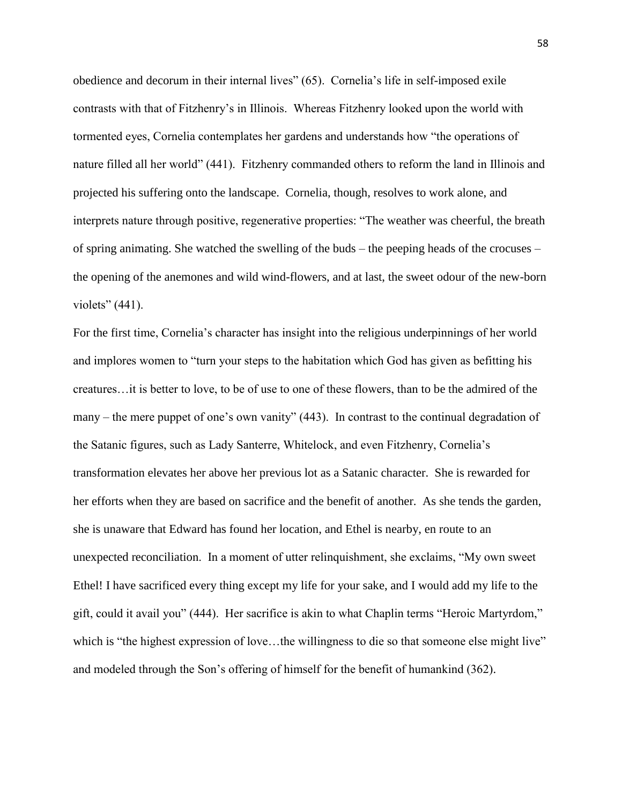obedience and decorum in their internal lives" (65). Cornelia's life in self-imposed exile contrasts with that of Fitzhenry's in Illinois. Whereas Fitzhenry looked upon the world with tormented eyes, Cornelia contemplates her gardens and understands how "the operations of nature filled all her world" (441). Fitzhenry commanded others to reform the land in Illinois and projected his suffering onto the landscape. Cornelia, though, resolves to work alone, and interprets nature through positive, regenerative properties: "The weather was cheerful, the breath of spring animating. She watched the swelling of the buds – the peeping heads of the crocuses – the opening of the anemones and wild wind-flowers, and at last, the sweet odour of the new-born violets" (441).

For the first time, Cornelia's character has insight into the religious underpinnings of her world and implores women to "turn your steps to the habitation which God has given as befitting his creatures…it is better to love, to be of use to one of these flowers, than to be the admired of the many – the mere puppet of one's own vanity" (443). In contrast to the continual degradation of the Satanic figures, such as Lady Santerre, Whitelock, and even Fitzhenry, Cornelia's transformation elevates her above her previous lot as a Satanic character. She is rewarded for her efforts when they are based on sacrifice and the benefit of another. As she tends the garden, she is unaware that Edward has found her location, and Ethel is nearby, en route to an unexpected reconciliation. In a moment of utter relinquishment, she exclaims, "My own sweet Ethel! I have sacrificed every thing except my life for your sake, and I would add my life to the gift, could it avail you" (444). Her sacrifice is akin to what Chaplin terms "Heroic Martyrdom," which is "the highest expression of love...the willingness to die so that someone else might live" and modeled through the Son's offering of himself for the benefit of humankind (362).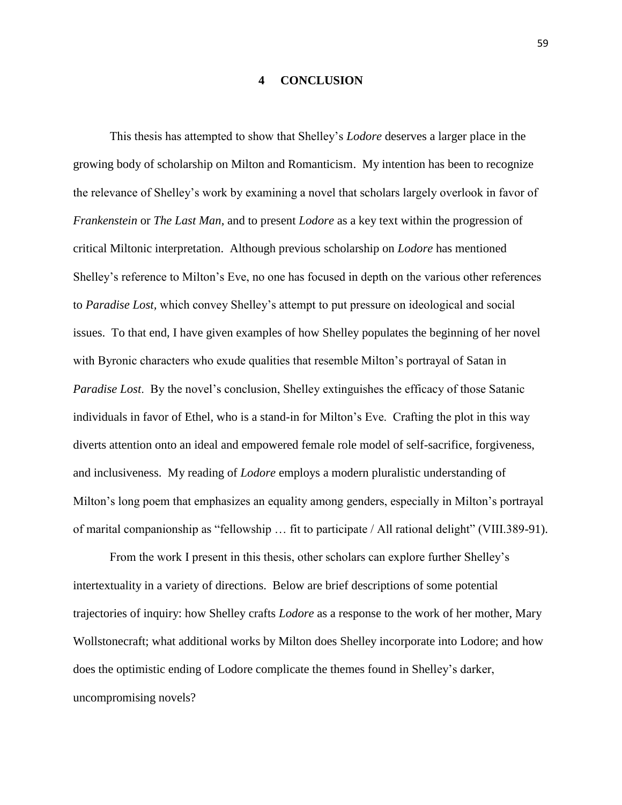#### **4 CONCLUSION**

This thesis has attempted to show that Shelley's *Lodore* deserves a larger place in the growing body of scholarship on Milton and Romanticism. My intention has been to recognize the relevance of Shelley's work by examining a novel that scholars largely overlook in favor of *Frankenstein* or *The Last Man*, and to present *Lodore* as a key text within the progression of critical Miltonic interpretation. Although previous scholarship on *Lodore* has mentioned Shelley's reference to Milton's Eve, no one has focused in depth on the various other references to *Paradise Lost,* which convey Shelley's attempt to put pressure on ideological and social issues. To that end, I have given examples of how Shelley populates the beginning of her novel with Byronic characters who exude qualities that resemble Milton's portrayal of Satan in *Paradise Lost*. By the novel's conclusion, Shelley extinguishes the efficacy of those Satanic individuals in favor of Ethel, who is a stand-in for Milton's Eve. Crafting the plot in this way diverts attention onto an ideal and empowered female role model of self-sacrifice, forgiveness, and inclusiveness. My reading of *Lodore* employs a modern pluralistic understanding of Milton's long poem that emphasizes an equality among genders, especially in Milton's portrayal of marital companionship as "fellowship … fit to participate / All rational delight" (VIII.389-91).

From the work I present in this thesis, other scholars can explore further Shelley's intertextuality in a variety of directions. Below are brief descriptions of some potential trajectories of inquiry: how Shelley crafts *Lodore* as a response to the work of her mother, Mary Wollstonecraft; what additional works by Milton does Shelley incorporate into Lodore; and how does the optimistic ending of Lodore complicate the themes found in Shelley's darker, uncompromising novels?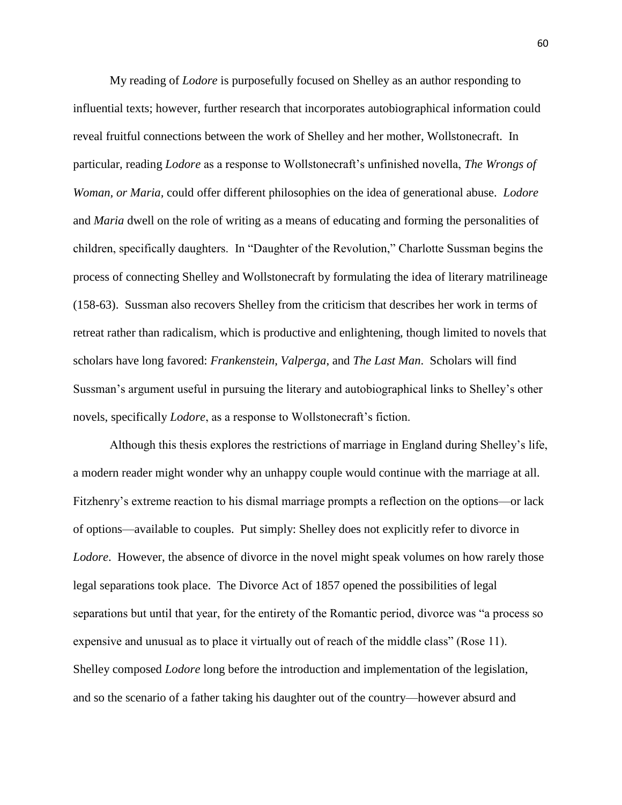My reading of *Lodore* is purposefully focused on Shelley as an author responding to influential texts; however, further research that incorporates autobiographical information could reveal fruitful connections between the work of Shelley and her mother, Wollstonecraft. In particular, reading *Lodore* as a response to Wollstonecraft's unfinished novella, *The Wrongs of Woman, or Maria,* could offer different philosophies on the idea of generational abuse. *Lodore* and *Maria* dwell on the role of writing as a means of educating and forming the personalities of children, specifically daughters. In "Daughter of the Revolution," Charlotte Sussman begins the process of connecting Shelley and Wollstonecraft by formulating the idea of literary matrilineage (158-63). Sussman also recovers Shelley from the criticism that describes her work in terms of retreat rather than radicalism, which is productive and enlightening, though limited to novels that scholars have long favored: *Frankenstein*, *Valperga*, and *The Last Man*. Scholars will find Sussman's argument useful in pursuing the literary and autobiographical links to Shelley's other novels, specifically *Lodore*, as a response to Wollstonecraft's fiction.

Although this thesis explores the restrictions of marriage in England during Shelley's life, a modern reader might wonder why an unhappy couple would continue with the marriage at all. Fitzhenry's extreme reaction to his dismal marriage prompts a reflection on the options—or lack of options—available to couples. Put simply: Shelley does not explicitly refer to divorce in *Lodore*. However, the absence of divorce in the novel might speak volumes on how rarely those legal separations took place. The Divorce Act of 1857 opened the possibilities of legal separations but until that year, for the entirety of the Romantic period, divorce was "a process so expensive and unusual as to place it virtually out of reach of the middle class" (Rose 11). Shelley composed *Lodore* long before the introduction and implementation of the legislation, and so the scenario of a father taking his daughter out of the country—however absurd and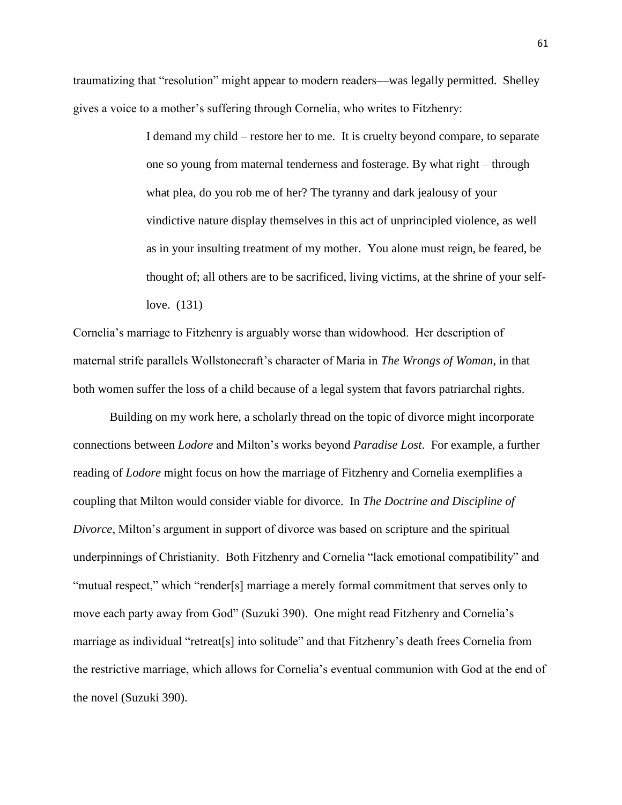traumatizing that "resolution" might appear to modern readers—was legally permitted. Shelley gives a voice to a mother's suffering through Cornelia, who writes to Fitzhenry:

> I demand my child – restore her to me. It is cruelty beyond compare, to separate one so young from maternal tenderness and fosterage. By what right – through what plea, do you rob me of her? The tyranny and dark jealousy of your vindictive nature display themselves in this act of unprincipled violence, as well as in your insulting treatment of my mother. You alone must reign, be feared, be thought of; all others are to be sacrificed, living victims, at the shrine of your selflove. (131)

Cornelia's marriage to Fitzhenry is arguably worse than widowhood. Her description of maternal strife parallels Wollstonecraft's character of Maria in *The Wrongs of Woman*, in that both women suffer the loss of a child because of a legal system that favors patriarchal rights.

Building on my work here, a scholarly thread on the topic of divorce might incorporate connections between *Lodore* and Milton's works beyond *Paradise Lost*. For example, a further reading of *Lodore* might focus on how the marriage of Fitzhenry and Cornelia exemplifies a coupling that Milton would consider viable for divorce. In *The Doctrine and Discipline of Divorce*, Milton's argument in support of divorce was based on scripture and the spiritual underpinnings of Christianity. Both Fitzhenry and Cornelia "lack emotional compatibility" and "mutual respect," which "render[s] marriage a merely formal commitment that serves only to move each party away from God" (Suzuki 390). One might read Fitzhenry and Cornelia's marriage as individual "retreat[s] into solitude" and that Fitzhenry's death frees Cornelia from the restrictive marriage, which allows for Cornelia's eventual communion with God at the end of the novel (Suzuki 390).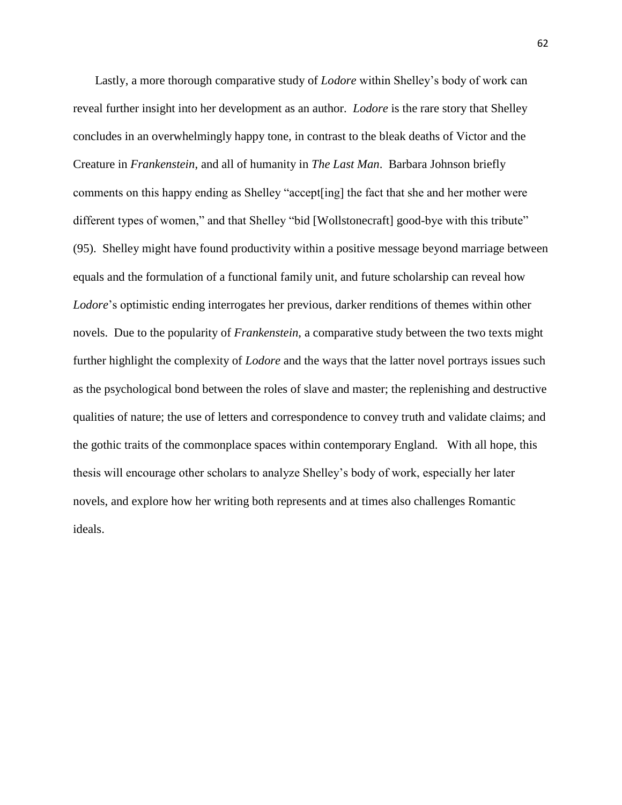Lastly, a more thorough comparative study of *Lodore* within Shelley's body of work can reveal further insight into her development as an author. *Lodore* is the rare story that Shelley concludes in an overwhelmingly happy tone, in contrast to the bleak deaths of Victor and the Creature in *Frankenstein*, and all of humanity in *The Last Man*. Barbara Johnson briefly comments on this happy ending as Shelley "accept[ing] the fact that she and her mother were different types of women," and that Shelley "bid [Wollstonecraft] good-bye with this tribute" (95). Shelley might have found productivity within a positive message beyond marriage between equals and the formulation of a functional family unit, and future scholarship can reveal how *Lodore*'s optimistic ending interrogates her previous, darker renditions of themes within other novels. Due to the popularity of *Frankenstein*, a comparative study between the two texts might further highlight the complexity of *Lodore* and the ways that the latter novel portrays issues such as the psychological bond between the roles of slave and master; the replenishing and destructive qualities of nature; the use of letters and correspondence to convey truth and validate claims; and the gothic traits of the commonplace spaces within contemporary England. With all hope, this thesis will encourage other scholars to analyze Shelley's body of work, especially her later novels, and explore how her writing both represents and at times also challenges Romantic ideals.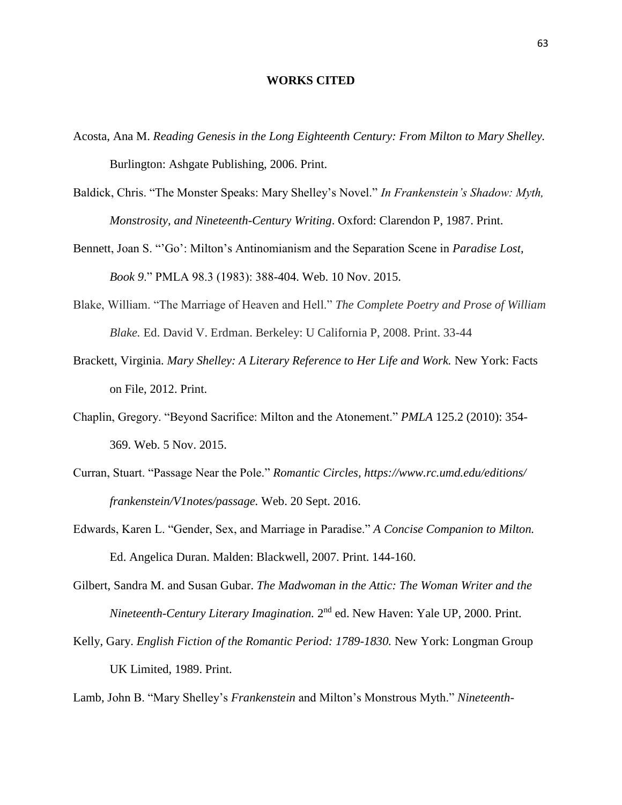## **WORKS CITED**

- Acosta, Ana M. *Reading Genesis in the Long Eighteenth Century: From Milton to Mary Shelley.* Burlington: Ashgate Publishing, 2006. Print.
- Baldick, Chris. "The Monster Speaks: Mary Shelley's Novel." *In Frankenstein's Shadow: Myth, Monstrosity, and Nineteenth-Century Writing*. Oxford: Clarendon P, 1987. Print.
- Bennett, Joan S. "'Go': Milton's Antinomianism and the Separation Scene in *Paradise Lost, Book 9*." PMLA 98.3 (1983): 388-404. Web. 10 Nov. 2015.
- Blake, William. "The Marriage of Heaven and Hell." *The Complete Poetry and Prose of William Blake.* Ed. David V. Erdman. Berkeley: U California P, 2008. Print. 33-44
- Brackett, Virginia. *Mary Shelley: A Literary Reference to Her Life and Work.* New York: Facts on File, 2012. Print.
- Chaplin, Gregory. "Beyond Sacrifice: Milton and the Atonement." *PMLA* 125.2 (2010): 354- 369. Web. 5 Nov. 2015.
- Curran, Stuart. "Passage Near the Pole." *Romantic Circles,<https://www.rc.umd.edu/editions/> frankenstein/V1notes/passage.* Web. 20 Sept. 2016.
- Edwards, Karen L. "Gender, Sex, and Marriage in Paradise." *A Concise Companion to Milton.*  Ed. Angelica Duran. Malden: Blackwell, 2007. Print. 144-160.
- Gilbert, Sandra M. and Susan Gubar. *The Madwoman in the Attic: The Woman Writer and the*  Nineteenth-Century Literary Imagination. 2<sup>nd</sup> ed. New Haven: Yale UP, 2000. Print.
- Kelly, Gary. *English Fiction of the Romantic Period: 1789-1830.* New York: Longman Group UK Limited, 1989. Print.

Lamb, John B. "Mary Shelley's *Frankenstein* and Milton's Monstrous Myth." *Nineteenth-*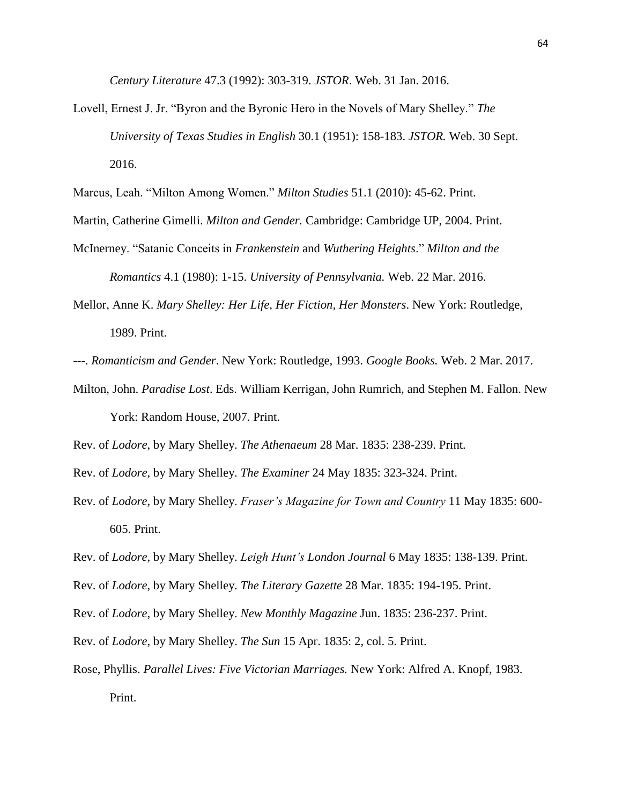*Century Literature* 47.3 (1992): 303-319. *JSTOR*. Web. 31 Jan. 2016.

Lovell, Ernest J. Jr. "Byron and the Byronic Hero in the Novels of Mary Shelley." *The University of Texas Studies in English* 30.1 (1951): 158-183. *JSTOR.* Web. 30 Sept. 2016.

Marcus, Leah. "Milton Among Women." *Milton Studies* 51.1 (2010): 45-62. Print.

- Martin, Catherine Gimelli. *Milton and Gender.* Cambridge: Cambridge UP, 2004. Print.
- McInerney. "Satanic Conceits in *Frankenstein* and *Wuthering Heights*." *Milton and the Romantics* 4.1 (1980): 1-15. *University of Pennsylvania.* Web. 22 Mar. 2016.
- Mellor, Anne K. *Mary Shelley: Her Life, Her Fiction, Her Monsters*. New York: Routledge, 1989. Print.
- ---. *Romanticism and Gender*. New York: Routledge, 1993. *Google Books.* Web. 2 Mar. 2017.
- Milton, John. *Paradise Lost*. Eds. William Kerrigan, John Rumrich, and Stephen M. Fallon. New York: Random House, 2007. Print.

Rev. of *Lodore*, by Mary Shelley. *The Athenaeum* 28 Mar. 1835: 238-239. Print.

Rev. of *Lodore*, by Mary Shelley. *The Examiner* 24 May 1835: 323-324. Print.

Rev. of *Lodore*, by Mary Shelley. *Fraser's Magazine for Town and Country* 11 May 1835: 600- 605. Print.

Rev. of *Lodore*, by Mary Shelley. *Leigh Hunt's London Journal* 6 May 1835: 138-139. Print.

Rev. of *Lodore*, by Mary Shelley. *The Literary Gazette* 28 Mar. 1835: 194-195. Print.

Rev. of *Lodore*, by Mary Shelley. *New Monthly Magazine* Jun. 1835: 236-237. Print.

Rev. of *Lodore*, by Mary Shelley. *The Sun* 15 Apr. 1835: 2, col. 5. Print.

Rose, Phyllis. *Parallel Lives: Five Victorian Marriages.* New York: Alfred A. Knopf, 1983.

Print.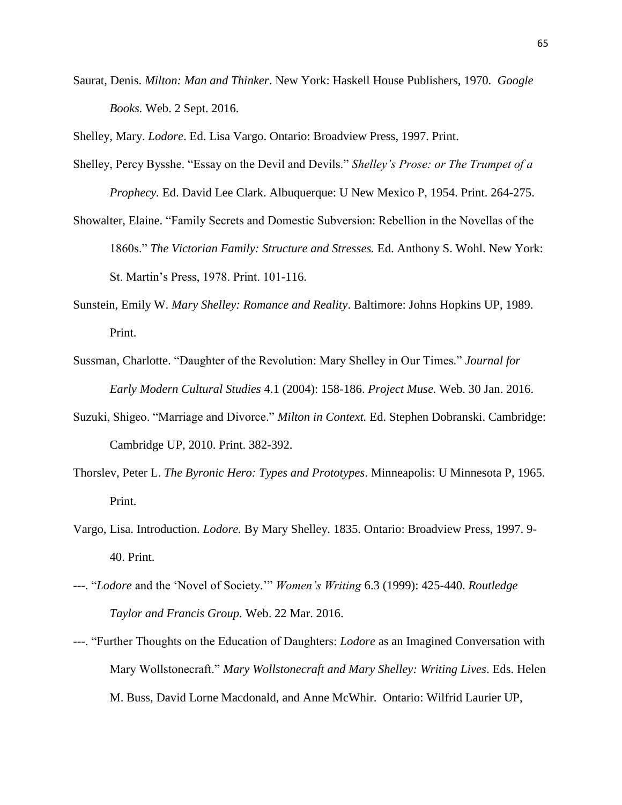Saurat, Denis. *Milton: Man and Thinker*. New York: Haskell House Publishers, 1970. *Google Books.* Web. 2 Sept. 2016.

Shelley, Mary. *Lodore*. Ed. Lisa Vargo. Ontario: Broadview Press, 1997. Print.

- Shelley, Percy Bysshe. "Essay on the Devil and Devils." *Shelley's Prose: or The Trumpet of a Prophecy.* Ed. David Lee Clark. Albuquerque: U New Mexico P, 1954. Print. 264-275.
- Showalter, Elaine. "Family Secrets and Domestic Subversion: Rebellion in the Novellas of the 1860s." *The Victorian Family: Structure and Stresses.* Ed. Anthony S. Wohl. New York: St. Martin's Press, 1978. Print. 101-116.
- Sunstein, Emily W. *Mary Shelley: Romance and Reality*. Baltimore: Johns Hopkins UP, 1989. Print.
- Sussman, Charlotte. "Daughter of the Revolution: Mary Shelley in Our Times." *Journal for Early Modern Cultural Studies* 4.1 (2004): 158-186. *Project Muse.* Web. 30 Jan. 2016.
- Suzuki, Shigeo. "Marriage and Divorce." *Milton in Context.* Ed. Stephen Dobranski. Cambridge: Cambridge UP, 2010. Print. 382-392.
- Thorslev, Peter L. *The Byronic Hero: Types and Prototypes*. Minneapolis: U Minnesota P, 1965. Print.
- Vargo, Lisa. Introduction. *Lodore.* By Mary Shelley. 1835. Ontario: Broadview Press, 1997. 9- 40. Print.
- ---. "*Lodore* and the 'Novel of Society.'" *Women's Writing* 6.3 (1999): 425-440. *Routledge Taylor and Francis Group.* Web. 22 Mar. 2016.
- ---. "Further Thoughts on the Education of Daughters: *Lodore* as an Imagined Conversation with Mary Wollstonecraft." *Mary Wollstonecraft and Mary Shelley: Writing Lives*. Eds. Helen M. Buss, David Lorne Macdonald, and Anne McWhir. Ontario: Wilfrid Laurier UP,